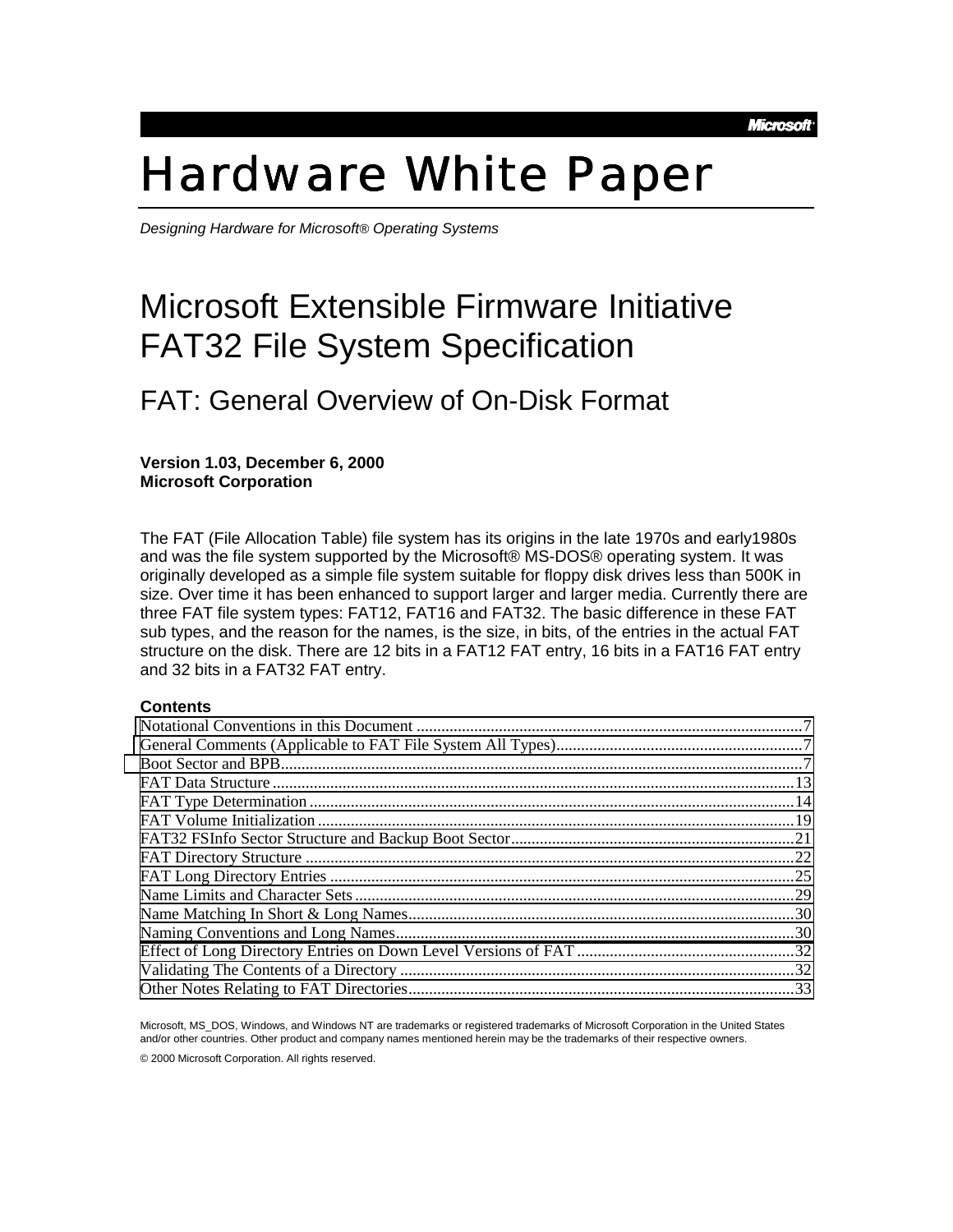**Microsoft** 

# Hardware White Paper

*Designing Hardware for Microsoft® Operating Systems* 

## Microsoft Extensible Firmware Initiative FAT32 File System Specification

## FAT: General Overview of On-Disk Format

#### **Version 1.03, December 6, 2000 Microsoft Corporation**

The FAT (File Allocation Table) file system has its origins in the late 1970s and early1980s and was the file system supported by the Microsoft® MS-DOS® operating system. It was originally developed as a simple file system suitable for floppy disk drives less than 500K in size. Over time it has been enhanced to support larger and larger media. Currently there are three FAT file system types: FAT12, FAT16 and FAT32. The basic difference in these FAT sub types, and the reason for the names, is the size, in bits, of the entries in the actual FAT structure on the disk. There are 12 bits in a FAT12 FAT entry, 16 bits in a FAT16 FAT entry and 32 bits in a FAT32 FAT entry.

### **Contents**

Microsoft, MS\_DOS, Windows, and Windows NT are trademarks or registered trademarks of Microsoft Corporation in the United States and/or other countries. Other product and company names mentioned herein may be the trademarks of their respective owners. © 2000 Microsoft Corporation. All rights reserved.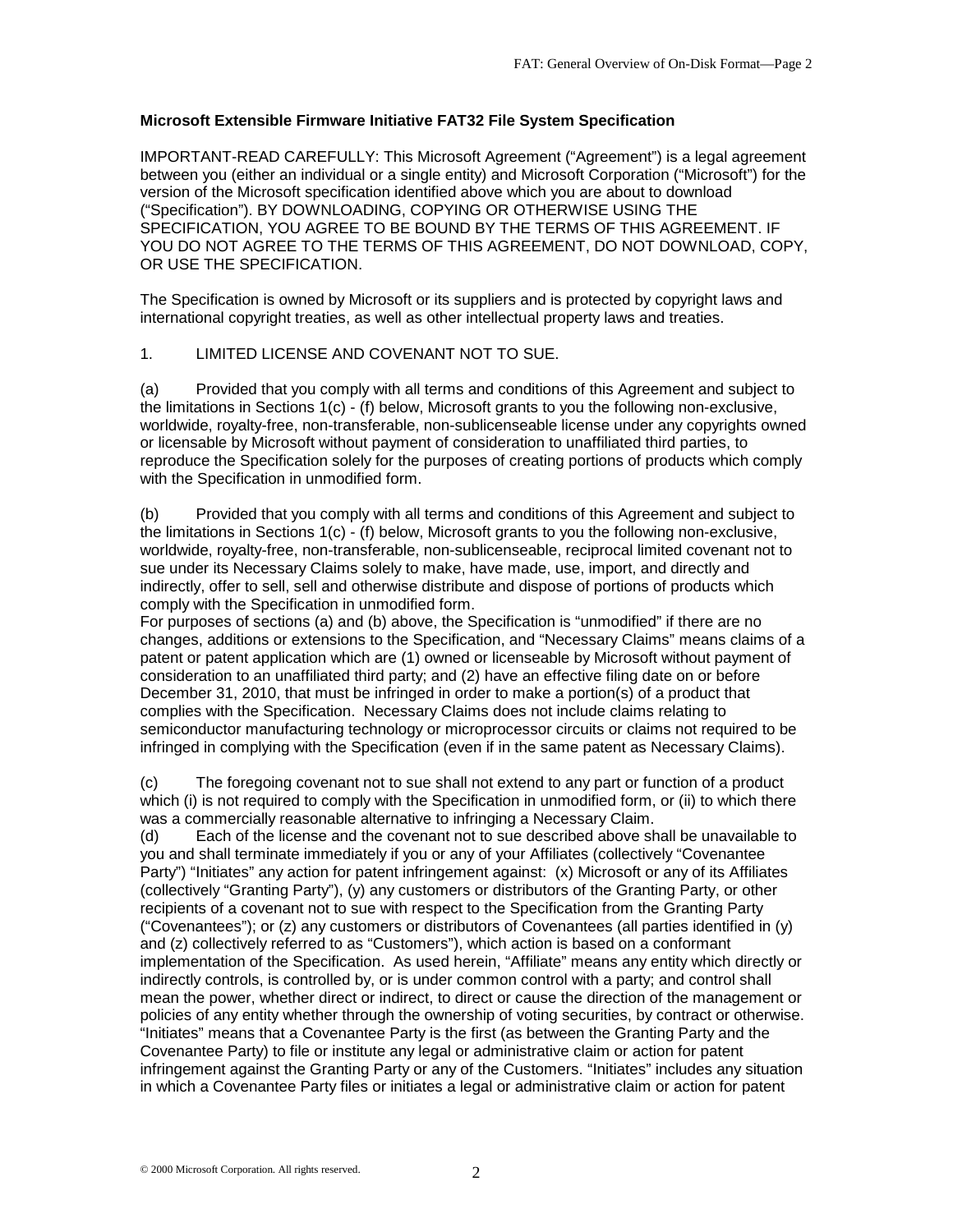## **Microsoft Extensible Firmware Initiative FAT32 File System Specification**

IMPORTANT-READ CAREFULLY: This Microsoft Agreement ("Agreement") is a legal agreement between you (either an individual or a single entity) and Microsoft Corporation ("Microsoft") for the version of the Microsoft specification identified above which you are about to download ("Specification"). BY DOWNLOADING, COPYING OR OTHERWISE USING THE SPECIFICATION, YOU AGREE TO BE BOUND BY THE TERMS OF THIS AGREEMENT. IF YOU DO NOT AGREE TO THE TERMS OF THIS AGREEMENT, DO NOT DOWNLOAD, COPY, OR USE THE SPECIFICATION.

The Specification is owned by Microsoft or its suppliers and is protected by copyright laws and international copyright treaties, as well as other intellectual property laws and treaties.

### 1. LIMITED LICENSE AND COVENANT NOT TO SUE.

(a) Provided that you comply with all terms and conditions of this Agreement and subject to the limitations in Sections 1(c) - (f) below, Microsoft grants to you the following non-exclusive, worldwide, royalty-free, non-transferable, non-sublicenseable license under any copyrights owned or licensable by Microsoft without payment of consideration to unaffiliated third parties, to reproduce the Specification solely for the purposes of creating portions of products which comply with the Specification in unmodified form.

(b) Provided that you comply with all terms and conditions of this Agreement and subject to the limitations in Sections 1(c) - (f) below, Microsoft grants to you the following non-exclusive, worldwide, royalty-free, non-transferable, non-sublicenseable, reciprocal limited covenant not to sue under its Necessary Claims solely to make, have made, use, import, and directly and indirectly, offer to sell, sell and otherwise distribute and dispose of portions of products which comply with the Specification in unmodified form.

For purposes of sections (a) and (b) above, the Specification is "unmodified" if there are no changes, additions or extensions to the Specification, and "Necessary Claims" means claims of a patent or patent application which are (1) owned or licenseable by Microsoft without payment of consideration to an unaffiliated third party; and (2) have an effective filing date on or before December 31, 2010, that must be infringed in order to make a portion(s) of a product that complies with the Specification. Necessary Claims does not include claims relating to semiconductor manufacturing technology or microprocessor circuits or claims not required to be infringed in complying with the Specification (even if in the same patent as Necessary Claims).

(c) The foregoing covenant not to sue shall not extend to any part or function of a product which (i) is not required to comply with the Specification in unmodified form, or (ii) to which there was a commercially reasonable alternative to infringing a Necessary Claim.

(d) Each of the license and the covenant not to sue described above shall be unavailable to you and shall terminate immediately if you or any of your Affiliates (collectively "Covenantee Party") "Initiates" any action for patent infringement against: (x) Microsoft or any of its Affiliates (collectively "Granting Party"), (y) any customers or distributors of the Granting Party, or other recipients of a covenant not to sue with respect to the Specification from the Granting Party ("Covenantees"); or (z) any customers or distributors of Covenantees (all parties identified in (y) and (z) collectively referred to as "Customers"), which action is based on a conformant implementation of the Specification. As used herein, "Affiliate" means any entity which directly or indirectly controls, is controlled by, or is under common control with a party; and control shall mean the power, whether direct or indirect, to direct or cause the direction of the management or policies of any entity whether through the ownership of voting securities, by contract or otherwise. "Initiates" means that a Covenantee Party is the first (as between the Granting Party and the Covenantee Party) to file or institute any legal or administrative claim or action for patent infringement against the Granting Party or any of the Customers. "Initiates" includes any situation in which a Covenantee Party files or initiates a legal or administrative claim or action for patent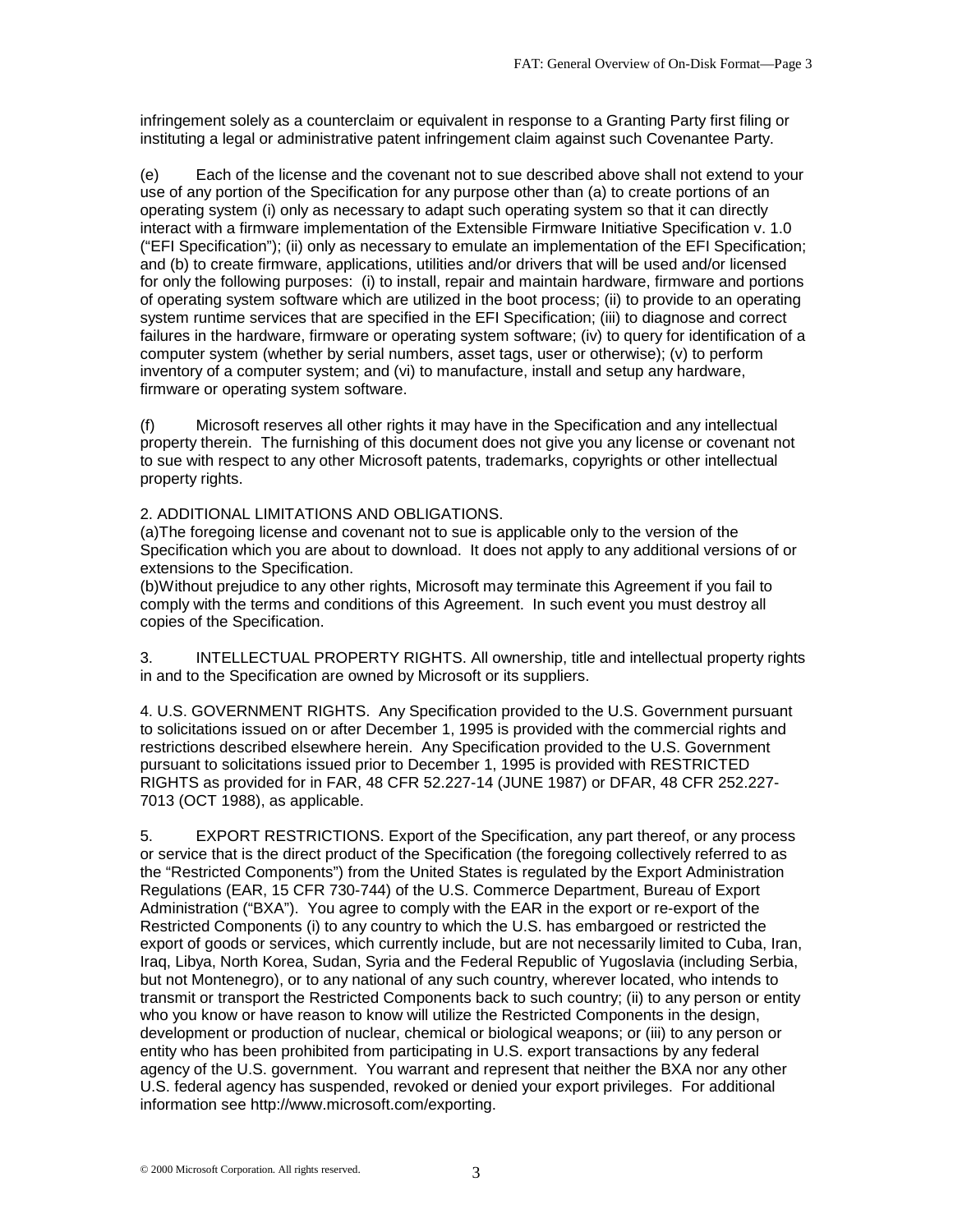infringement solely as a counterclaim or equivalent in response to a Granting Party first filing or instituting a legal or administrative patent infringement claim against such Covenantee Party.

(e) Each of the license and the covenant not to sue described above shall not extend to your use of any portion of the Specification for any purpose other than (a) to create portions of an operating system (i) only as necessary to adapt such operating system so that it can directly interact with a firmware implementation of the Extensible Firmware Initiative Specification v. 1.0 ("EFI Specification"); (ii) only as necessary to emulate an implementation of the EFI Specification; and (b) to create firmware, applications, utilities and/or drivers that will be used and/or licensed for only the following purposes: (i) to install, repair and maintain hardware, firmware and portions of operating system software which are utilized in the boot process; (ii) to provide to an operating system runtime services that are specified in the EFI Specification; (iii) to diagnose and correct failures in the hardware, firmware or operating system software; (iv) to query for identification of a computer system (whether by serial numbers, asset tags, user or otherwise); (v) to perform inventory of a computer system; and (vi) to manufacture, install and setup any hardware, firmware or operating system software.

(f) Microsoft reserves all other rights it may have in the Specification and any intellectual property therein. The furnishing of this document does not give you any license or covenant not to sue with respect to any other Microsoft patents, trademarks, copyrights or other intellectual property rights.

#### 2. ADDITIONAL LIMITATIONS AND OBLIGATIONS.

(a)The foregoing license and covenant not to sue is applicable only to the version of the Specification which you are about to download. It does not apply to any additional versions of or extensions to the Specification.

(b)Without prejudice to any other rights, Microsoft may terminate this Agreement if you fail to comply with the terms and conditions of this Agreement. In such event you must destroy all copies of the Specification.

3. INTELLECTUAL PROPERTY RIGHTS. All ownership, title and intellectual property rights in and to the Specification are owned by Microsoft or its suppliers.

4. U.S. GOVERNMENT RIGHTS. Any Specification provided to the U.S. Government pursuant to solicitations issued on or after December 1, 1995 is provided with the commercial rights and restrictions described elsewhere herein. Any Specification provided to the U.S. Government pursuant to solicitations issued prior to December 1, 1995 is provided with RESTRICTED RIGHTS as provided for in FAR, 48 CFR 52.227-14 (JUNE 1987) or DFAR, 48 CFR 252.227- 7013 (OCT 1988), as applicable.

5. EXPORT RESTRICTIONS. Export of the Specification, any part thereof, or any process or service that is the direct product of the Specification (the foregoing collectively referred to as the "Restricted Components") from the United States is regulated by the Export Administration Regulations (EAR, 15 CFR 730-744) of the U.S. Commerce Department, Bureau of Export Administration ("BXA"). You agree to comply with the EAR in the export or re-export of the Restricted Components (i) to any country to which the U.S. has embargoed or restricted the export of goods or services, which currently include, but are not necessarily limited to Cuba, Iran, Iraq, Libya, North Korea, Sudan, Syria and the Federal Republic of Yugoslavia (including Serbia, but not Montenegro), or to any national of any such country, wherever located, who intends to transmit or transport the Restricted Components back to such country; (ii) to any person or entity who you know or have reason to know will utilize the Restricted Components in the design, development or production of nuclear, chemical or biological weapons; or (iii) to any person or entity who has been prohibited from participating in U.S. export transactions by any federal agency of the U.S. government. You warrant and represent that neither the BXA nor any other U.S. federal agency has suspended, revoked or denied your export privileges. For additional information see http://www.microsoft.com/exporting.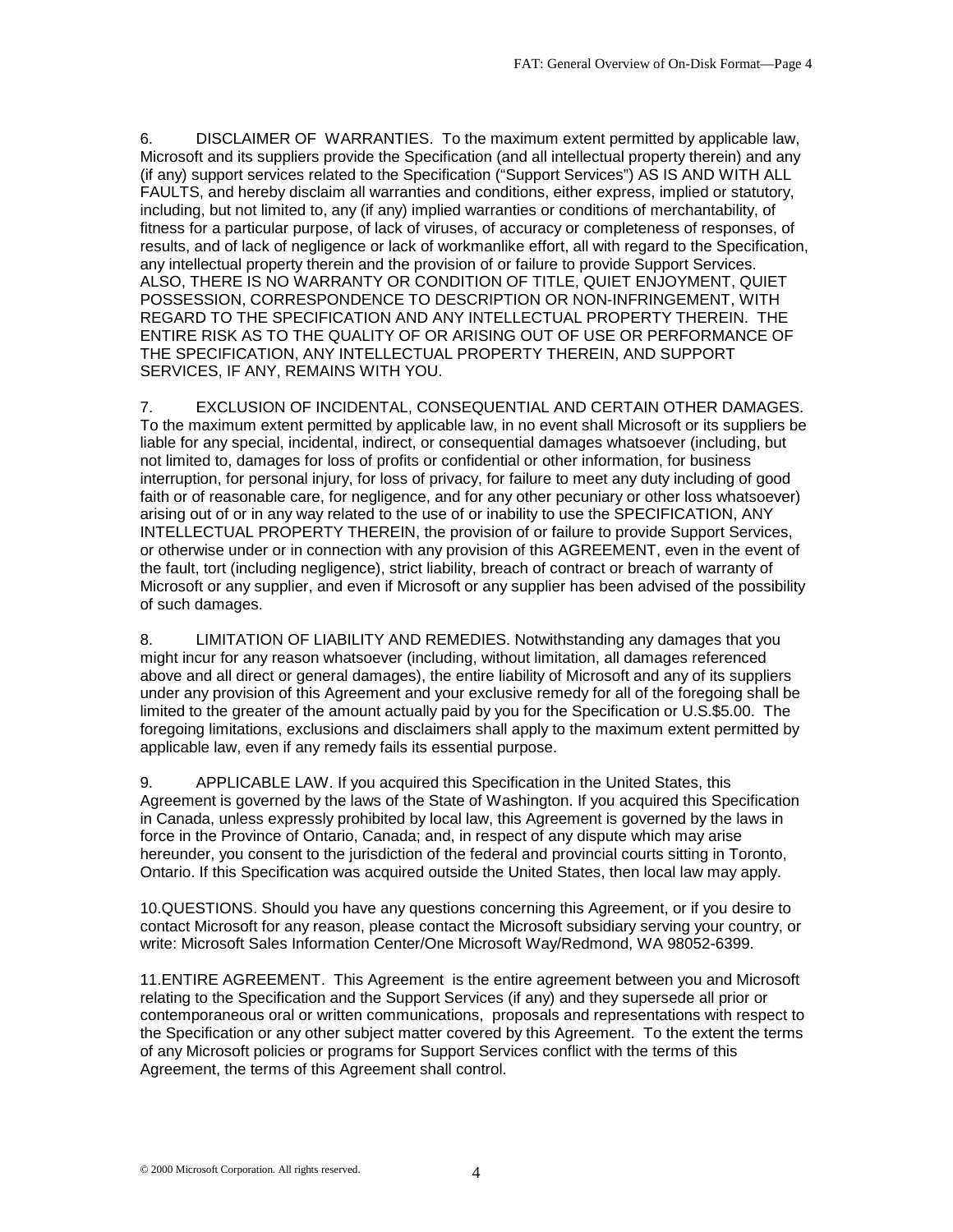6. DISCLAIMER OF WARRANTIES. To the maximum extent permitted by applicable law, Microsoft and its suppliers provide the Specification (and all intellectual property therein) and any (if any) support services related to the Specification ("Support Services") AS IS AND WITH ALL FAULTS, and hereby disclaim all warranties and conditions, either express, implied or statutory, including, but not limited to, any (if any) implied warranties or conditions of merchantability, of fitness for a particular purpose, of lack of viruses, of accuracy or completeness of responses, of results, and of lack of negligence or lack of workmanlike effort, all with regard to the Specification, any intellectual property therein and the provision of or failure to provide Support Services. ALSO, THERE IS NO WARRANTY OR CONDITION OF TITLE, QUIET ENJOYMENT, QUIET POSSESSION, CORRESPONDENCE TO DESCRIPTION OR NON-INFRINGEMENT, WITH REGARD TO THE SPECIFICATION AND ANY INTELLECTUAL PROPERTY THEREIN. THE ENTIRE RISK AS TO THE QUALITY OF OR ARISING OUT OF USE OR PERFORMANCE OF THE SPECIFICATION, ANY INTELLECTUAL PROPERTY THEREIN, AND SUPPORT SERVICES, IF ANY, REMAINS WITH YOU.

7. EXCLUSION OF INCIDENTAL, CONSEQUENTIAL AND CERTAIN OTHER DAMAGES. To the maximum extent permitted by applicable law, in no event shall Microsoft or its suppliers be liable for any special, incidental, indirect, or consequential damages whatsoever (including, but not limited to, damages for loss of profits or confidential or other information, for business interruption, for personal injury, for loss of privacy, for failure to meet any duty including of good faith or of reasonable care, for negligence, and for any other pecuniary or other loss whatsoever) arising out of or in any way related to the use of or inability to use the SPECIFICATION, ANY INTELLECTUAL PROPERTY THEREIN, the provision of or failure to provide Support Services, or otherwise under or in connection with any provision of this AGREEMENT, even in the event of the fault, tort (including negligence), strict liability, breach of contract or breach of warranty of Microsoft or any supplier, and even if Microsoft or any supplier has been advised of the possibility of such damages.

8. LIMITATION OF LIABILITY AND REMEDIES. Notwithstanding any damages that you might incur for any reason whatsoever (including, without limitation, all damages referenced above and all direct or general damages), the entire liability of Microsoft and any of its suppliers under any provision of this Agreement and your exclusive remedy for all of the foregoing shall be limited to the greater of the amount actually paid by you for the Specification or U.S.\$5.00. The foregoing limitations, exclusions and disclaimers shall apply to the maximum extent permitted by applicable law, even if any remedy fails its essential purpose.

9. APPLICABLE LAW. If you acquired this Specification in the United States, this Agreement is governed by the laws of the State of Washington. If you acquired this Specification in Canada, unless expressly prohibited by local law, this Agreement is governed by the laws in force in the Province of Ontario, Canada; and, in respect of any dispute which may arise hereunder, you consent to the jurisdiction of the federal and provincial courts sitting in Toronto, Ontario. If this Specification was acquired outside the United States, then local law may apply.

10.QUESTIONS. Should you have any questions concerning this Agreement, or if you desire to contact Microsoft for any reason, please contact the Microsoft subsidiary serving your country, or write: Microsoft Sales Information Center/One Microsoft Way/Redmond, WA 98052-6399.

11.ENTIRE AGREEMENT. This Agreement is the entire agreement between you and Microsoft relating to the Specification and the Support Services (if any) and they supersede all prior or contemporaneous oral or written communications, proposals and representations with respect to the Specification or any other subject matter covered by this Agreement. To the extent the terms of any Microsoft policies or programs for Support Services conflict with the terms of this Agreement, the terms of this Agreement shall control.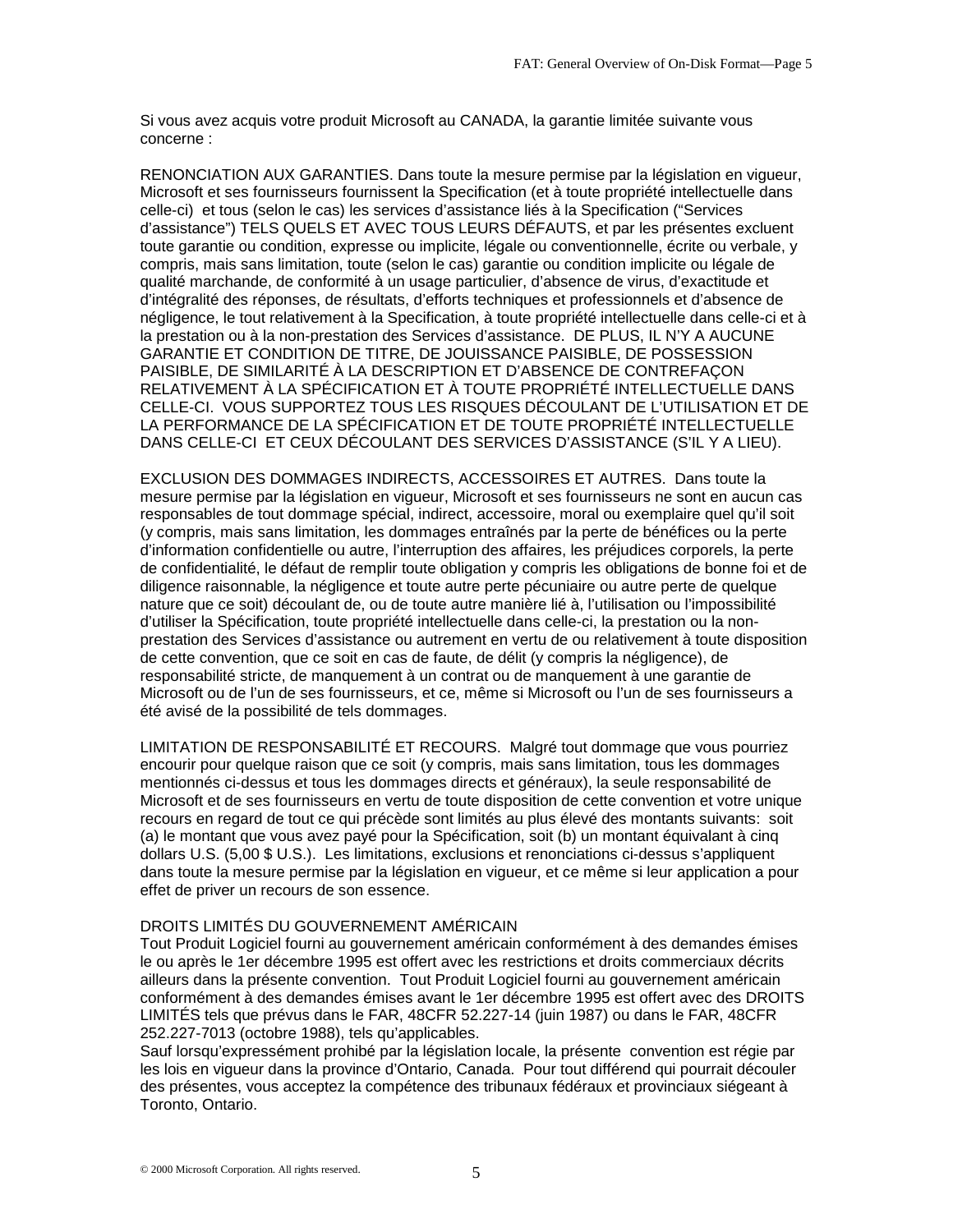Si vous avez acquis votre produit Microsoft au CANADA, la garantie limitée suivante vous concerne :

RENONCIATION AUX GARANTIES. Dans toute la mesure permise par la législation en vigueur, Microsoft et ses fournisseurs fournissent la Specification (et à toute propriété intellectuelle dans celle-ci) et tous (selon le cas) les services d'assistance liés à la Specification ("Services d'assistance") TELS QUELS ET AVEC TOUS LEURS DÉFAUTS, et par les présentes excluent toute garantie ou condition, expresse ou implicite, légale ou conventionnelle, écrite ou verbale, y compris, mais sans limitation, toute (selon le cas) garantie ou condition implicite ou légale de qualité marchande, de conformité à un usage particulier, d'absence de virus, d'exactitude et d'intégralité des réponses, de résultats, d'efforts techniques et professionnels et d'absence de négligence, le tout relativement à la Specification, à toute propriété intellectuelle dans celle-ci et à la prestation ou à la non-prestation des Services d'assistance. DE PLUS, IL N'Y A AUCUNE GARANTIE ET CONDITION DE TITRE, DE JOUISSANCE PAISIBLE, DE POSSESSION PAISIBLE, DE SIMILARITÉ À LA DESCRIPTION ET D'ABSENCE DE CONTREFAÇON RELATIVEMENT À LA SPÉCIFICATION ET À TOUTE PROPRIÉTÉ INTELLECTUELLE DANS CELLE-CI. VOUS SUPPORTEZ TOUS LES RISQUES DÉCOULANT DE L'UTILISATION ET DE LA PERFORMANCE DE LA SPÉCIFICATION ET DE TOUTE PROPRIÉTÉ INTELLECTUELLE DANS CELLE-CI ET CEUX DÉCOULANT DES SERVICES D'ASSISTANCE (S'IL Y A LIEU).

EXCLUSION DES DOMMAGES INDIRECTS, ACCESSOIRES ET AUTRES. Dans toute la mesure permise par la législation en vigueur, Microsoft et ses fournisseurs ne sont en aucun cas responsables de tout dommage spécial, indirect, accessoire, moral ou exemplaire quel qu'il soit (y compris, mais sans limitation, les dommages entraînés par la perte de bénéfices ou la perte d'information confidentielle ou autre, l'interruption des affaires, les préjudices corporels, la perte de confidentialité, le défaut de remplir toute obligation y compris les obligations de bonne foi et de diligence raisonnable, la négligence et toute autre perte pécuniaire ou autre perte de quelque nature que ce soit) découlant de, ou de toute autre manière lié à, l'utilisation ou l'impossibilité d'utiliser la Spécification, toute propriété intellectuelle dans celle-ci, la prestation ou la nonprestation des Services d'assistance ou autrement en vertu de ou relativement à toute disposition de cette convention, que ce soit en cas de faute, de délit (y compris la négligence), de responsabilité stricte, de manquement à un contrat ou de manquement à une garantie de Microsoft ou de l'un de ses fournisseurs, et ce, même si Microsoft ou l'un de ses fournisseurs a été avisé de la possibilité de tels dommages.

LIMITATION DE RESPONSABILITÉ ET RECOURS. Malgré tout dommage que vous pourriez encourir pour quelque raison que ce soit (y compris, mais sans limitation, tous les dommages mentionnés ci-dessus et tous les dommages directs et généraux), la seule responsabilité de Microsoft et de ses fournisseurs en vertu de toute disposition de cette convention et votre unique recours en regard de tout ce qui précède sont limités au plus élevé des montants suivants: soit (a) le montant que vous avez payé pour la Spécification, soit (b) un montant équivalant à cinq dollars U.S. (5,00 \$ U.S.). Les limitations, exclusions et renonciations ci-dessus s'appliquent dans toute la mesure permise par la législation en vigueur, et ce même si leur application a pour effet de priver un recours de son essence.

#### DROITS LIMITÉS DU GOUVERNEMENT AMÉRICAIN

Tout Produit Logiciel fourni au gouvernement américain conformément à des demandes émises le ou après le 1er décembre 1995 est offert avec les restrictions et droits commerciaux décrits ailleurs dans la présente convention. Tout Produit Logiciel fourni au gouvernement américain conformément à des demandes émises avant le 1er décembre 1995 est offert avec des DROITS LIMITÉS tels que prévus dans le FAR, 48CFR 52.227-14 (juin 1987) ou dans le FAR, 48CFR 252.227-7013 (octobre 1988), tels qu'applicables.

Sauf lorsqu'expressément prohibé par la législation locale, la présente convention est régie par les lois en vigueur dans la province d'Ontario, Canada. Pour tout différend qui pourrait découler des présentes, vous acceptez la compétence des tribunaux fédéraux et provinciaux siégeant à Toronto, Ontario.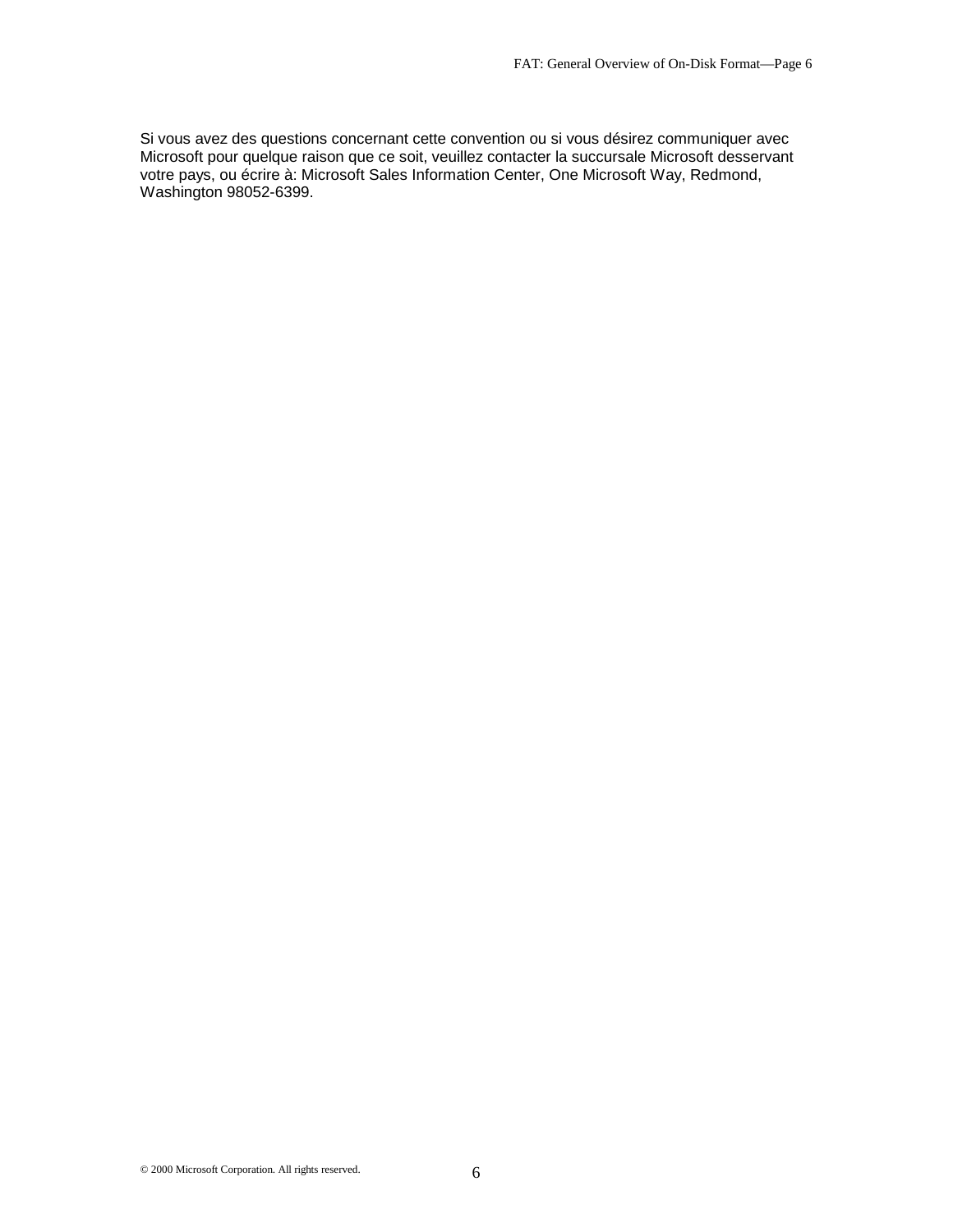Si vous avez des questions concernant cette convention ou si vous désirez communiquer avec Microsoft pour quelque raison que ce soit, veuillez contacter la succursale Microsoft desservant votre pays, ou écrire à: Microsoft Sales Information Center, One Microsoft Way, Redmond, Washington 98052-6399.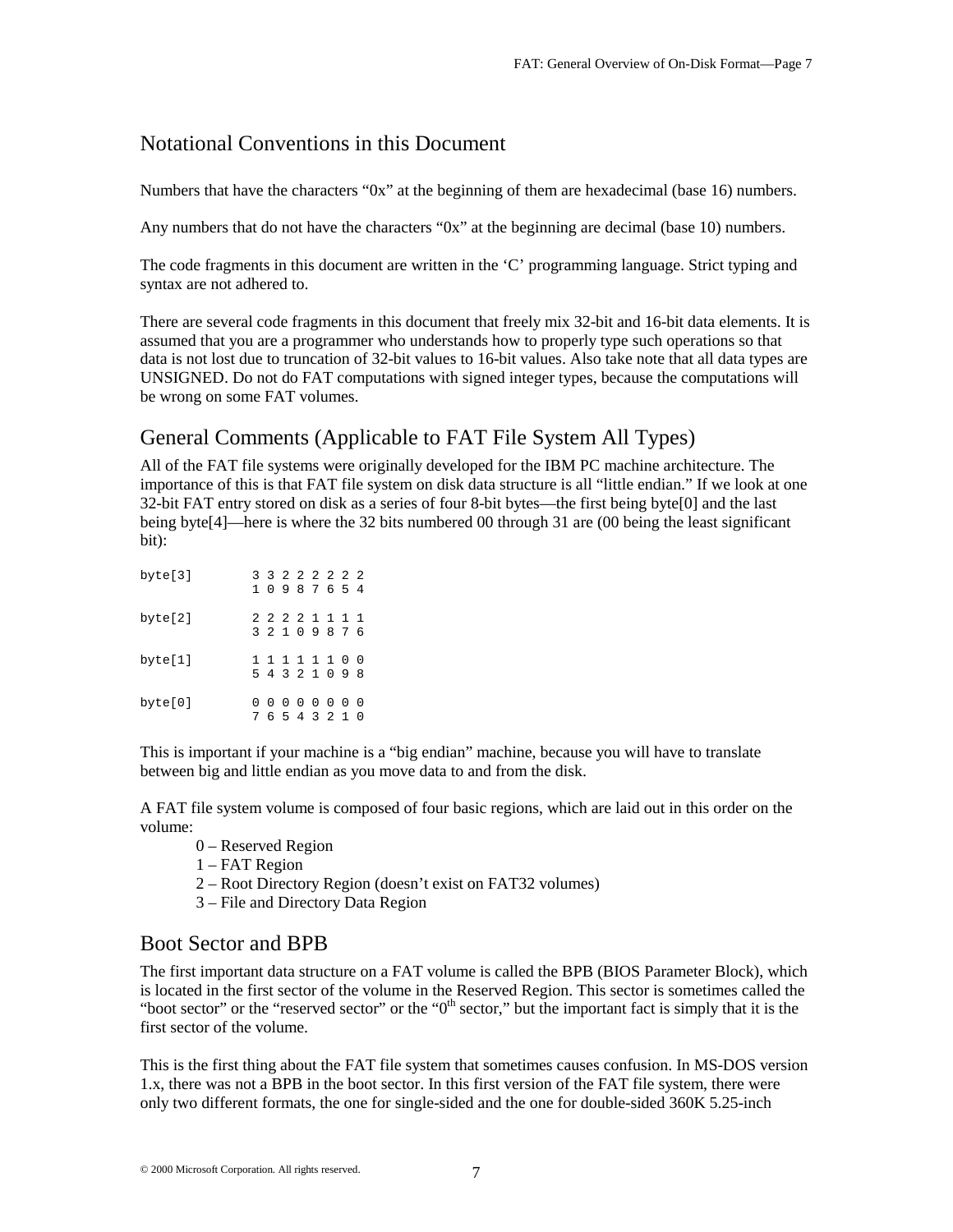## <span id="page-6-0"></span>Notational Conventions in this Document

Numbers that have the characters "0x" at the beginning of them are hexadecimal (base 16) numbers.

Any numbers that do not have the characters "0x" at the beginning are decimal (base 10) numbers.

The code fragments in this document are written in the 'C' programming language. Strict typing and syntax are not adhered to.

There are several code fragments in this document that freely mix 32-bit and 16-bit data elements. It is assumed that you are a programmer who understands how to properly type such operations so that data is not lost due to truncation of 32-bit values to 16-bit values. Also take note that all data types are UNSIGNED. Do not do FAT computations with signed integer types, because the computations will be wrong on some FAT volumes.

## General Comments (Applicable to FAT File System All Types)

All of the FAT file systems were originally developed for the IBM PC machine architecture. The importance of this is that FAT file system on disk data structure is all "little endian." If we look at one 32-bit FAT entry stored on disk as a series of four 8-bit bytes—the first being byte[0] and the last being byte[4]—here is where the 32 bits numbered 00 through 31 are (00 being the least significant bit):

| byte[3] |  |  |  | 3 3 2 2 2 2 2 2<br>1 0 9 8 7 6 5 4 |  |
|---------|--|--|--|------------------------------------|--|
| byte[2] |  |  |  | 2 2 2 2 1 1 1 1<br>3 2 1 0 9 8 7 6 |  |
| byte[1] |  |  |  | 1 1 1 1 1 1 0 0<br>5 4 3 2 1 0 9 8 |  |
| byte[0] |  |  |  | 00000000<br>7 6 5 4 3 2 1 0        |  |

This is important if your machine is a "big endian" machine, because you will have to translate between big and little endian as you move data to and from the disk.

A FAT file system volume is composed of four basic regions, which are laid out in this order on the volume:

- 0 Reserved Region
- 1 FAT Region
- 2 Root Directory Region (doesn't exist on FAT32 volumes)
- 3 File and Directory Data Region

## Boot Sector and BPB

The first important data structure on a FAT volume is called the BPB (BIOS Parameter Block), which is located in the first sector of the volume in the Reserved Region. This sector is sometimes called the "boot sector" or the "reserved sector" or the " $0<sup>th</sup>$  sector," but the important fact is simply that it is the first sector of the volume.

This is the first thing about the FAT file system that sometimes causes confusion. In MS-DOS version 1.x, there was not a BPB in the boot sector. In this first version of the FAT file system, there were only two different formats, the one for single-sided and the one for double-sided 360K 5.25-inch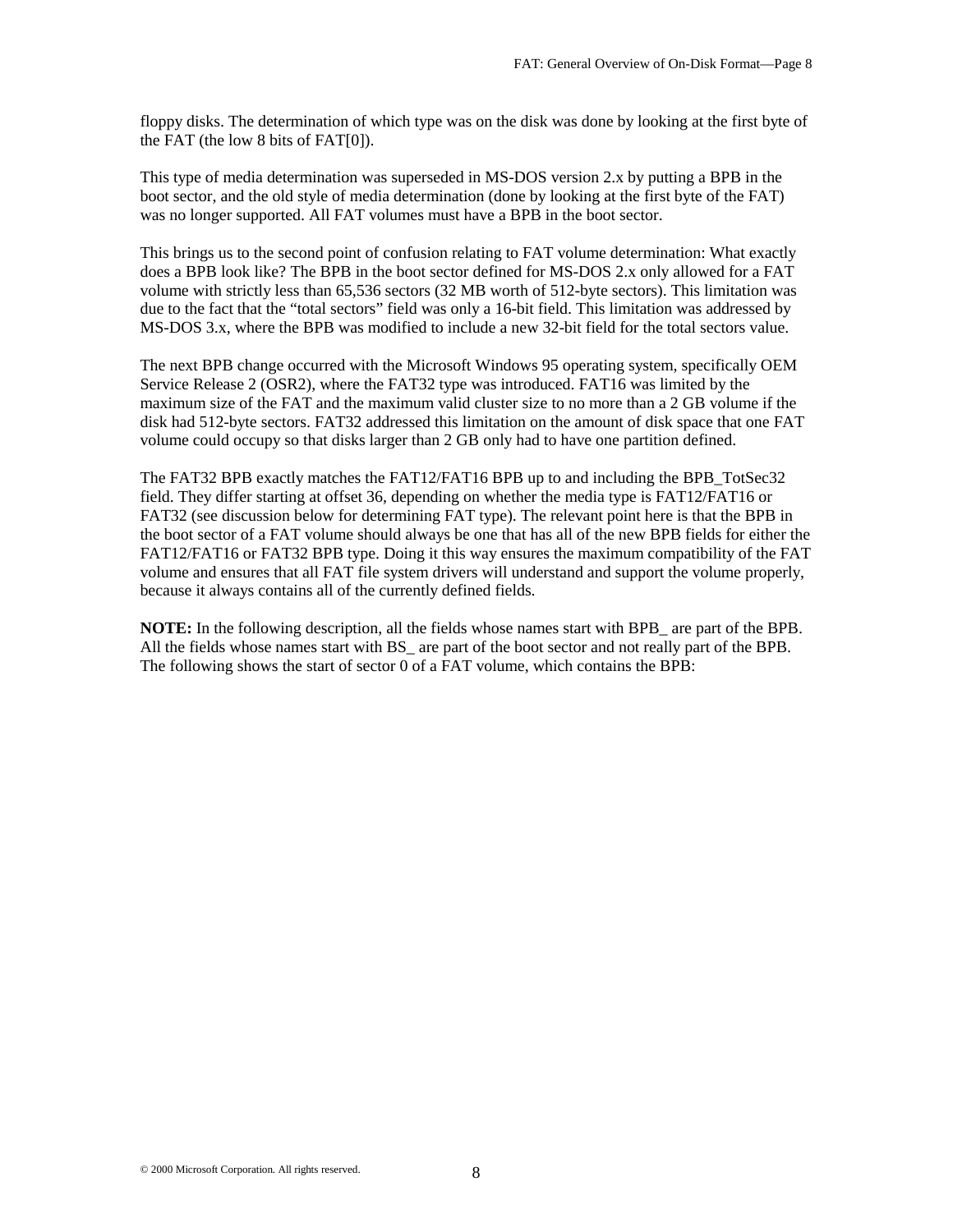floppy disks. The determination of which type was on the disk was done by looking at the first byte of the FAT (the low 8 bits of FAT[0]).

This type of media determination was superseded in MS-DOS version 2.x by putting a BPB in the boot sector, and the old style of media determination (done by looking at the first byte of the FAT) was no longer supported. All FAT volumes must have a BPB in the boot sector.

This brings us to the second point of confusion relating to FAT volume determination: What exactly does a BPB look like? The BPB in the boot sector defined for MS-DOS 2.x only allowed for a FAT volume with strictly less than 65,536 sectors (32 MB worth of 512-byte sectors). This limitation was due to the fact that the "total sectors" field was only a 16-bit field. This limitation was addressed by MS-DOS 3.x, where the BPB was modified to include a new 32-bit field for the total sectors value.

The next BPB change occurred with the Microsoft Windows 95 operating system, specifically OEM Service Release 2 (OSR2), where the FAT32 type was introduced. FAT16 was limited by the maximum size of the FAT and the maximum valid cluster size to no more than a 2 GB volume if the disk had 512-byte sectors. FAT32 addressed this limitation on the amount of disk space that one FAT volume could occupy so that disks larger than 2 GB only had to have one partition defined.

The FAT32 BPB exactly matches the FAT12/FAT16 BPB up to and including the BPB\_TotSec32 field. They differ starting at offset 36, depending on whether the media type is FAT12/FAT16 or FAT32 (see discussion below for determining FAT type). The relevant point here is that the BPB in the boot sector of a FAT volume should always be one that has all of the new BPB fields for either the FAT12/FAT16 or FAT32 BPB type. Doing it this way ensures the maximum compatibility of the FAT volume and ensures that all FAT file system drivers will understand and support the volume properly, because it always contains all of the currently defined fields.

**NOTE:** In the following description, all the fields whose names start with BPB\_ are part of the BPB. All the fields whose names start with BS\_ are part of the boot sector and not really part of the BPB. The following shows the start of sector 0 of a FAT volume, which contains the BPB: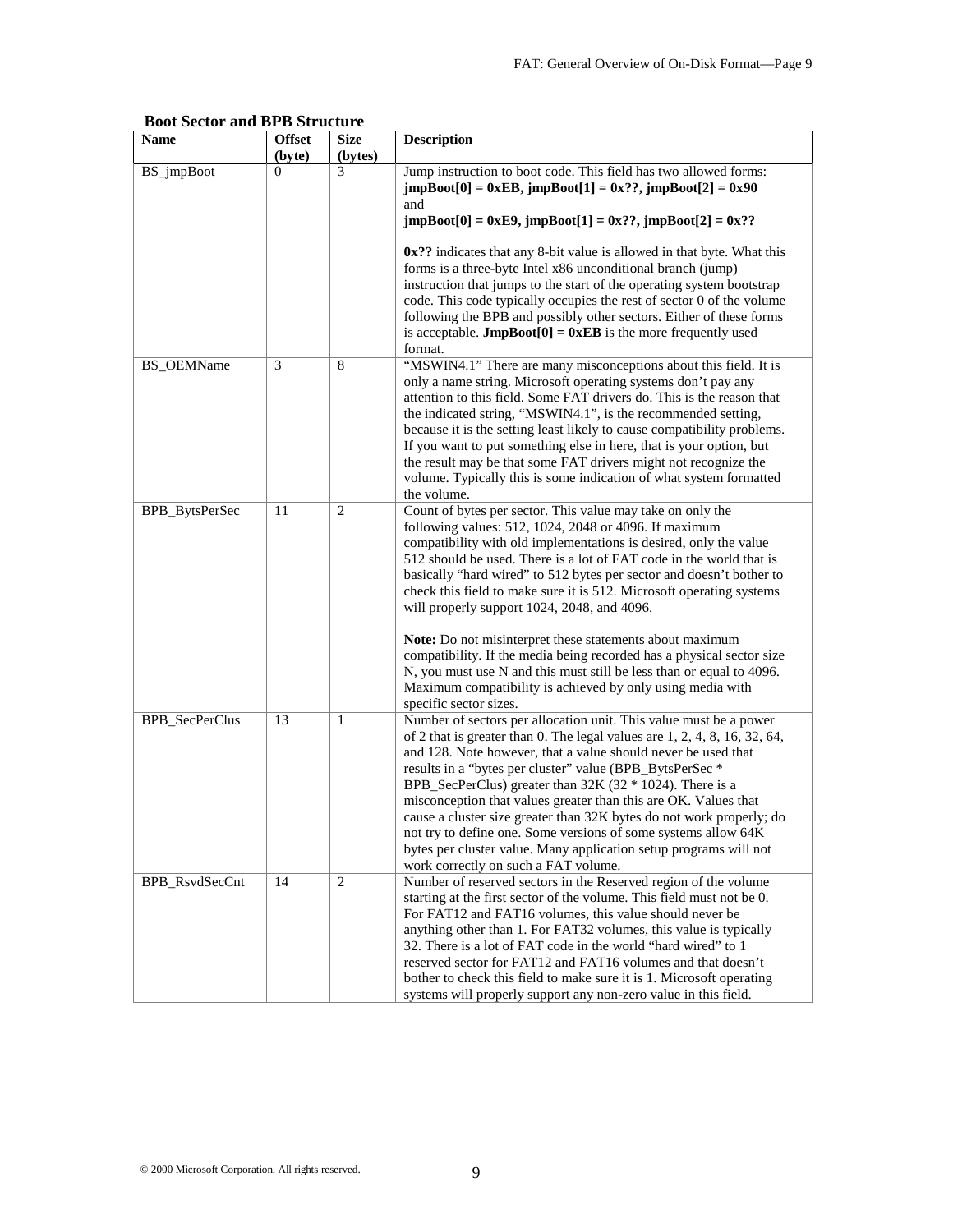## **Boot Sector and BPB Structure**

| <b>Name</b>    | <b>Offset</b>      | <b>Size</b>  | <b>Description</b>                                                                                                                                                                                                                                                                                                                                                                                                                                 |
|----------------|--------------------|--------------|----------------------------------------------------------------------------------------------------------------------------------------------------------------------------------------------------------------------------------------------------------------------------------------------------------------------------------------------------------------------------------------------------------------------------------------------------|
| BS_jmpBoot     | (byte)<br>$\Omega$ | (bytes)<br>3 | Jump instruction to boot code. This field has two allowed forms:<br>$jmpBoost[0] = 0xEB, jmpBoost[1] = 0x$ ??, $jmpBoost[2] = 0x90$<br>and                                                                                                                                                                                                                                                                                                         |
|                |                    |              | $jmpBoost[0] = 0xE9, jmpBoost[1] = 0x??, jmpBoost[2] = 0x??$                                                                                                                                                                                                                                                                                                                                                                                       |
|                |                    |              | 0x?? indicates that any 8-bit value is allowed in that byte. What this<br>forms is a three-byte Intel x86 unconditional branch (jump)<br>instruction that jumps to the start of the operating system bootstrap<br>code. This code typically occupies the rest of sector 0 of the volume<br>following the BPB and possibly other sectors. Either of these forms<br>is acceptable. <b>JmpBoot[0]</b> = $0xEB$ is the more frequently used<br>format. |
| BS_OEMName     | 3                  | 8            | "MSWIN4.1" There are many misconceptions about this field. It is                                                                                                                                                                                                                                                                                                                                                                                   |
|                |                    |              | only a name string. Microsoft operating systems don't pay any<br>attention to this field. Some FAT drivers do. This is the reason that<br>the indicated string, "MSWIN4.1", is the recommended setting,<br>because it is the setting least likely to cause compatibility problems.                                                                                                                                                                 |
|                |                    |              | If you want to put something else in here, that is your option, but<br>the result may be that some FAT drivers might not recognize the<br>volume. Typically this is some indication of what system formatted<br>the volume.                                                                                                                                                                                                                        |
| BPB_BytsPerSec | 11                 | 2            | Count of bytes per sector. This value may take on only the                                                                                                                                                                                                                                                                                                                                                                                         |
|                |                    |              | following values: 512, 1024, 2048 or 4096. If maximum                                                                                                                                                                                                                                                                                                                                                                                              |
|                |                    |              | compatibility with old implementations is desired, only the value<br>512 should be used. There is a lot of FAT code in the world that is                                                                                                                                                                                                                                                                                                           |
|                |                    |              | basically "hard wired" to 512 bytes per sector and doesn't bother to                                                                                                                                                                                                                                                                                                                                                                               |
|                |                    |              | check this field to make sure it is 512. Microsoft operating systems<br>will properly support 1024, 2048, and 4096.                                                                                                                                                                                                                                                                                                                                |
|                |                    |              | Note: Do not misinterpret these statements about maximum                                                                                                                                                                                                                                                                                                                                                                                           |
|                |                    |              | compatibility. If the media being recorded has a physical sector size                                                                                                                                                                                                                                                                                                                                                                              |
|                |                    |              | N, you must use N and this must still be less than or equal to 4096.                                                                                                                                                                                                                                                                                                                                                                               |
|                |                    |              | Maximum compatibility is achieved by only using media with<br>specific sector sizes.                                                                                                                                                                                                                                                                                                                                                               |
| BPB_SecPerClus | 13                 | 1            | Number of sectors per allocation unit. This value must be a power                                                                                                                                                                                                                                                                                                                                                                                  |
|                |                    |              | of 2 that is greater than 0. The legal values are $1, 2, 4, 8, 16, 32, 64,$<br>and 128. Note however, that a value should never be used that                                                                                                                                                                                                                                                                                                       |
|                |                    |              | results in a "bytes per cluster" value (BPB_BytsPerSec *<br>BPB_SecPerClus) greater than 32K (32 * 1024). There is a                                                                                                                                                                                                                                                                                                                               |
|                |                    |              | misconception that values greater than this are OK. Values that                                                                                                                                                                                                                                                                                                                                                                                    |
|                |                    |              | cause a cluster size greater than 32K bytes do not work properly; do                                                                                                                                                                                                                                                                                                                                                                               |
|                |                    |              | not try to define one. Some versions of some systems allow 64K<br>bytes per cluster value. Many application setup programs will not                                                                                                                                                                                                                                                                                                                |
|                |                    |              | work correctly on such a FAT volume.                                                                                                                                                                                                                                                                                                                                                                                                               |
| BPB_RsvdSecCnt | 14                 | 2            | Number of reserved sectors in the Reserved region of the volume                                                                                                                                                                                                                                                                                                                                                                                    |
|                |                    |              | starting at the first sector of the volume. This field must not be 0.                                                                                                                                                                                                                                                                                                                                                                              |
|                |                    |              | For FAT12 and FAT16 volumes, this value should never be<br>anything other than 1. For FAT32 volumes, this value is typically                                                                                                                                                                                                                                                                                                                       |
|                |                    |              | 32. There is a lot of FAT code in the world "hard wired" to 1                                                                                                                                                                                                                                                                                                                                                                                      |
|                |                    |              | reserved sector for FAT12 and FAT16 volumes and that doesn't                                                                                                                                                                                                                                                                                                                                                                                       |
|                |                    |              | bother to check this field to make sure it is 1. Microsoft operating                                                                                                                                                                                                                                                                                                                                                                               |
|                |                    |              | systems will properly support any non-zero value in this field.                                                                                                                                                                                                                                                                                                                                                                                    |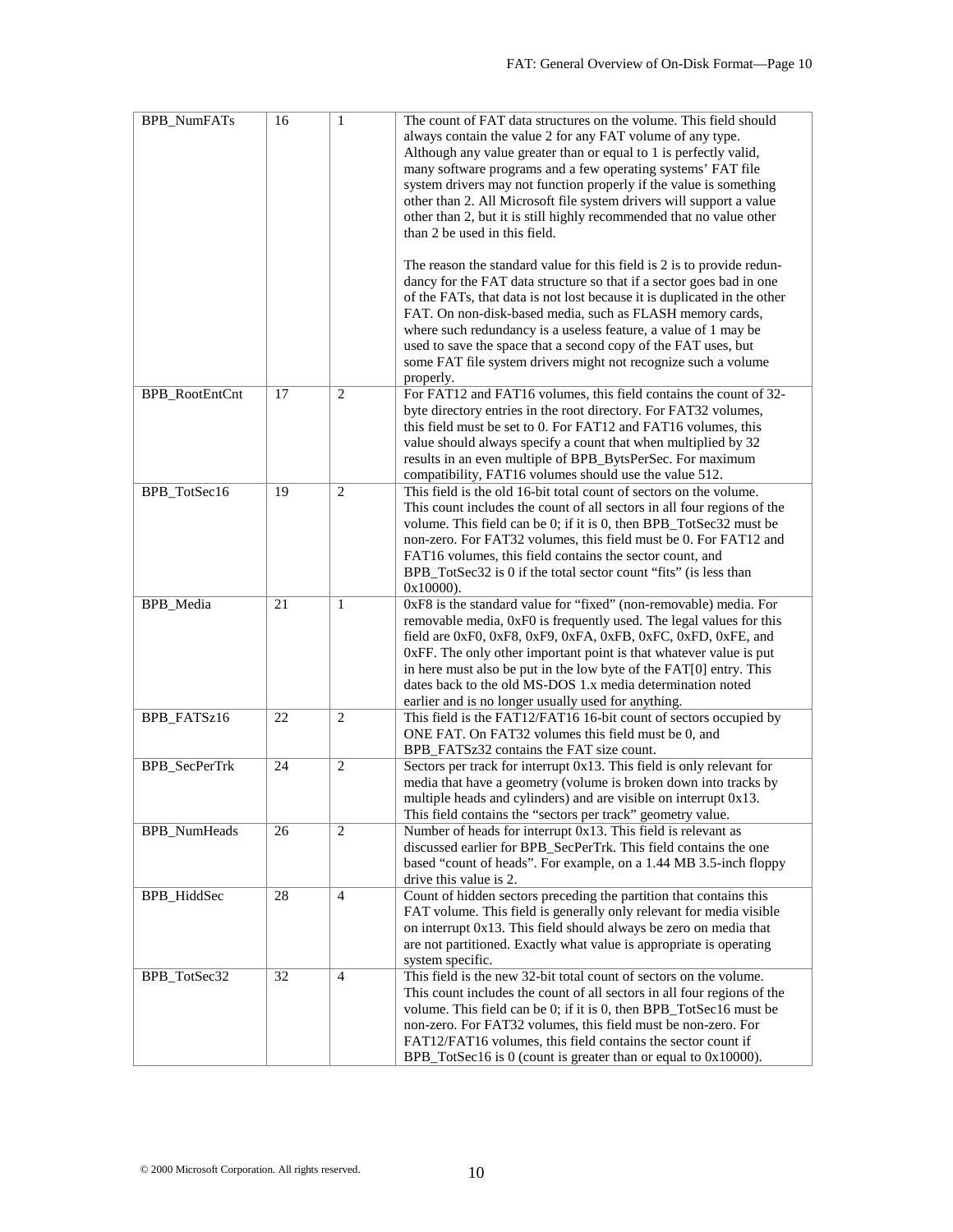| BPB_NumFATs    | 16 | $\mathbf{1}$   | The count of FAT data structures on the volume. This field should<br>always contain the value 2 for any FAT volume of any type.<br>Although any value greater than or equal to 1 is perfectly valid,<br>many software programs and a few operating systems' FAT file<br>system drivers may not function properly if the value is something<br>other than 2. All Microsoft file system drivers will support a value<br>other than 2, but it is still highly recommended that no value other<br>than 2 be used in this field.<br>The reason the standard value for this field is 2 is to provide redun-<br>dancy for the FAT data structure so that if a sector goes bad in one<br>of the FATs, that data is not lost because it is duplicated in the other<br>FAT. On non-disk-based media, such as FLASH memory cards,<br>where such redundancy is a useless feature, a value of 1 may be<br>used to save the space that a second copy of the FAT uses, but<br>some FAT file system drivers might not recognize such a volume |
|----------------|----|----------------|-------------------------------------------------------------------------------------------------------------------------------------------------------------------------------------------------------------------------------------------------------------------------------------------------------------------------------------------------------------------------------------------------------------------------------------------------------------------------------------------------------------------------------------------------------------------------------------------------------------------------------------------------------------------------------------------------------------------------------------------------------------------------------------------------------------------------------------------------------------------------------------------------------------------------------------------------------------------------------------------------------------------------------|
| BPB_RootEntCnt | 17 | 2              | properly.<br>For FAT12 and FAT16 volumes, this field contains the count of 32-<br>byte directory entries in the root directory. For FAT32 volumes,<br>this field must be set to 0. For FAT12 and FAT16 volumes, this<br>value should always specify a count that when multiplied by 32<br>results in an even multiple of BPB_BytsPerSec. For maximum<br>compatibility, FAT16 volumes should use the value 512.                                                                                                                                                                                                                                                                                                                                                                                                                                                                                                                                                                                                                |
| BPB_TotSec16   | 19 | $\overline{2}$ | This field is the old 16-bit total count of sectors on the volume.<br>This count includes the count of all sectors in all four regions of the<br>volume. This field can be 0; if it is 0, then BPB_TotSec32 must be<br>non-zero. For FAT32 volumes, this field must be 0. For FAT12 and<br>FAT16 volumes, this field contains the sector count, and<br>BPB_TotSec32 is 0 if the total sector count "fits" (is less than<br>$0x10000$ ).                                                                                                                                                                                                                                                                                                                                                                                                                                                                                                                                                                                       |
| BPB_Media      | 21 | $\mathbf{1}$   | 0xF8 is the standard value for "fixed" (non-removable) media. For<br>removable media, 0xF0 is frequently used. The legal values for this<br>field are 0xF0, 0xF8, 0xF9, 0xFA, 0xFB, 0xFC, 0xFD, 0xFE, and<br>0xFF. The only other important point is that whatever value is put<br>in here must also be put in the low byte of the FAT[0] entry. This<br>dates back to the old MS-DOS 1.x media determination noted<br>earlier and is no longer usually used for anything.                                                                                                                                                                                                                                                                                                                                                                                                                                                                                                                                                    |
| BPB_FATSz16    | 22 | 2              | This field is the FAT12/FAT16 16-bit count of sectors occupied by<br>ONE FAT. On FAT32 volumes this field must be 0, and<br>BPB_FATSz32 contains the FAT size count.                                                                                                                                                                                                                                                                                                                                                                                                                                                                                                                                                                                                                                                                                                                                                                                                                                                          |
| BPB_SecPerTrk  | 24 | $\mathbf{2}$   | Sectors per track for interrupt 0x13. This field is only relevant for<br>media that have a geometry (volume is broken down into tracks by<br>multiple heads and cylinders) and are visible on interrupt 0x13.<br>This field contains the "sectors per track" geometry value.                                                                                                                                                                                                                                                                                                                                                                                                                                                                                                                                                                                                                                                                                                                                                  |
| BPB_NumHeads   | 26 | 2              | Number of heads for interrupt 0x13. This field is relevant as<br>discussed earlier for BPB_SecPerTrk. This field contains the one<br>based "count of heads". For example, on a 1.44 MB 3.5-inch floppy<br>drive this value is 2.                                                                                                                                                                                                                                                                                                                                                                                                                                                                                                                                                                                                                                                                                                                                                                                              |
| BPB_HiddSec    | 28 | $\overline{4}$ | Count of hidden sectors preceding the partition that contains this<br>FAT volume. This field is generally only relevant for media visible<br>on interrupt 0x13. This field should always be zero on media that<br>are not partitioned. Exactly what value is appropriate is operating<br>system specific.                                                                                                                                                                                                                                                                                                                                                                                                                                                                                                                                                                                                                                                                                                                     |
| BPB_TotSec32   | 32 | $\overline{4}$ | This field is the new 32-bit total count of sectors on the volume.<br>This count includes the count of all sectors in all four regions of the<br>volume. This field can be 0; if it is 0, then BPB_TotSec16 must be<br>non-zero. For FAT32 volumes, this field must be non-zero. For<br>FAT12/FAT16 volumes, this field contains the sector count if<br>BPB_TotSec16 is 0 (count is greater than or equal to 0x10000).                                                                                                                                                                                                                                                                                                                                                                                                                                                                                                                                                                                                        |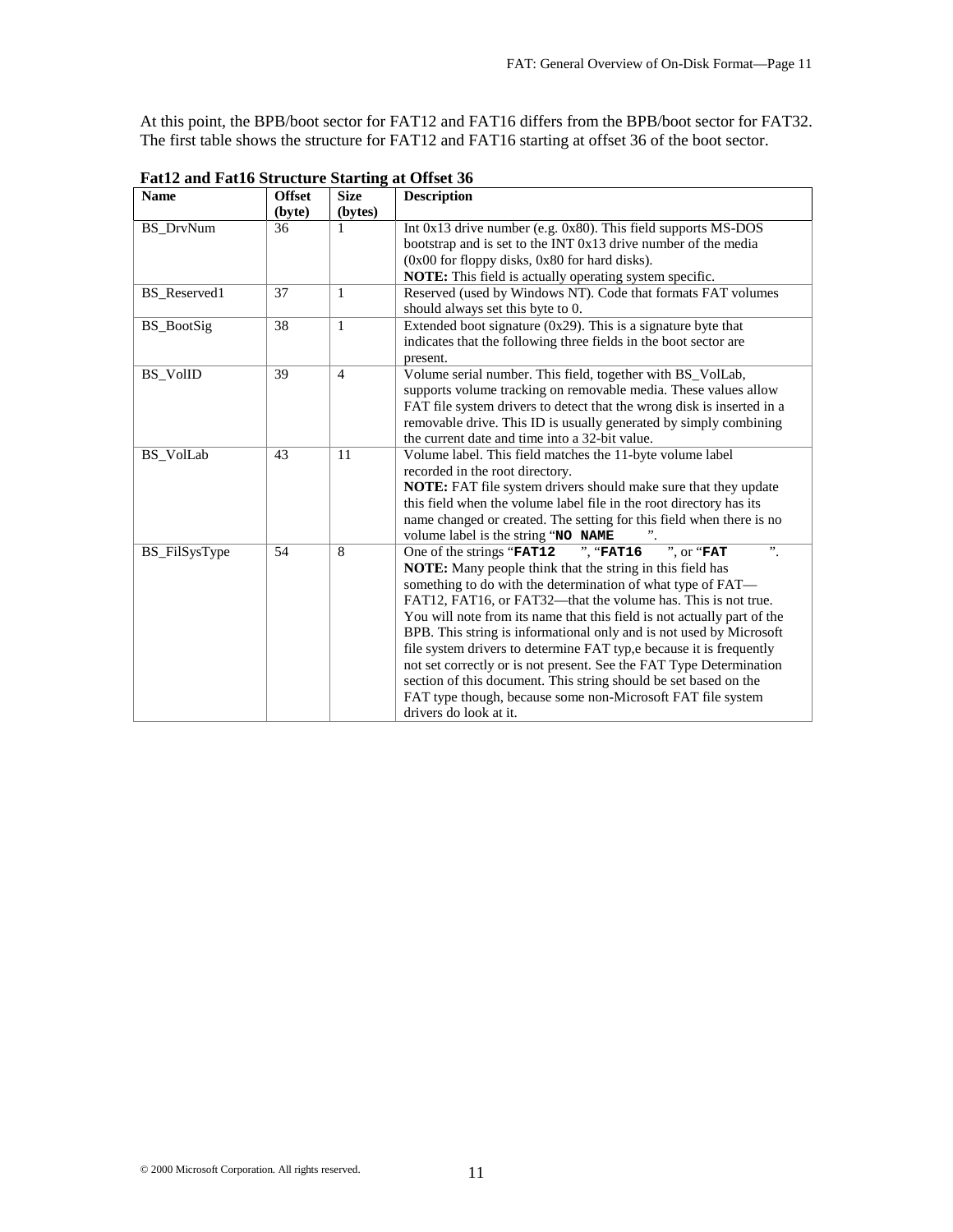At this point, the BPB/boot sector for FAT12 and FAT16 differs from the BPB/boot sector for FAT32. The first table shows the structure for FAT12 and FAT16 starting at offset 36 of the boot sector.

| <b>Name</b>      | <b>Offset</b> | <b>Size</b>    | <b>Description</b>                                                                                                                                                                                                                                                                                                                                                                                                                                                                                                                                                                                                                                                                                                           |
|------------------|---------------|----------------|------------------------------------------------------------------------------------------------------------------------------------------------------------------------------------------------------------------------------------------------------------------------------------------------------------------------------------------------------------------------------------------------------------------------------------------------------------------------------------------------------------------------------------------------------------------------------------------------------------------------------------------------------------------------------------------------------------------------------|
| BS_DrvNum        | (byte)<br>36  | (bytes)<br>1   | Int 0x13 drive number (e.g. 0x80). This field supports MS-DOS<br>bootstrap and is set to the INT 0x13 drive number of the media<br>(0x00 for floppy disks, 0x80 for hard disks).<br>NOTE: This field is actually operating system specific.                                                                                                                                                                                                                                                                                                                                                                                                                                                                                  |
| BS_Reserved1     | 37            | $\mathbf{1}$   | Reserved (used by Windows NT). Code that formats FAT volumes<br>should always set this byte to 0.                                                                                                                                                                                                                                                                                                                                                                                                                                                                                                                                                                                                                            |
| BS_BootSig       | 38            | $\mathbf{1}$   | Extended boot signature $(0x29)$ . This is a signature byte that<br>indicates that the following three fields in the boot sector are<br>present.                                                                                                                                                                                                                                                                                                                                                                                                                                                                                                                                                                             |
| <b>BS_VolID</b>  | 39            | $\overline{4}$ | Volume serial number. This field, together with BS_VolLab,<br>supports volume tracking on removable media. These values allow<br>FAT file system drivers to detect that the wrong disk is inserted in a<br>removable drive. This ID is usually generated by simply combining<br>the current date and time into a 32-bit value.                                                                                                                                                                                                                                                                                                                                                                                               |
| <b>BS_VolLab</b> | 43            | 11             | Volume label. This field matches the 11-byte volume label<br>recorded in the root directory.<br>NOTE: FAT file system drivers should make sure that they update<br>this field when the volume label file in the root directory has its<br>name changed or created. The setting for this field when there is no<br>volume label is the string "NO NAME                                                                                                                                                                                                                                                                                                                                                                        |
| BS_FilSysType    | 54            | 8              | ,,<br>", "FAT16<br>", or "FAT<br>One of the strings "FAT12"<br><b>NOTE:</b> Many people think that the string in this field has<br>something to do with the determination of what type of FAT—<br>FAT12, FAT16, or FAT32—that the volume has. This is not true.<br>You will note from its name that this field is not actually part of the<br>BPB. This string is informational only and is not used by Microsoft<br>file system drivers to determine FAT typ,e because it is frequently<br>not set correctly or is not present. See the FAT Type Determination<br>section of this document. This string should be set based on the<br>FAT type though, because some non-Microsoft FAT file system<br>drivers do look at it. |

**Fat12 and Fat16 Structure Starting at Offset 36**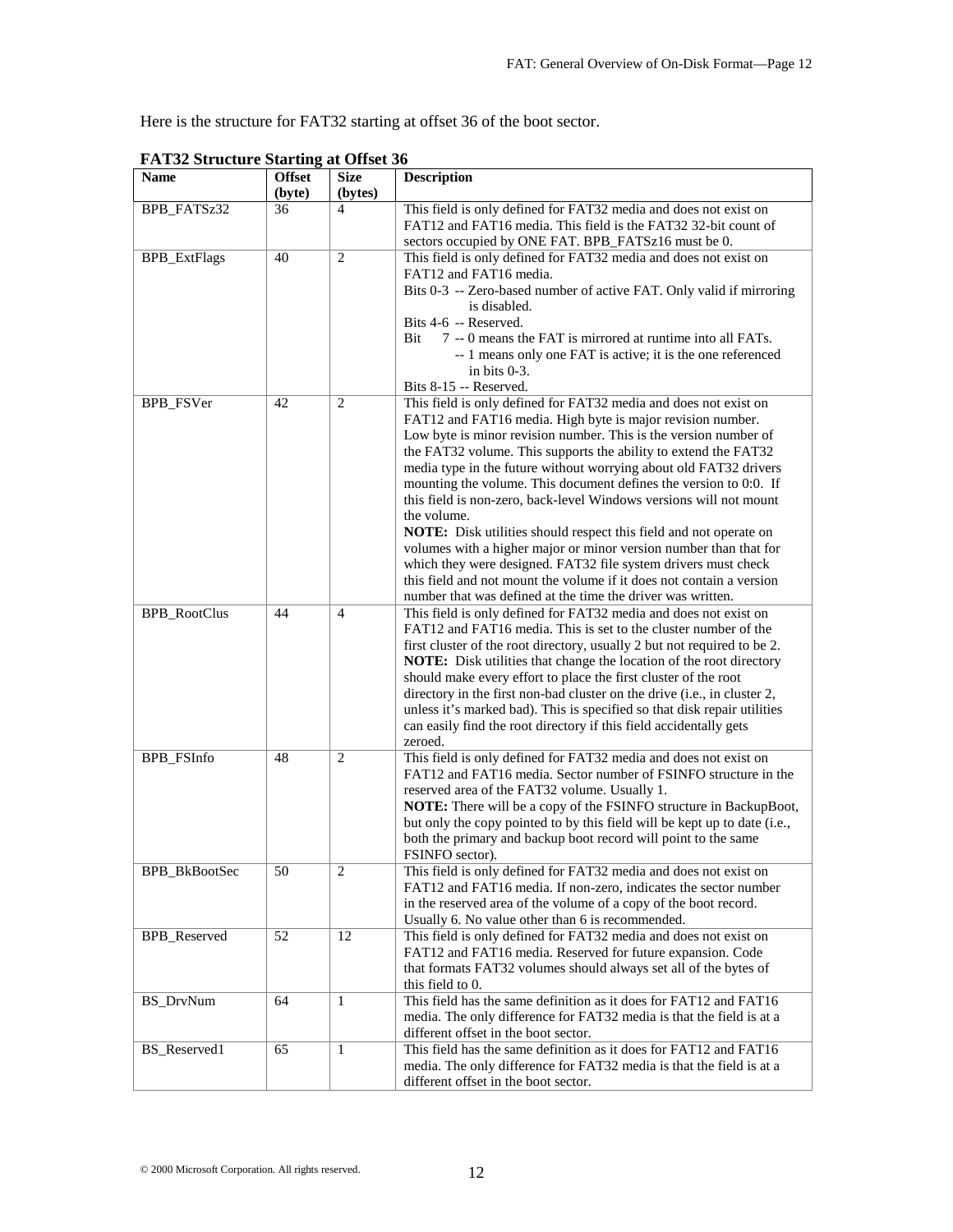Here is the structure for FAT32 starting at offset 36 of the boot sector.

| <b>Name</b>         | <b>Offset</b> | <b>Size</b>               | <b>Description</b>                                                                |
|---------------------|---------------|---------------------------|-----------------------------------------------------------------------------------|
|                     | (byte)<br>36  | (bytes)<br>$\overline{4}$ | This field is only defined for FAT32 media and does not exist on                  |
| BPB_FATSz32         |               |                           | FAT12 and FAT16 media. This field is the FAT32 32-bit count of                    |
|                     |               |                           | sectors occupied by ONE FAT. BPB_FATSz16 must be 0.                               |
| BPB_ExtFlags        | 40            | $\overline{2}$            | This field is only defined for FAT32 media and does not exist on                  |
|                     |               |                           | FAT12 and FAT16 media.                                                            |
|                     |               |                           | Bits 0-3 -- Zero-based number of active FAT. Only valid if mirroring              |
|                     |               |                           | is disabled.                                                                      |
|                     |               |                           | Bits 4-6 -- Reserved.                                                             |
|                     |               |                           | 7 -- 0 means the FAT is mirrored at runtime into all FATs.<br><b>Bit</b>          |
|                     |               |                           | -- 1 means only one FAT is active; it is the one referenced                       |
|                     |               |                           | in bits $0-3$ .                                                                   |
|                     |               |                           | Bits 8-15 -- Reserved.                                                            |
| BPB_FSVer           | 42            | 2                         | This field is only defined for FAT32 media and does not exist on                  |
|                     |               |                           | FAT12 and FAT16 media. High byte is major revision number.                        |
|                     |               |                           | Low byte is minor revision number. This is the version number of                  |
|                     |               |                           | the FAT32 volume. This supports the ability to extend the FAT32                   |
|                     |               |                           | media type in the future without worrying about old FAT32 drivers                 |
|                     |               |                           | mounting the volume. This document defines the version to 0:0. If                 |
|                     |               |                           | this field is non-zero, back-level Windows versions will not mount                |
|                     |               |                           | the volume.                                                                       |
|                     |               |                           | NOTE: Disk utilities should respect this field and not operate on                 |
|                     |               |                           | volumes with a higher major or minor version number than that for                 |
|                     |               |                           | which they were designed. FAT32 file system drivers must check                    |
|                     |               |                           | this field and not mount the volume if it does not contain a version              |
|                     |               |                           | number that was defined at the time the driver was written.                       |
| <b>BPB_RootClus</b> | 44            | $\overline{4}$            | This field is only defined for FAT32 media and does not exist on                  |
|                     |               |                           | FAT12 and FAT16 media. This is set to the cluster number of the                   |
|                     |               |                           | first cluster of the root directory, usually 2 but not required to be 2.          |
|                     |               |                           | NOTE: Disk utilities that change the location of the root directory               |
|                     |               |                           | should make every effort to place the first cluster of the root                   |
|                     |               |                           | directory in the first non-bad cluster on the drive (i.e., in cluster 2,          |
|                     |               |                           | unless it's marked bad). This is specified so that disk repair utilities          |
|                     |               |                           | can easily find the root directory if this field accidentally gets                |
|                     |               |                           | zeroed.                                                                           |
| BPB_FSInfo          | 48            | 2                         | This field is only defined for FAT32 media and does not exist on                  |
|                     |               |                           | FAT12 and FAT16 media. Sector number of FSINFO structure in the                   |
|                     |               |                           | reserved area of the FAT32 volume. Usually 1.                                     |
|                     |               |                           | NOTE: There will be a copy of the FSINFO structure in BackupBoot,                 |
|                     |               |                           | but only the copy pointed to by this field will be kept up to date (i.e.,         |
|                     |               |                           | both the primary and backup boot record will point to the same<br>FSINFO sector). |
| BPB_BkBootSec       | 50            | $\mathbf{2}$              | This field is only defined for FAT32 media and does not exist on                  |
|                     |               |                           | FAT12 and FAT16 media. If non-zero, indicates the sector number                   |
|                     |               |                           | in the reserved area of the volume of a copy of the boot record.                  |
|                     |               |                           | Usually 6. No value other than 6 is recommended.                                  |
| BPB_Reserved        | 52            | 12                        | This field is only defined for FAT32 media and does not exist on                  |
|                     |               |                           | FAT12 and FAT16 media. Reserved for future expansion. Code                        |
|                     |               |                           | that formats FAT32 volumes should always set all of the bytes of                  |
|                     |               |                           | this field to 0.                                                                  |
| BS_DrvNum           | 64            | $\mathbf{1}$              | This field has the same definition as it does for FAT12 and FAT16                 |
|                     |               |                           | media. The only difference for FAT32 media is that the field is at a              |
|                     |               |                           | different offset in the boot sector.                                              |
| BS_Reserved1        | 65            | $\mathbf{1}$              | This field has the same definition as it does for FAT12 and FAT16                 |
|                     |               |                           | media. The only difference for FAT32 media is that the field is at a              |
|                     |               |                           | different offset in the boot sector.                                              |

| <b>FAT32 Structure Starting at Offset 36</b> |  |  |  |  |
|----------------------------------------------|--|--|--|--|
|----------------------------------------------|--|--|--|--|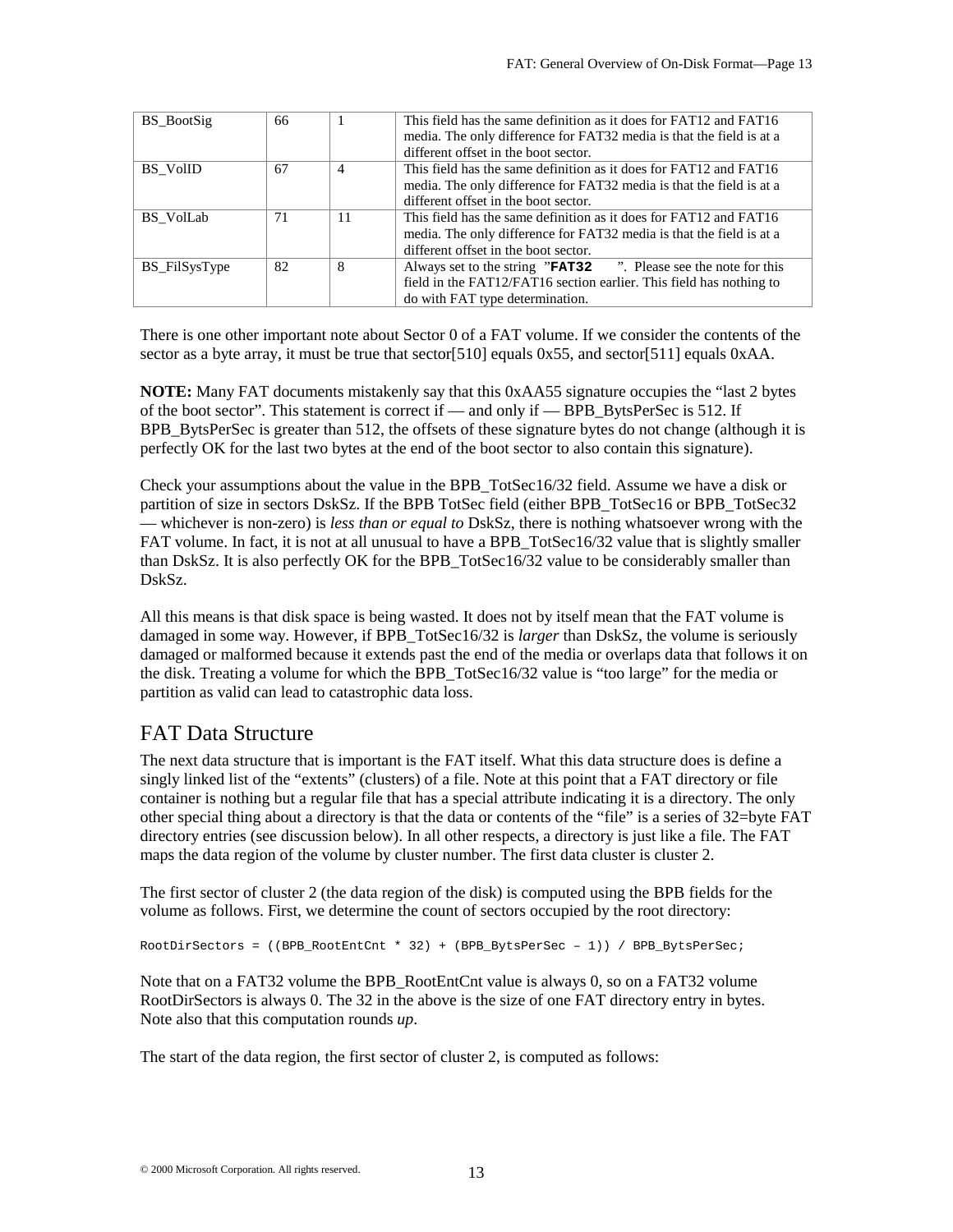<span id="page-12-0"></span>

| BS BootSig       | 66 |                | This field has the same definition as it does for FAT12 and FAT16<br>media. The only difference for FAT32 media is that the field is at a<br>different offset in the boot sector. |
|------------------|----|----------------|-----------------------------------------------------------------------------------------------------------------------------------------------------------------------------------|
| BS VolID         | 67 | $\overline{4}$ | This field has the same definition as it does for FAT12 and FAT16<br>media. The only difference for FAT32 media is that the field is at a<br>different offset in the boot sector. |
| <b>BS</b> VolLab | 71 | 11             | This field has the same definition as it does for FAT12 and FAT16<br>media. The only difference for FAT32 media is that the field is at a<br>different offset in the boot sector. |
| BS_FilSysType    | 82 | 8              | Always set to the string " <b>FAT32</b> ". Please see the note for this<br>field in the FAT12/FAT16 section earlier. This field has nothing to<br>do with FAT type determination. |

There is one other important note about Sector 0 of a FAT volume. If we consider the contents of the sector as a byte array, it must be true that sector[510] equals 0x55, and sector[511] equals 0xAA.

**NOTE:** Many FAT documents mistakenly say that this 0xAA55 signature occupies the "last 2 bytes of the boot sector". This statement is correct if — and only if — BPB\_BytsPerSec is 512. If BPB\_BytsPerSec is greater than 512, the offsets of these signature bytes do not change (although it is perfectly OK for the last two bytes at the end of the boot sector to also contain this signature).

Check your assumptions about the value in the BPB\_TotSec16/32 field. Assume we have a disk or partition of size in sectors DskSz. If the BPB TotSec field (either BPB\_TotSec16 or BPB\_TotSec32 — whichever is non-zero) is *less than or equal to* DskSz, there is nothing whatsoever wrong with the FAT volume. In fact, it is not at all unusual to have a BPB TotSec16/32 value that is slightly smaller than DskSz. It is also perfectly OK for the BPB\_TotSec16/32 value to be considerably smaller than DskSz.

All this means is that disk space is being wasted. It does not by itself mean that the FAT volume is damaged in some way. However, if BPB\_TotSec16/32 is *larger* than DskSz, the volume is seriously damaged or malformed because it extends past the end of the media or overlaps data that follows it on the disk. Treating a volume for which the BPB\_TotSec16/32 value is "too large" for the media or partition as valid can lead to catastrophic data loss.

## FAT Data Structure

The next data structure that is important is the FAT itself. What this data structure does is define a singly linked list of the "extents" (clusters) of a file. Note at this point that a FAT directory or file container is nothing but a regular file that has a special attribute indicating it is a directory. The only other special thing about a directory is that the data or contents of the "file" is a series of 32=byte FAT directory entries (see discussion below). In all other respects, a directory is just like a file. The FAT maps the data region of the volume by cluster number. The first data cluster is cluster 2.

The first sector of cluster 2 (the data region of the disk) is computed using the BPB fields for the volume as follows. First, we determine the count of sectors occupied by the root directory:

RootDirSectors = ((BPB\_RootEntCnt \* 32) + (BPB\_BytsPerSec – 1)) / BPB\_BytsPerSec;

Note that on a FAT32 volume the BPB\_RootEntCnt value is always 0, so on a FAT32 volume RootDirSectors is always 0. The 32 in the above is the size of one FAT directory entry in bytes. Note also that this computation rounds *up*.

The start of the data region, the first sector of cluster 2, is computed as follows: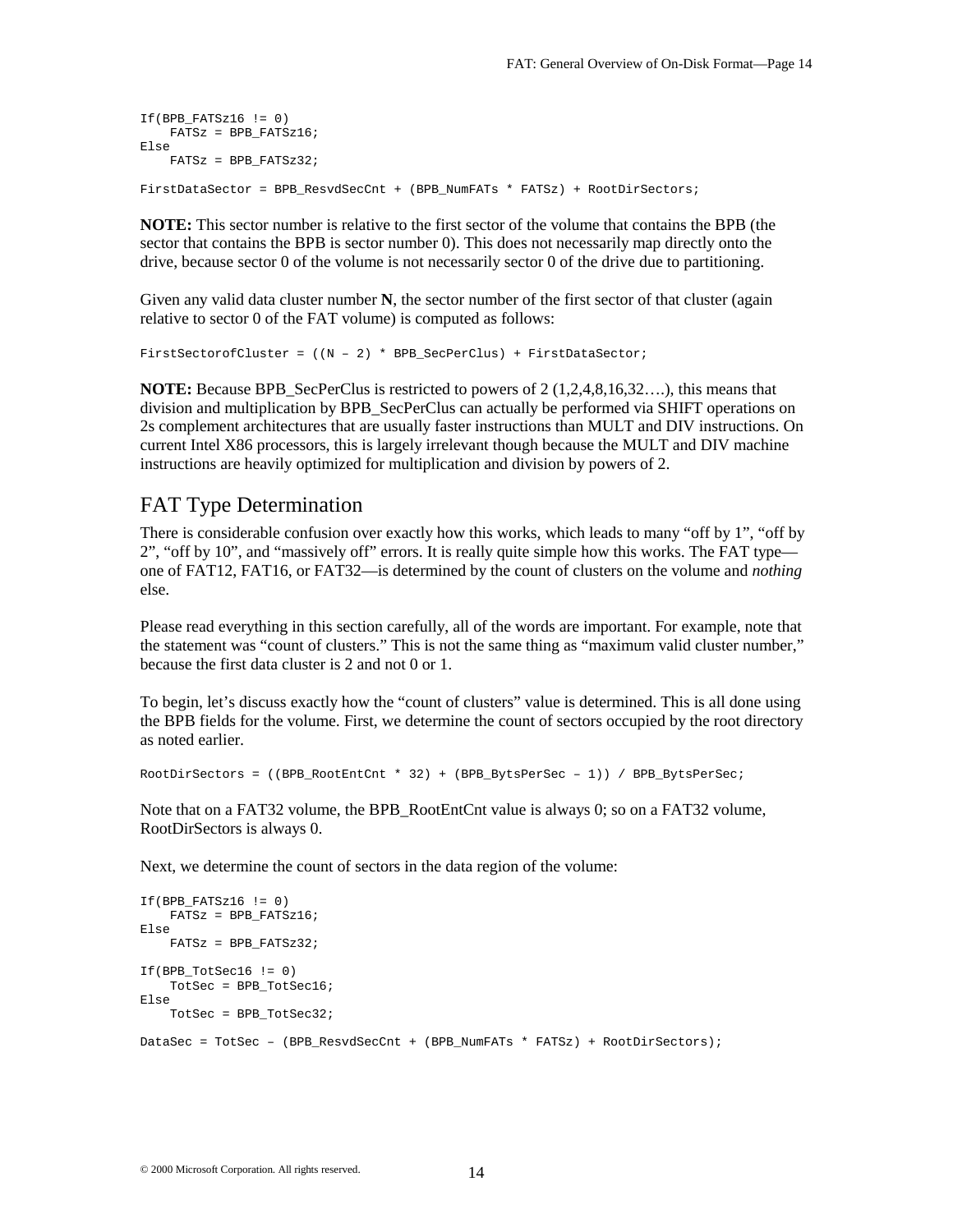```
If(BPB_FATSz16 := 0)FATSz = BPB_FATSz16;Else
   FATSz = BPB FATSz32;FirstDataSector = BPB_ResvdSecCnt + (BPB_NumFATs * FATSz) + RootDirSectors;
```
**NOTE:** This sector number is relative to the first sector of the volume that contains the BPB (the sector that contains the BPB is sector number 0). This does not necessarily map directly onto the drive, because sector 0 of the volume is not necessarily sector 0 of the drive due to partitioning.

Given any valid data cluster number **N**, the sector number of the first sector of that cluster (again relative to sector 0 of the FAT volume) is computed as follows:

FirstSectorofCluster =  $((N - 2) * BPB_SecPerClus) + FirstDatabasector;$ 

**NOTE:** Because BPB SecPerClus is restricted to powers of 2 (1,2,4,8,16,32...), this means that division and multiplication by BPB\_SecPerClus can actually be performed via SHIFT operations on 2s complement architectures that are usually faster instructions than MULT and DIV instructions. On current Intel X86 processors, this is largely irrelevant though because the MULT and DIV machine instructions are heavily optimized for multiplication and division by powers of 2.

## FAT Type Determination

There is considerable confusion over exactly how this works, which leads to many "off by 1", "off by 2", "off by 10", and "massively off" errors. It is really quite simple how this works. The FAT type one of FAT12, FAT16, or FAT32—is determined by the count of clusters on the volume and *nothing*  else.

Please read everything in this section carefully, all of the words are important. For example, note that the statement was "count of clusters." This is not the same thing as "maximum valid cluster number," because the first data cluster is 2 and not 0 or 1.

To begin, let's discuss exactly how the "count of clusters" value is determined. This is all done using the BPB fields for the volume. First, we determine the count of sectors occupied by the root directory as noted earlier.

```
RootDirSectors = ((BPB_RootEntCnt * 32) + (BPB_BytsPerSec – 1)) / BPB_BytsPerSec;
```
Note that on a FAT32 volume, the BPB\_RootEntCnt value is always 0; so on a FAT32 volume, RootDirSectors is always 0.

Next, we determine the count of sectors in the data region of the volume:

```
If(BPB_FATSz16 := 0)FATSz = BPB_FATSz16;
Else
   FATSz = BPB_FATSz32;
If(BPB TotSec16 != 0)
   TotSec = BPB_TotSec16;
Else
   TotSec = BPB_TotSec32;
DataSec = TotSec – (BPB_ResvdSecCnt + (BPB_NumFATs * FATSz) + RootDirSectors);
```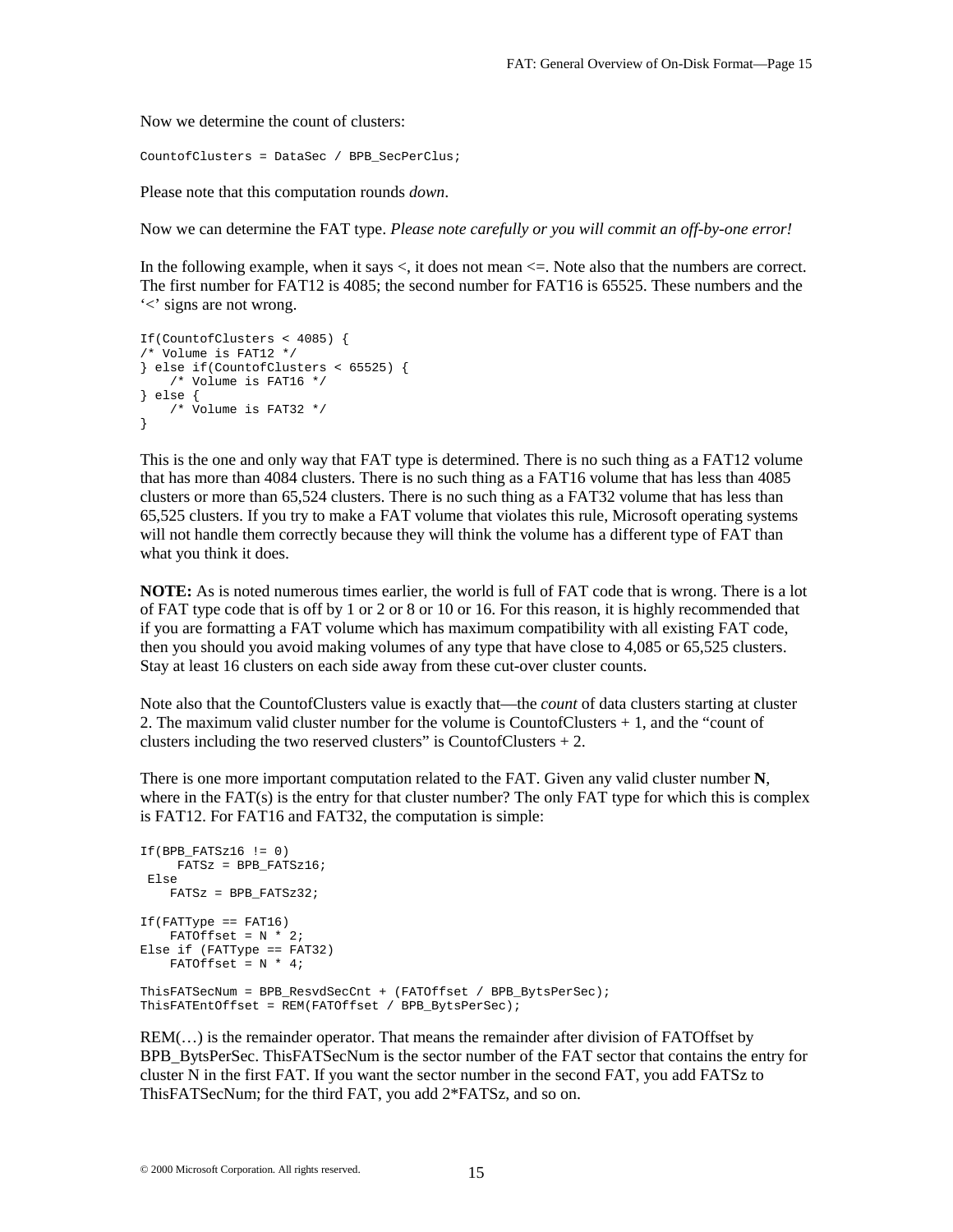Now we determine the count of clusters:

CountofClusters = DataSec / BPB\_SecPerClus;

Please note that this computation rounds *down*.

Now we can determine the FAT type. *Please note carefully or you will commit an off-by-one error!* 

In the following example, when it says  $\lt$ , it does not mean  $\lt$  =. Note also that the numbers are correct. The first number for FAT12 is 4085; the second number for FAT16 is 65525. These numbers and the '<' signs are not wrong.

```
If(CountofClusters < 4085) {
/* Volume is FAT12 */
} else if(CountofClusters < 65525) {
   /* Volume is FAT16 */
} else {
   /* Volume is FAT32 */
}
```
This is the one and only way that FAT type is determined. There is no such thing as a FAT12 volume that has more than 4084 clusters. There is no such thing as a FAT16 volume that has less than 4085 clusters or more than 65,524 clusters. There is no such thing as a FAT32 volume that has less than 65,525 clusters. If you try to make a FAT volume that violates this rule, Microsoft operating systems will not handle them correctly because they will think the volume has a different type of FAT than what you think it does.

**NOTE:** As is noted numerous times earlier, the world is full of FAT code that is wrong. There is a lot of FAT type code that is off by 1 or 2 or 8 or 10 or 16. For this reason, it is highly recommended that if you are formatting a FAT volume which has maximum compatibility with all existing FAT code, then you should you avoid making volumes of any type that have close to 4,085 or 65,525 clusters. Stay at least 16 clusters on each side away from these cut-over cluster counts.

Note also that the CountofClusters value is exactly that—the *count* of data clusters starting at cluster 2. The maximum valid cluster number for the volume is CountofClusters + 1, and the "count of clusters including the two reserved clusters" is CountofClusters  $+ 2$ .

There is one more important computation related to the FAT. Given any valid cluster number **N**, where in the FAT(s) is the entry for that cluster number? The only FAT type for which this is complex is FAT12. For FAT16 and FAT32, the computation is simple:

```
If(BPB FATSz16 != 0)
    FATSz = BPB_FATSz16;
Else
   FATSz = BPB FATSz32;If(FATType == FAT16)FATOffset = N * 2iElse if (FATType == FAT32)
   FATOffset = N * 4;
ThisFATSecNum = BPB_ResvdSecCnt + (FATOffset / BPB_BytsPerSec);
ThisFATEntOffset = REM(FATOffset / BPB_BytsPerSec);
```
REM(…) is the remainder operator. That means the remainder after division of FATOffset by BPB\_BytsPerSec. ThisFATSecNum is the sector number of the FAT sector that contains the entry for cluster N in the first FAT. If you want the sector number in the second FAT, you add FATSz to ThisFATSecNum; for the third FAT, you add 2\*FATSz, and so on.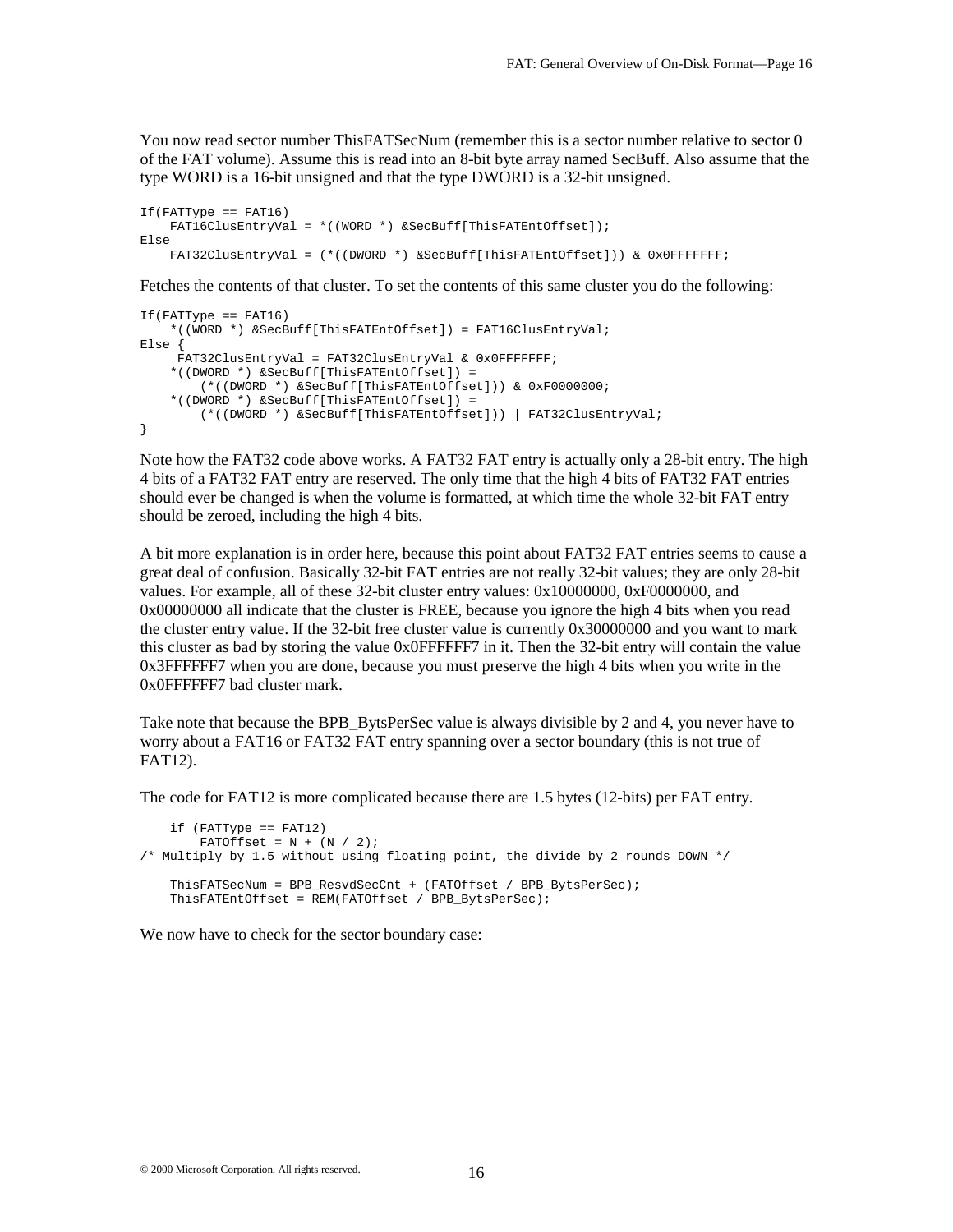You now read sector number ThisFATSecNum (remember this is a sector number relative to sector 0 of the FAT volume). Assume this is read into an 8-bit byte array named SecBuff. Also assume that the type WORD is a 16-bit unsigned and that the type DWORD is a 32-bit unsigned.

```
If(FATType == FAT16)
   FAT16ClusEntryVal = *((WORD *) &SecBuff[ThisFATEntOffset]);
Else
   FAT32ClusEntryVal = (*((DWORD *) &SecBuff[ThisFATEntOffset])) & 0x0FFFFFFF;
```
Fetches the contents of that cluster. To set the contents of this same cluster you do the following:

```
If(FATType == FAT16)*((WORD *) &SecBuff[ThisFATEntOffset]) = FAT16ClusEntryVal;
Else {
    FAT32ClusEntryVal = FAT32ClusEntryVal & 0x0FFFFFFF;
   *((DWORD *) &SecBuff[ThisFATEntOffset]) =
        (*((DWORD *) &SecBuff[ThisFATEntOffset])) & 0xF0000000;
   *((DWORD *) &SecBuff[ThisFATEntOffset]) =
       (*((DWORD *) &SecBuff[ThisFATEntOffset])) | FAT32ClusEntryVal;
}
```
Note how the FAT32 code above works. A FAT32 FAT entry is actually only a 28-bit entry. The high 4 bits of a FAT32 FAT entry are reserved. The only time that the high 4 bits of FAT32 FAT entries should ever be changed is when the volume is formatted, at which time the whole 32-bit FAT entry should be zeroed, including the high 4 bits.

A bit more explanation is in order here, because this point about FAT32 FAT entries seems to cause a great deal of confusion. Basically 32-bit FAT entries are not really 32-bit values; they are only 28-bit values. For example, all of these 32-bit cluster entry values: 0x10000000, 0xF0000000, and 0x00000000 all indicate that the cluster is FREE, because you ignore the high 4 bits when you read the cluster entry value. If the 32-bit free cluster value is currently 0x30000000 and you want to mark this cluster as bad by storing the value 0x0FFFFFF7 in it. Then the 32-bit entry will contain the value 0x3FFFFFF7 when you are done, because you must preserve the high 4 bits when you write in the 0x0FFFFFF7 bad cluster mark.

Take note that because the BPB\_BytsPerSec value is always divisible by 2 and 4, you never have to worry about a FAT16 or FAT32 FAT entry spanning over a sector boundary (this is not true of FAT12).

The code for FAT12 is more complicated because there are 1.5 bytes (12-bits) per FAT entry.

```
if (FATType == FAT12)
       FATOffset = N + (N / 2);
/* Multiply by 1.5 without using floating point, the divide by 2 rounds DOWN */
   ThisFATSecNum = BPB_ResvdSecCnt + (FATOffset / BPB_BytsPerSec);
   ThisFATEntOffset = REM(FATOffset / BPB_BytsPerSec);
```
We now have to check for the sector boundary case: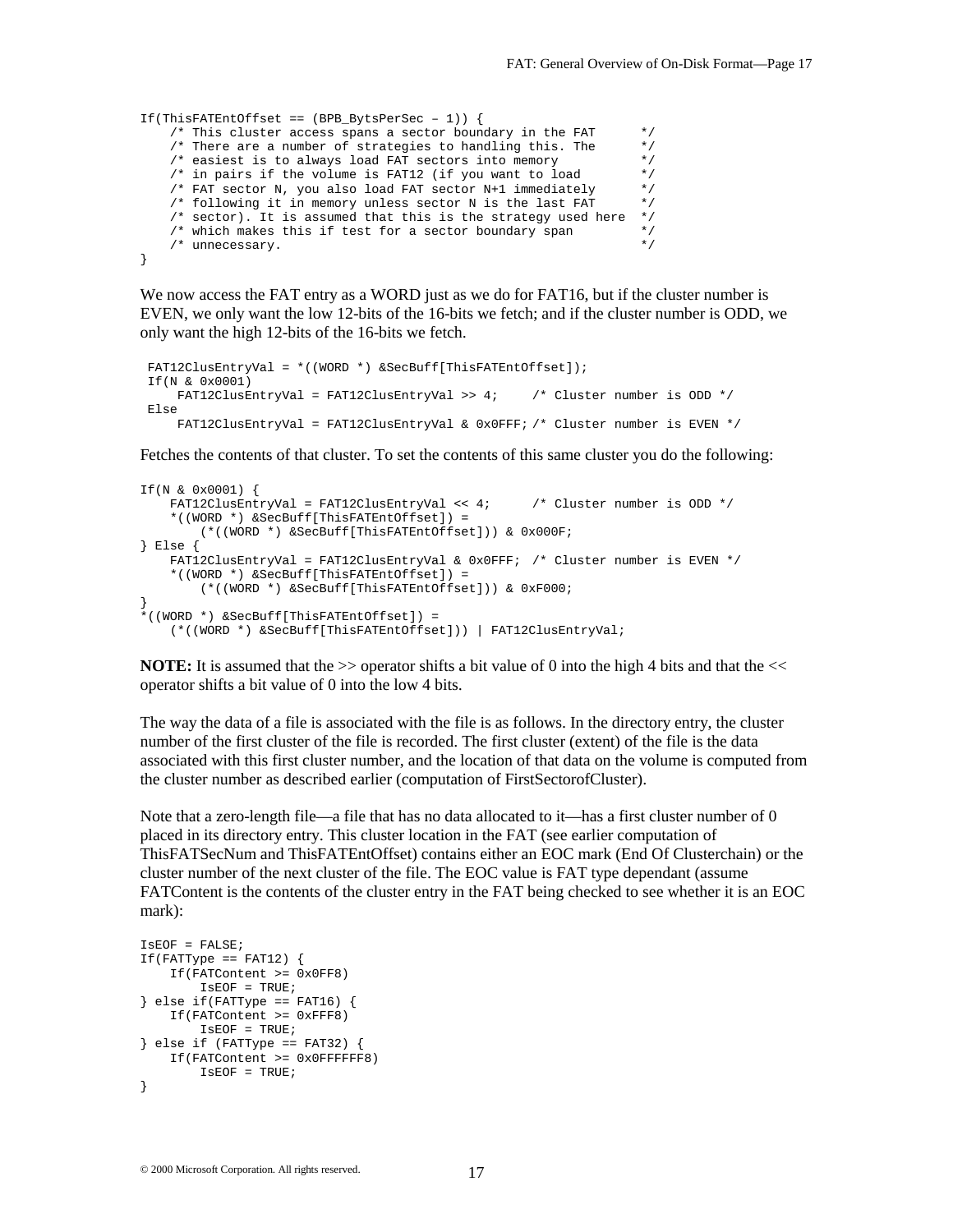```
If(ThisFATEntOffset == (BPB_BytsPerSec – 1)) {
     /* This cluster access spans a sector boundary in the FAT */<br>/* There are a number of strategies to bandling this The *//* There are a number of strategies to handling this. The */<br>/* easiest is to always load FAT sectors into memory *//* easiest is to always load FAT sectors into memory
     /* in pairs if the volume is FAT12 (if you want to load
     /* FAT sector N, you also load FAT sector N+1 immediately */
     /* following it in memory unless sector N is the last FAT */<br>/* sector). It is assumed that this is the strategy used here */
     /* sector). It is assumed that this is the strategy used here */<br>/* which makes this if test for a sector boundary span */
     /* which makes this if test for a sector boundary span \frac{\ast}{\ast}<br>/* unnecessary
     /* unnecessary.
}
```
We now access the FAT entry as a WORD just as we do for FAT16, but if the cluster number is EVEN, we only want the low 12-bits of the 16-bits we fetch; and if the cluster number is ODD, we only want the high 12-bits of the 16-bits we fetch.

```
FAT12ClusEntryVal = *((WORD *) &SecBuff[ThisFATEntOffset]);
If(N & 0x0001)
   FAT12ClusEntryVal = FAT12ClusEntryVal >> 4; /* Cluster number is ODD */
Else
    FAT12ClusEntryVal = FAT12ClusEntryVal & 0x0FFF; /* Cluster number is EVEN */
```
Fetches the contents of that cluster. To set the contents of this same cluster you do the following:

```
If(N & 0x0001) {
   FAT12ClusEntryVal = FAT12ClusEntryVal << 4; /* Cluster number is ODD */
   *((WORD *) &SecBuff[ThisFATEntOffset]) =
        (*((WORD *) &SecBuff[ThisFATEntOffset])) & 0x000F;
} Else {
   FAT12ClusEntryVal = FAT12ClusEntryVal & 0x0FFF; /* Cluster number is EVEN */
   *((WORD *) &SecBuff[ThisFATEntOffset]) =
       (*((WORD *) &SecBuff[ThisFATEntOffset])) & 0xF000;
}
*((WORD *) &SecBuff[ThisFATEntOffset]) =
   (*((WORD *) &SecBuff[ThisFATEntOffset])) | FAT12ClusEntryVal;
```
**NOTE:** It is assumed that the  $\gg$  operator shifts a bit value of 0 into the high 4 bits and that the  $<<$ operator shifts a bit value of 0 into the low 4 bits.

The way the data of a file is associated with the file is as follows. In the directory entry, the cluster number of the first cluster of the file is recorded. The first cluster (extent) of the file is the data associated with this first cluster number, and the location of that data on the volume is computed from the cluster number as described earlier (computation of FirstSectorofCluster).

Note that a zero-length file—a file that has no data allocated to it—has a first cluster number of 0 placed in its directory entry. This cluster location in the FAT (see earlier computation of ThisFATSecNum and ThisFATEntOffset) contains either an EOC mark (End Of Clusterchain) or the cluster number of the next cluster of the file. The EOC value is FAT type dependant (assume FATContent is the contents of the cluster entry in the FAT being checked to see whether it is an EOC mark):

```
IsEOF = FALSE;
If(FATType == FAT12) {
   If(FATContent >= 0x0FF8)
       ISEOF = TRUE;} else if(FATType == FAT16) {
   If(FATContent >= 0xFFF8)
       IsEOF = TRUE;
} else if (FATType == FAT32) {
   If(FATContent >= 0x0FFFFFF8)
       ISEOF = TRUE;
}
```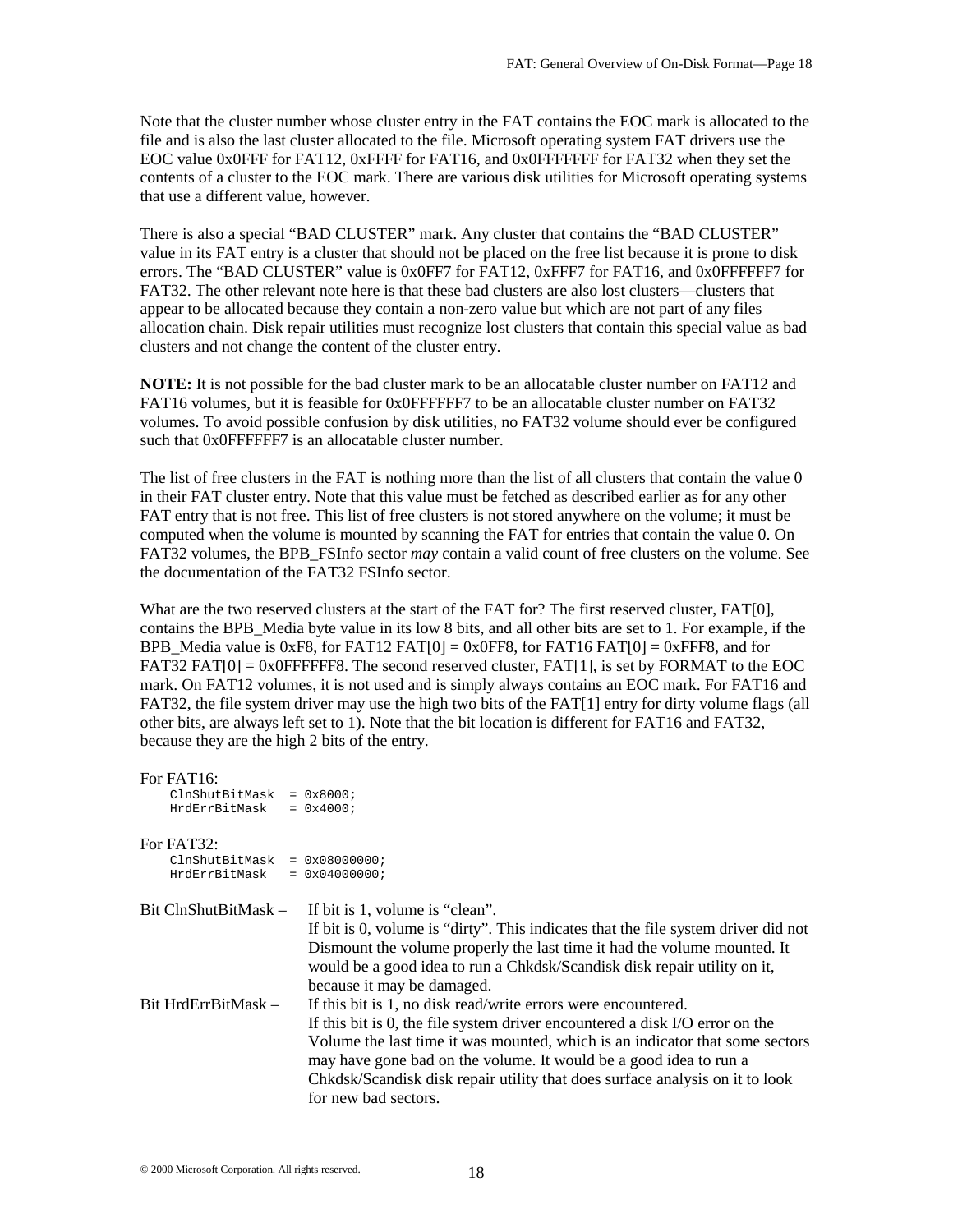Note that the cluster number whose cluster entry in the FAT contains the EOC mark is allocated to the file and is also the last cluster allocated to the file. Microsoft operating system FAT drivers use the EOC value 0x0FFF for FAT12, 0xFFFF for FAT16, and 0x0FFFFFFF for FAT32 when they set the contents of a cluster to the EOC mark. There are various disk utilities for Microsoft operating systems that use a different value, however.

There is also a special "BAD CLUSTER" mark. Any cluster that contains the "BAD CLUSTER" value in its FAT entry is a cluster that should not be placed on the free list because it is prone to disk errors. The "BAD CLUSTER" value is 0x0FF7 for FAT12, 0xFFF7 for FAT16, and 0x0FFFFFF7 for FAT32. The other relevant note here is that these bad clusters are also lost clusters—clusters that appear to be allocated because they contain a non-zero value but which are not part of any files allocation chain. Disk repair utilities must recognize lost clusters that contain this special value as bad clusters and not change the content of the cluster entry.

**NOTE:** It is not possible for the bad cluster mark to be an allocatable cluster number on FAT12 and FAT16 volumes, but it is feasible for 0x0FFFFFF7 to be an allocatable cluster number on FAT32 volumes. To avoid possible confusion by disk utilities, no FAT32 volume should ever be configured such that 0x0FFFFFF7 is an allocatable cluster number.

The list of free clusters in the FAT is nothing more than the list of all clusters that contain the value 0 in their FAT cluster entry. Note that this value must be fetched as described earlier as for any other FAT entry that is not free. This list of free clusters is not stored anywhere on the volume; it must be computed when the volume is mounted by scanning the FAT for entries that contain the value 0. On FAT32 volumes, the BPB\_FSInfo sector *may* contain a valid count of free clusters on the volume. See the documentation of the FAT32 FSInfo sector.

What are the two reserved clusters at the start of the FAT for? The first reserved cluster, FAT[0], contains the BPB\_Media byte value in its low 8 bits, and all other bits are set to 1. For example, if the BPB\_Media value is 0xF8, for FAT12 FAT[0] = 0x0FF8, for FAT16 FAT[0] = 0xFFF8, and for FAT32 FAT[0] = 0x0FFFFFF8. The second reserved cluster, FAT[1], is set by FORMAT to the EOC mark. On FAT12 volumes, it is not used and is simply always contains an EOC mark. For FAT16 and FAT32, the file system driver may use the high two bits of the FAT[1] entry for dirty volume flags (all other bits, are always left set to 1). Note that the bit location is different for FAT16 and FAT32, because they are the high 2 bits of the entry.

#### For FAT16:

ClnShutBitMask = 0x8000; HrdErrBitMask = 0x4000;

#### For FAT32:

| ClnShutBitMask | $= 0 \times 0.8000000i$ |
|----------------|-------------------------|
| HrdErrBitMask  | $= 0 \times 04000000i$  |

Bit ClnShutBitMask – If bit is 1, volume is "clean". If bit is 0, volume is "dirty". This indicates that the file system driver did not Dismount the volume properly the last time it had the volume mounted. It would be a good idea to run a Chkdsk/Scandisk disk repair utility on it, because it may be damaged. Bit HrdErrBitMask – If this bit is 1, no disk read/write errors were encountered. If this bit is 0, the file system driver encountered a disk I/O error on the Volume the last time it was mounted, which is an indicator that some sectors may have gone bad on the volume. It would be a good idea to run a Chkdsk/Scandisk disk repair utility that does surface analysis on it to look

for new bad sectors.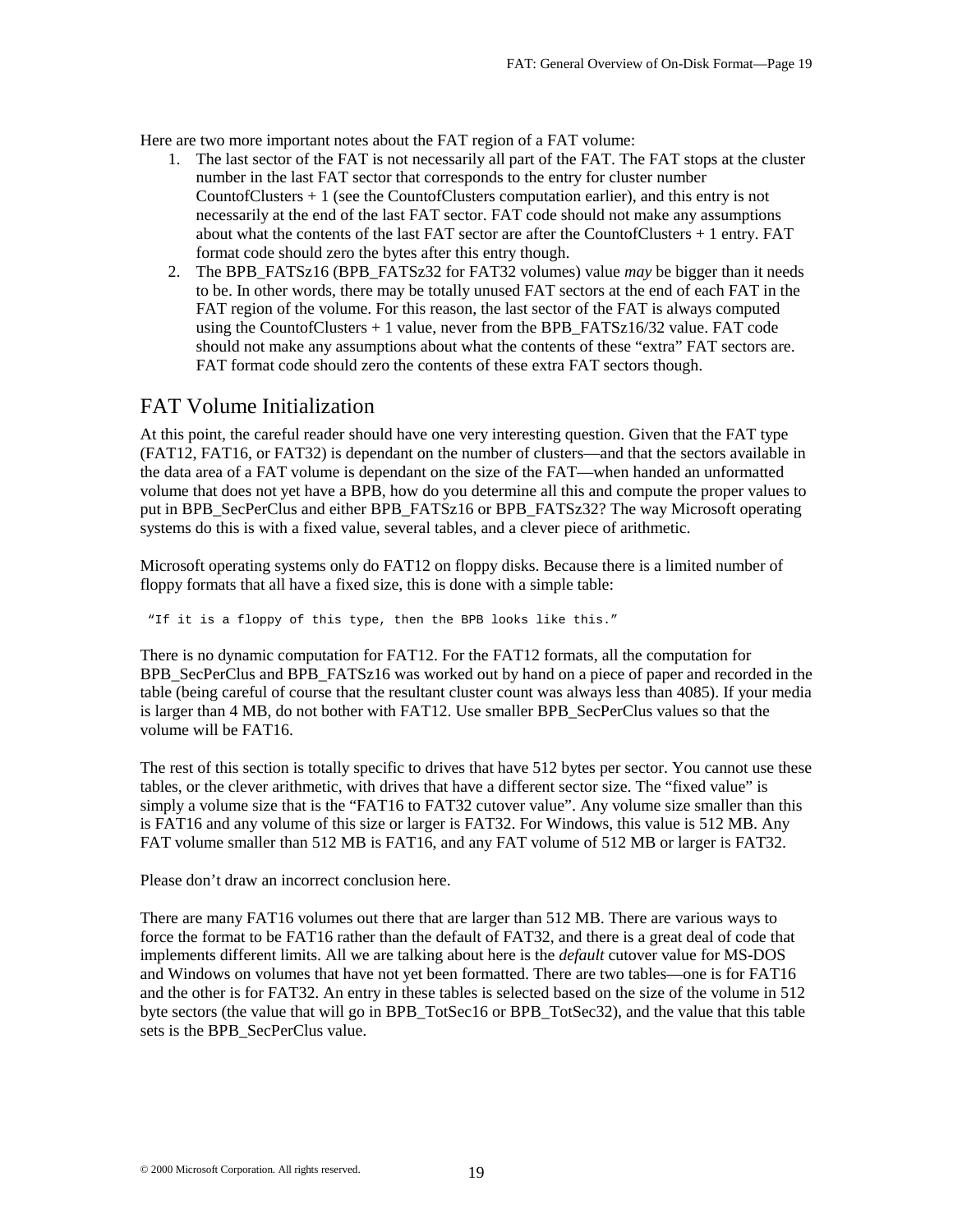<span id="page-18-0"></span>Here are two more important notes about the FAT region of a FAT volume:

- 1. The last sector of the FAT is not necessarily all part of the FAT. The FAT stops at the cluster number in the last FAT sector that corresponds to the entry for cluster number CountofClusters + 1 (see the CountofClusters computation earlier), and this entry is not necessarily at the end of the last FAT sector. FAT code should not make any assumptions about what the contents of the last FAT sector are after the CountofClusters + 1 entry. FAT format code should zero the bytes after this entry though.
- 2. The BPB\_FATSz16 (BPB\_FATSz32 for FAT32 volumes) value *may* be bigger than it needs to be. In other words, there may be totally unused FAT sectors at the end of each FAT in the FAT region of the volume. For this reason, the last sector of the FAT is always computed using the CountofClusters  $+1$  value, never from the BPB FATSz16/32 value. FAT code should not make any assumptions about what the contents of these "extra" FAT sectors are. FAT format code should zero the contents of these extra FAT sectors though.

## FAT Volume Initialization

At this point, the careful reader should have one very interesting question. Given that the FAT type (FAT12, FAT16, or FAT32) is dependant on the number of clusters—and that the sectors available in the data area of a FAT volume is dependant on the size of the FAT—when handed an unformatted volume that does not yet have a BPB, how do you determine all this and compute the proper values to put in BPB\_SecPerClus and either BPB\_FATSz16 or BPB\_FATSz32? The way Microsoft operating systems do this is with a fixed value, several tables, and a clever piece of arithmetic.

Microsoft operating systems only do FAT12 on floppy disks. Because there is a limited number of floppy formats that all have a fixed size, this is done with a simple table:

"If it is a floppy of this type, then the BPB looks like this."

There is no dynamic computation for FAT12. For the FAT12 formats, all the computation for BPB\_SecPerClus and BPB\_FATSz16 was worked out by hand on a piece of paper and recorded in the table (being careful of course that the resultant cluster count was always less than 4085). If your media is larger than 4 MB, do not bother with FAT12. Use smaller BPB\_SecPerClus values so that the volume will be FAT16.

The rest of this section is totally specific to drives that have 512 bytes per sector. You cannot use these tables, or the clever arithmetic, with drives that have a different sector size. The "fixed value" is simply a volume size that is the "FAT16 to FAT32 cutover value". Any volume size smaller than this is FAT16 and any volume of this size or larger is FAT32. For Windows, this value is 512 MB. Any FAT volume smaller than 512 MB is FAT16, and any FAT volume of 512 MB or larger is FAT32.

Please don't draw an incorrect conclusion here.

There are many FAT16 volumes out there that are larger than 512 MB. There are various ways to force the format to be FAT16 rather than the default of FAT32, and there is a great deal of code that implements different limits. All we are talking about here is the *default* cutover value for MS-DOS and Windows on volumes that have not yet been formatted. There are two tables—one is for FAT16 and the other is for FAT32. An entry in these tables is selected based on the size of the volume in 512 byte sectors (the value that will go in BPB\_TotSec16 or BPB\_TotSec32), and the value that this table sets is the BPB\_SecPerClus value.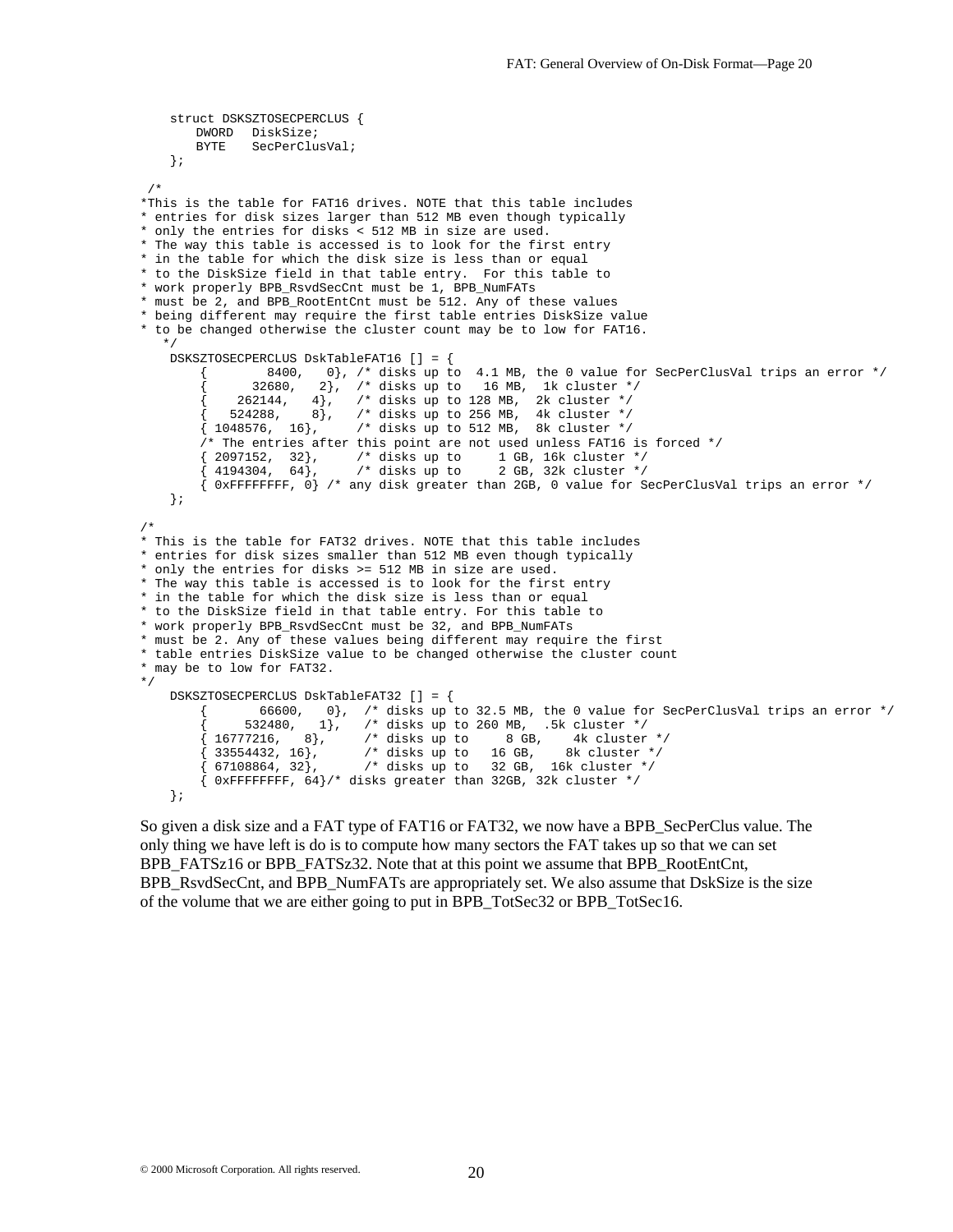```
struct DSKSZTOSECPERCLUS {
        DWORD DiskSize;
        BYTE SecPerClusVal;
    };
 /*
*This is the table for FAT16 drives. NOTE that this table includes
* entries for disk sizes larger than 512 MB even though typically
* only the entries for disks < 512 MB in size are used.
* The way this table is accessed is to look for the first entry
* in the table for which the disk size is less than or equal
* to the DiskSize field in that table entry. For this table to
* work properly BPB_RsvdSecCnt must be 1, BPB_NumFATs
* must be 2, and BPB_RootEntCnt must be 512. Any of these values
* being different may require the first table entries DiskSize value
* to be changed otherwise the cluster count may be to low for FAT16.
   */
    DSKSZTOSECPERCLUS DskTableFAT16 [] = {
                 8400, 0}, /* disks up to 4.1 MB, the 0 value for SecPerClusVal trips an error */<br>32680, 2}, /* disks up to 16 MB, 1k cluster */
         \{ 32680, 2}, /* disks up to 16 MB, 1k cluster */
         \{ 262144, 4 \}, \prime* disks up to 128 MB, 2k cluster */
          {524288}, {8}, /* disks up to 256 MB, 4k cluster */<br>1048576, 16}, /* disks up to 512 MB, 8k cluster */
                                /* disks up to 512 MB, 8k cluster */
           /* The entries after this point are not used unless FAT16 is forced */
         \{ 2097152, 32 \}, \t\t 7 disks up to 1 GB, 16k cluster */<br>\{ 4194304, 64 \}, \t\t 7 disks up to 2 GB, 32k cluster */
           { 4194304, 64}, /* disks up to 2 GB, 32k cluster */
         \{ OxFFFFFFFF, 0} /* any disk greater than 2GB, 0 value for SecPerClusVal trips an error */
    };
/*
* This is the table for FAT32 drives. NOTE that this table includes
* entries for disk sizes smaller than 512 MB even though typically
* only the entries for disks >= 512 MB in size are used.
* The way this table is accessed is to look for the first entry
* in the table for which the disk size is less than or equal
* to the DiskSize field in that table entry. For this table to
* work properly BPB_RsvdSecCnt must be 32, and BPB_NumFATs
* must be 2. Any of these values being different may require the first
* table entries DiskSize value to be changed otherwise the cluster count
* may be to low for FAT32.
*/
    DSKSZTOSECPERCLUS DskTableFAT32 [] = {
                 {66600}, 0}, /* disks up to 32.5 MB, the 0 value for SecPerClusVal trips an error */
         \{ 532480, 1,, \frac{1}{3}, \frac{1}{3} \frac{1}{3} \frac{1}{3} \frac{1}{3} \frac{1}{3} \frac{1}{3} \frac{1}{3} \frac{1}{3} \frac{1}{3} \frac{1}{3} \frac{1}{3} \frac{1}{3} \frac{1}{3} \frac{1}{3} \frac{1}{3} \frac{1}{3} \frac{1}{3} \frac{1}{3} \frac{1}{3} \frac{ 16777216, 8}, /* disks up to 8 GB, 4k cluster */
         { 33554432, 16}, /* disks up to 16 GB, 8k cluster */
         { 67108864, 32}, /* disks up to 32 GB, 16k cluster */
         \{ OXFFFFFFFFF, 64}/* disks greater than 32GB, 32k cluster */
    };
```
So given a disk size and a FAT type of FAT16 or FAT32, we now have a BPB\_SecPerClus value. The only thing we have left is do is to compute how many sectors the FAT takes up so that we can set BPB\_FATSz16 or BPB\_FATSz32. Note that at this point we assume that BPB\_RootEntCnt, BPB\_RsvdSecCnt, and BPB\_NumFATs are appropriately set. We also assume that DskSize is the size of the volume that we are either going to put in BPB\_TotSec32 or BPB\_TotSec16.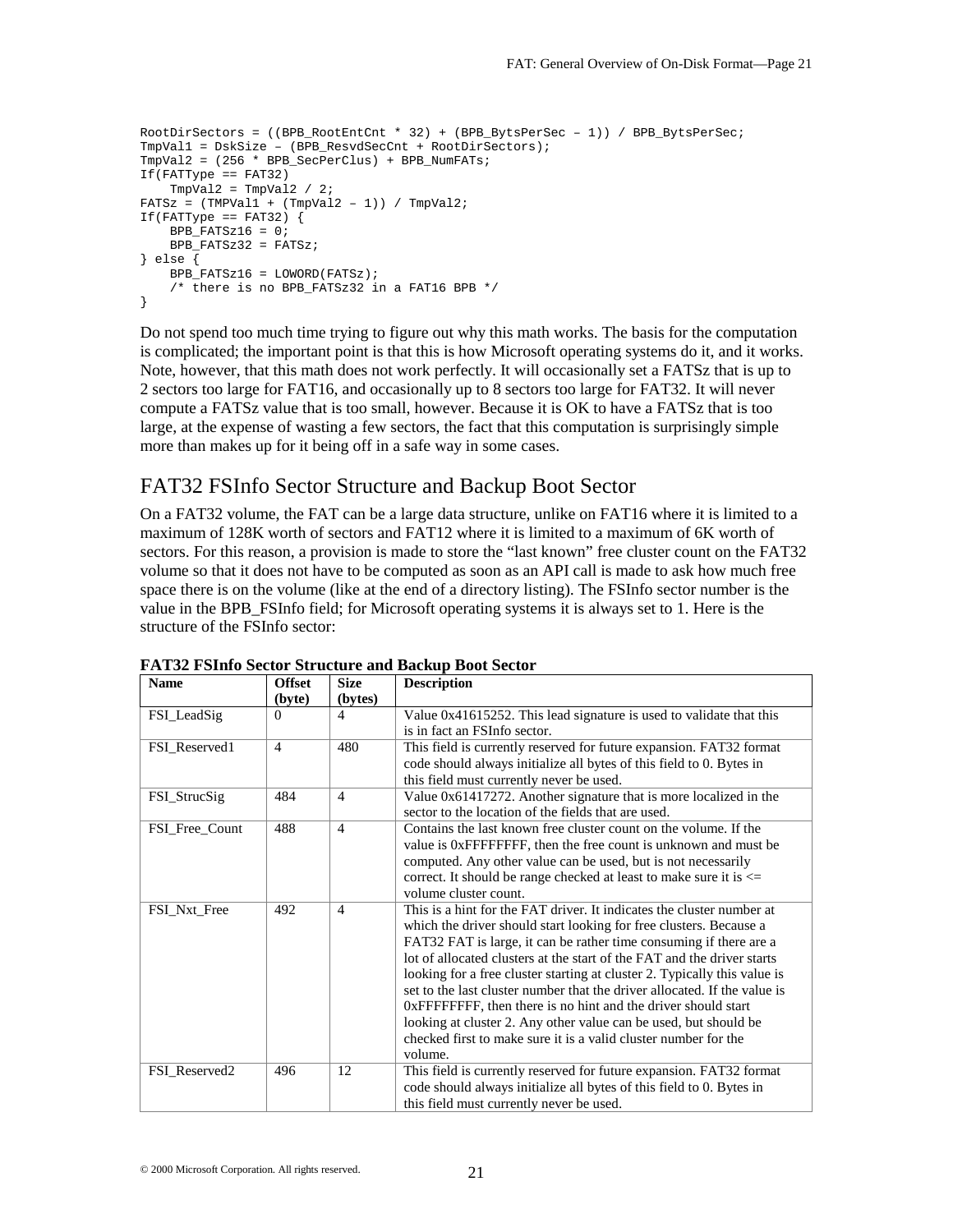```
RootDirSectors = ((BPB_RootEntCnt * 32) + (BPB_BytsPerSec – 1)) / BPB_BytsPerSec;
TmpVal1 = DskSize – (BPB_ResvdSecCnt + RootDirSectors);
TmpVal2 = (256 * BPB SecPerClus) + BPB NumFATs;
If(FATType == FAT32)
    TmpVal2 = TmpVal2 / 2;
FATSz = (TMPVal1 + (TmpVal2 - 1)) / TmpVal2;If(FATType == FAT32) \{BPBFATSz16 = 0;BPB_FATSz32 = FATSz;
} else {
    BPB<sup>FATSz16 = LOWORD(FATSz);</sup>
    /* there is no BPB_FATSz32 in a FAT16 BPB */
}
```
Do not spend too much time trying to figure out why this math works. The basis for the computation is complicated; the important point is that this is how Microsoft operating systems do it, and it works. Note, however, that this math does not work perfectly. It will occasionally set a FATSz that is up to 2 sectors too large for FAT16, and occasionally up to 8 sectors too large for FAT32. It will never compute a FATSz value that is too small, however. Because it is OK to have a FATSz that is too large, at the expense of wasting a few sectors, the fact that this computation is surprisingly simple more than makes up for it being off in a safe way in some cases.

## FAT32 FSInfo Sector Structure and Backup Boot Sector

On a FAT32 volume, the FAT can be a large data structure, unlike on FAT16 where it is limited to a maximum of 128K worth of sectors and FAT12 where it is limited to a maximum of 6K worth of sectors. For this reason, a provision is made to store the "last known" free cluster count on the FAT32 volume so that it does not have to be computed as soon as an API call is made to ask how much free space there is on the volume (like at the end of a directory listing). The FSInfo sector number is the value in the BPB\_FSInfo field; for Microsoft operating systems it is always set to 1. Here is the structure of the FSInfo sector:

**Description** 

| <b>Name</b>    | <b>Offset</b><br>(byte) | <b>Size</b><br>(bytes) | <b>Description</b>                                                                                                                                                                                                                                                                                                                                                                                                                                                                                                                                                                                                                                                         |
|----------------|-------------------------|------------------------|----------------------------------------------------------------------------------------------------------------------------------------------------------------------------------------------------------------------------------------------------------------------------------------------------------------------------------------------------------------------------------------------------------------------------------------------------------------------------------------------------------------------------------------------------------------------------------------------------------------------------------------------------------------------------|
| FSI_LeadSig    | $\Omega$                | $\overline{4}$         | Value 0x41615252. This lead signature is used to validate that this<br>is in fact an FSInfo sector.                                                                                                                                                                                                                                                                                                                                                                                                                                                                                                                                                                        |
| FSI_Reserved1  | $\overline{4}$          | 480                    | This field is currently reserved for future expansion. FAT32 format<br>code should always initialize all bytes of this field to 0. Bytes in<br>this field must currently never be used.                                                                                                                                                                                                                                                                                                                                                                                                                                                                                    |
| FSI_StrucSig   | 484                     | $\overline{4}$         | Value 0x61417272. Another signature that is more localized in the<br>sector to the location of the fields that are used.                                                                                                                                                                                                                                                                                                                                                                                                                                                                                                                                                   |
| FSI Free Count | 488                     | $\overline{4}$         | Contains the last known free cluster count on the volume. If the<br>value is 0xFFFFFFFFF, then the free count is unknown and must be<br>computed. Any other value can be used, but is not necessarily<br>correct. It should be range checked at least to make sure it is $\le$<br>volume cluster count.                                                                                                                                                                                                                                                                                                                                                                    |
| FSI_Nxt_Free   | 492                     | $\overline{4}$         | This is a hint for the FAT driver. It indicates the cluster number at<br>which the driver should start looking for free clusters. Because a<br>FAT32 FAT is large, it can be rather time consuming if there are a<br>lot of allocated clusters at the start of the FAT and the driver starts<br>looking for a free cluster starting at cluster 2. Typically this value is<br>set to the last cluster number that the driver allocated. If the value is<br>0xFFFFFFFFF, then there is no hint and the driver should start<br>looking at cluster 2. Any other value can be used, but should be<br>checked first to make sure it is a valid cluster number for the<br>volume. |
| FSI_Reserved2  | 496                     | 12                     | This field is currently reserved for future expansion. FAT32 format<br>code should always initialize all bytes of this field to 0. Bytes in<br>this field must currently never be used.                                                                                                                                                                                                                                                                                                                                                                                                                                                                                    |

**FAT32 FSInfo Sector Structure and Backup Boot Sector**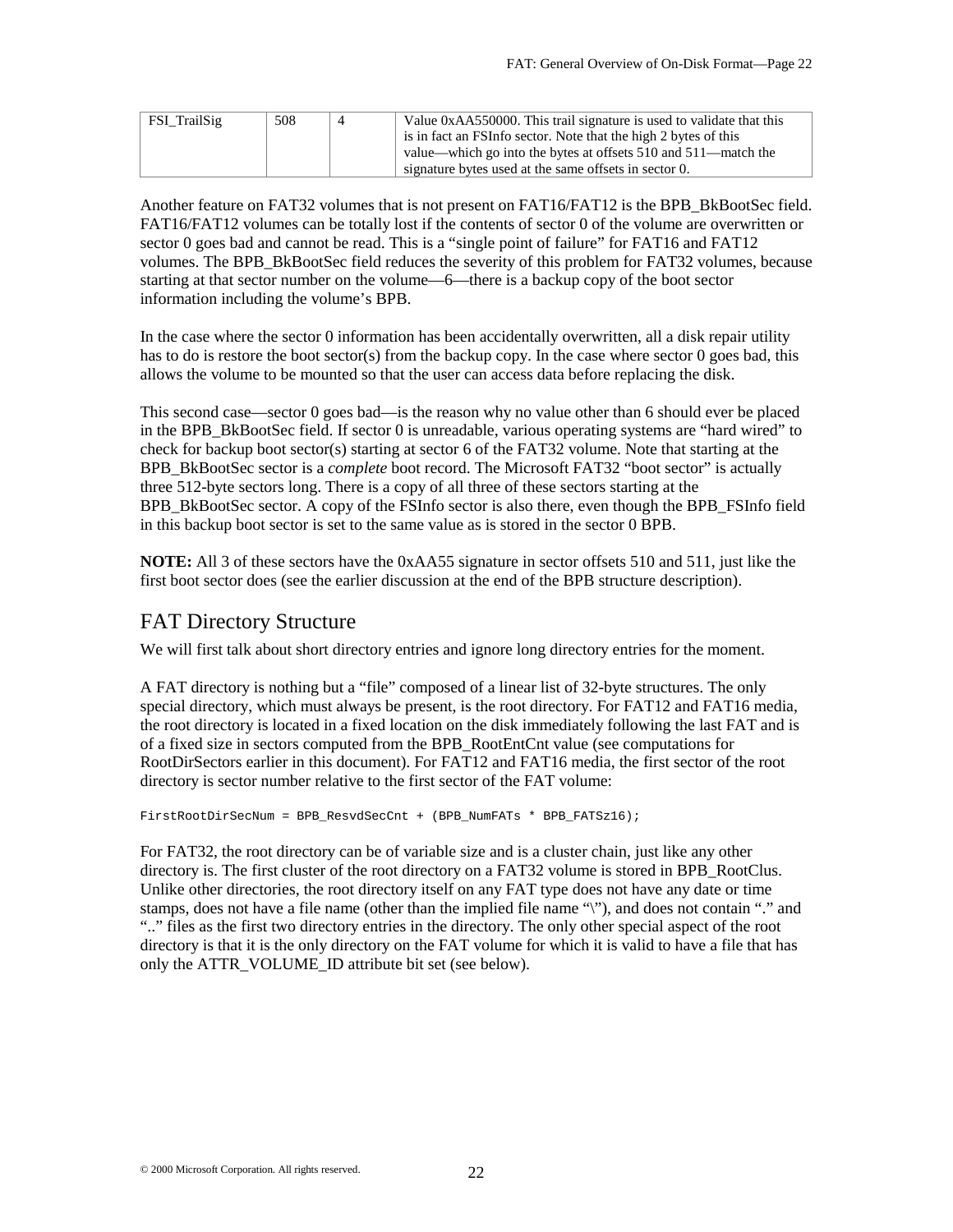<span id="page-21-0"></span>

| <b>FSI</b> TrailSig | 508 | $\overline{4}$ | Value 0xAA550000. This trail signature is used to validate that this |
|---------------------|-----|----------------|----------------------------------------------------------------------|
|                     |     |                | is in fact an FSInfo sector. Note that the high 2 bytes of this      |
|                     |     |                | value—which go into the bytes at offsets 510 and 511—match the       |
|                     |     |                | signature bytes used at the same offsets in sector 0.                |

Another feature on FAT32 volumes that is not present on FAT16/FAT12 is the BPB\_BkBootSec field. FAT16/FAT12 volumes can be totally lost if the contents of sector 0 of the volume are overwritten or sector 0 goes bad and cannot be read. This is a "single point of failure" for FAT16 and FAT12 volumes. The BPB\_BkBootSec field reduces the severity of this problem for FAT32 volumes, because starting at that sector number on the volume—6—there is a backup copy of the boot sector information including the volume's BPB.

In the case where the sector 0 information has been accidentally overwritten, all a disk repair utility has to do is restore the boot sector(s) from the backup copy. In the case where sector 0 goes bad, this allows the volume to be mounted so that the user can access data before replacing the disk.

This second case—sector 0 goes bad—is the reason why no value other than 6 should ever be placed in the BPB\_BkBootSec field. If sector 0 is unreadable, various operating systems are "hard wired" to check for backup boot sector(s) starting at sector 6 of the FAT32 volume. Note that starting at the BPB\_BkBootSec sector is a *complete* boot record. The Microsoft FAT32 "boot sector" is actually three 512-byte sectors long. There is a copy of all three of these sectors starting at the BPB\_BkBootSec sector. A copy of the FSInfo sector is also there, even though the BPB\_FSInfo field in this backup boot sector is set to the same value as is stored in the sector 0 BPB.

**NOTE:** All 3 of these sectors have the 0xAA55 signature in sector offsets 510 and 511, just like the first boot sector does (see the earlier discussion at the end of the BPB structure description).

## FAT Directory Structure

We will first talk about short directory entries and ignore long directory entries for the moment.

A FAT directory is nothing but a "file" composed of a linear list of 32-byte structures. The only special directory, which must always be present, is the root directory. For FAT12 and FAT16 media, the root directory is located in a fixed location on the disk immediately following the last FAT and is of a fixed size in sectors computed from the BPB\_RootEntCnt value (see computations for RootDirSectors earlier in this document). For FAT12 and FAT16 media, the first sector of the root directory is sector number relative to the first sector of the FAT volume:

```
FirstRootDirSecNum = BPB_ResvdSecCnt + (BPB_NumFATs * BPB_FATSz16);
```
For FAT32, the root directory can be of variable size and is a cluster chain, just like any other directory is. The first cluster of the root directory on a FAT32 volume is stored in BPB\_RootClus. Unlike other directories, the root directory itself on any FAT type does not have any date or time stamps, does not have a file name (other than the implied file name "\"), and does not contain "." and ".." files as the first two directory entries in the directory. The only other special aspect of the root directory is that it is the only directory on the FAT volume for which it is valid to have a file that has only the ATTR\_VOLUME\_ID attribute bit set (see below).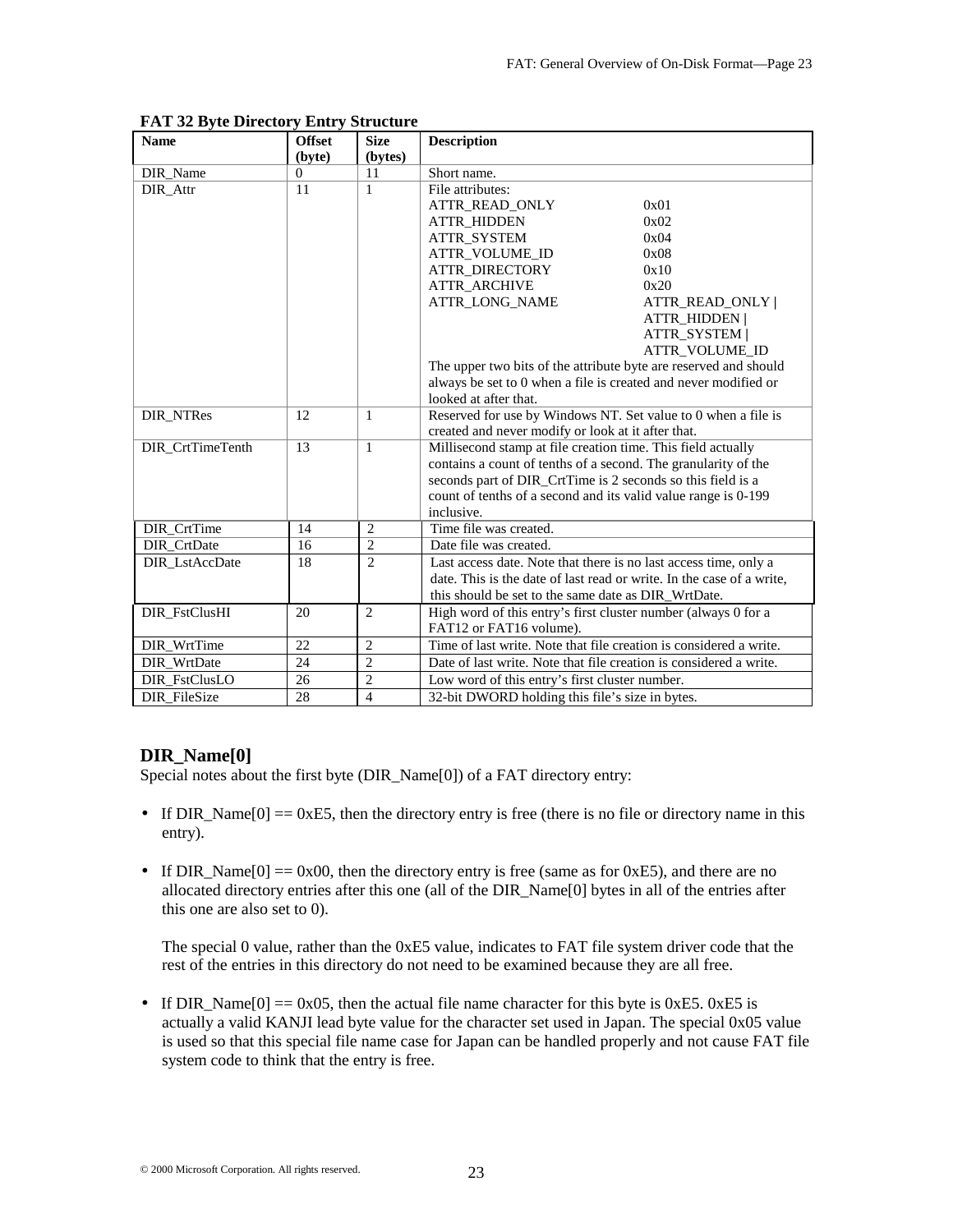| <b>Name</b>         | <b>Offset</b> | <b>Size</b>    | <b>Description</b>                                                    |
|---------------------|---------------|----------------|-----------------------------------------------------------------------|
|                     | (byte)        | (bytes)        |                                                                       |
| DIR_Name            | $\mathbf{0}$  | 11             | Short name.                                                           |
| DIR Attr            | 11            | $\mathbf{1}$   | File attributes:                                                      |
|                     |               |                | ATTR_READ_ONLY<br>0x01                                                |
|                     |               |                | <b>ATTR HIDDEN</b><br>0x02                                            |
|                     |               |                | <b>ATTR SYSTEM</b><br>0x04                                            |
|                     |               |                | ATTR VOLUME ID<br>0x08                                                |
|                     |               |                | <b>ATTR DIRECTORY</b><br>0x10                                         |
|                     |               |                | <b>ATTR ARCHIVE</b><br>0x20                                           |
|                     |               |                | ATTR_LONG_NAME<br>ATTR_READ_ONLY                                      |
|                     |               |                | <b>ATTR_HIDDEN  </b>                                                  |
|                     |               |                | ATTR_SYSTEM                                                           |
|                     |               |                | ATTR VOLUME ID                                                        |
|                     |               |                | The upper two bits of the attribute byte are reserved and should      |
|                     |               |                | always be set to 0 when a file is created and never modified or       |
|                     |               |                | looked at after that.                                                 |
| DIR_NTRes           | 12            | $\mathbf{1}$   | Reserved for use by Windows NT. Set value to 0 when a file is         |
|                     |               |                | created and never modify or look at it after that.                    |
| DIR_CrtTimeTenth    | 13            | $\mathbf{1}$   | Millisecond stamp at file creation time. This field actually          |
|                     |               |                | contains a count of tenths of a second. The granularity of the        |
|                     |               |                | seconds part of DIR_CrtTime is 2 seconds so this field is a           |
|                     |               |                | count of tenths of a second and its valid value range is 0-199        |
|                     |               |                | inclusive.                                                            |
| DIR_CrtTime         | 14            | 2              | Time file was created.                                                |
| DIR CrtDate         | 16            | $\overline{2}$ | Date file was created.                                                |
| DIR LstAccDate      | 18            | $\overline{2}$ | Last access date. Note that there is no last access time, only a      |
|                     |               |                | date. This is the date of last read or write. In the case of a write, |
|                     |               |                | this should be set to the same date as DIR_WrtDate.                   |
| DIR_FstClusHI       | 20            | 2              | High word of this entry's first cluster number (always 0 for a        |
|                     |               |                | FAT12 or FAT16 volume).                                               |
| DIR_WrtTime         | 22            | $\overline{2}$ | Time of last write. Note that file creation is considered a write.    |
| DIR WrtDate         | 24            | $\overline{2}$ | Date of last write. Note that file creation is considered a write.    |
| DIR FstClusLO       | 26            | $\overline{2}$ | Low word of this entry's first cluster number.                        |
| <b>DIR</b> FileSize | 28            | $\overline{4}$ | 32-bit DWORD holding this file's size in bytes.                       |

#### **FAT 32 Byte Directory Entry Structure**

### **DIR\_Name[0]**

Special notes about the first byte (DIR\_Name[0]) of a FAT directory entry:

- If  $DIR\_Name[0] = 0xE5$ , then the directory entry is free (there is no file or directory name in this entry).
- If DIR\_Name[0] =  $0x00$ , then the directory entry is free (same as for 0xE5), and there are no allocated directory entries after this one (all of the DIR\_Name[0] bytes in all of the entries after this one are also set to 0).

The special 0 value, rather than the 0xE5 value, indicates to FAT file system driver code that the rest of the entries in this directory do not need to be examined because they are all free.

• If DIR\_Name[0] =  $0x05$ , then the actual file name character for this byte is  $0xE5$ .  $0xE5$  is actually a valid KANJI lead byte value for the character set used in Japan. The special 0x05 value is used so that this special file name case for Japan can be handled properly and not cause FAT file system code to think that the entry is free.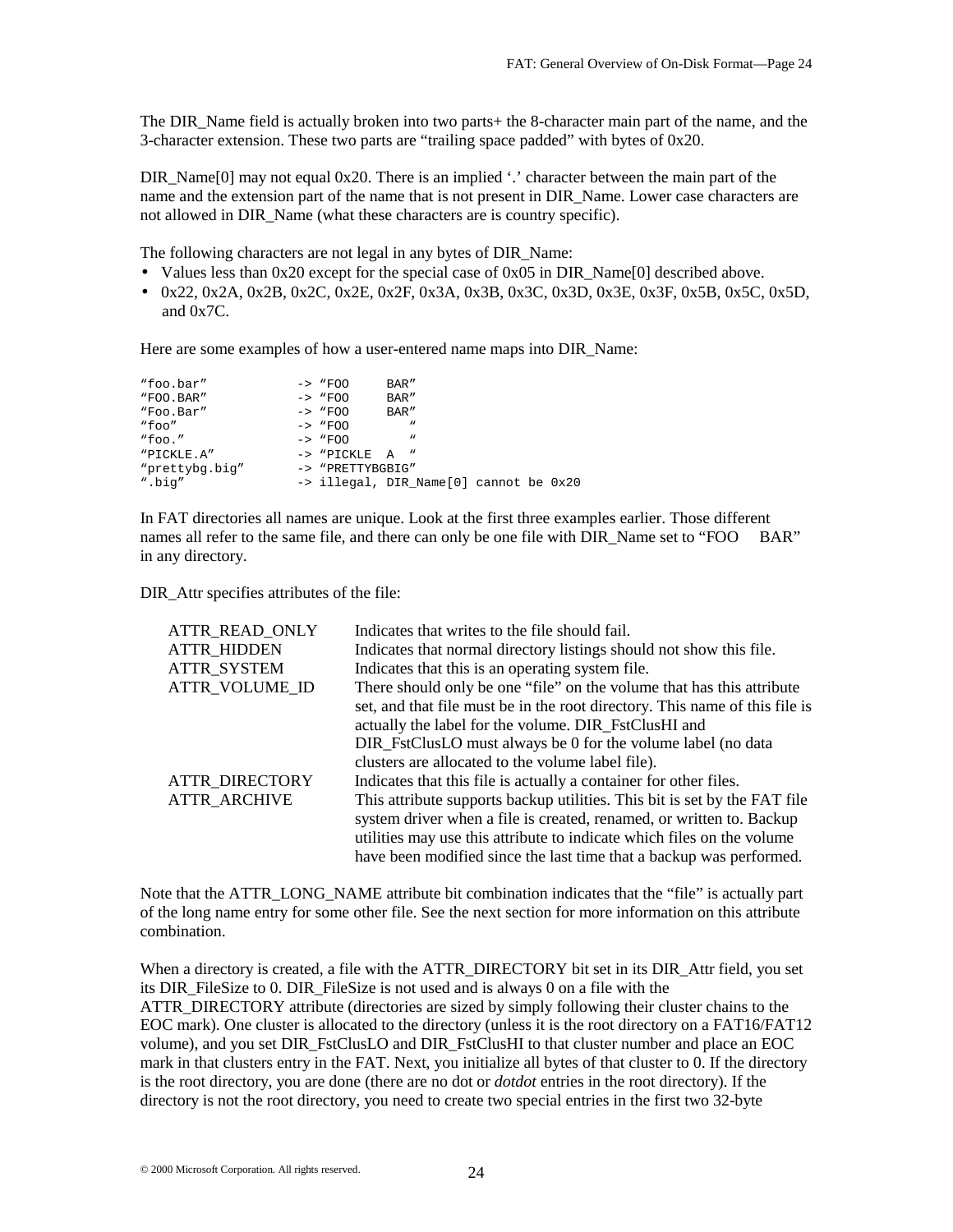The DIR\_Name field is actually broken into two parts+ the 8-character main part of the name, and the 3-character extension. These two parts are "trailing space padded" with bytes of 0x20.

DIR\_Name[0] may not equal 0x20. There is an implied '.' character between the main part of the name and the extension part of the name that is not present in DIR\_Name. Lower case characters are not allowed in DIR\_Name (what these characters are is country specific).

The following characters are not legal in any bytes of DIR Name:

- Values less than 0x20 except for the special case of 0x05 in DIR\_Name[0] described above.
- 0x22, 0x2A, 0x2B, 0x2C, 0x2E, 0x2F, 0x3A, 0x3B, 0x3C, 0x3D, 0x3E, 0x3F, 0x5B, 0x5C, 0x5D, and 0x7C.

Here are some examples of how a user-entered name maps into DIR\_Name:

| "foo.bar"      | $-> "FOO$                                           | BAR" |                |  |  |
|----------------|-----------------------------------------------------|------|----------------|--|--|
| "FOO.BAR"      | $-> "FOO$                                           | BAR" |                |  |  |
| "Foo.Bar"      | $-> "FOO$                                           | BAR" |                |  |  |
| "foo"          | $-> "FOO$                                           |      | u              |  |  |
| " $f$ 00."     | $-> "FOO$                                           |      | u              |  |  |
| "PICKLE.A"     | -> "PICKLE A                                        |      | $\overline{u}$ |  |  |
| "prettybg.big" | -> "PRETTYBGBIG"                                    |      |                |  |  |
| ".biq"         | $\rightarrow$ illegal, DIR Name[0] cannot be $0x20$ |      |                |  |  |
|                |                                                     |      |                |  |  |

In FAT directories all names are unique. Look at the first three examples earlier. Those different names all refer to the same file, and there can only be one file with DIR\_Name set to "FOO BAR" in any directory.

DIR Attr specifies attributes of the file:

| Indicates that writes to the file should fail.                              |
|-----------------------------------------------------------------------------|
| Indicates that normal directory listings should not show this file.         |
| Indicates that this is an operating system file.                            |
| There should only be one "file" on the volume that has this attribute       |
| set, and that file must be in the root directory. This name of this file is |
| actually the label for the volume. DIR_FstClusHI and                        |
| DIR_FstClusLO must always be 0 for the volume label (no data                |
| clusters are allocated to the volume label file).                           |
| Indicates that this file is actually a container for other files.           |
| This attribute supports backup utilities. This bit is set by the FAT file   |
| system driver when a file is created, renamed, or written to. Backup        |
| utilities may use this attribute to indicate which files on the volume      |
| have been modified since the last time that a backup was performed.         |
|                                                                             |

Note that the ATTR\_LONG\_NAME attribute bit combination indicates that the "file" is actually part of the long name entry for some other file. See the next section for more information on this attribute combination.

When a directory is created, a file with the ATTR\_DIRECTORY bit set in its DIR\_Attr field, you set its DIR\_FileSize to 0. DIR\_FileSize is not used and is always 0 on a file with the ATTR\_DIRECTORY attribute (directories are sized by simply following their cluster chains to the EOC mark). One cluster is allocated to the directory (unless it is the root directory on a FAT16/FAT12 volume), and you set DIR\_FstClusLO and DIR\_FstClusHI to that cluster number and place an EOC mark in that clusters entry in the FAT. Next, you initialize all bytes of that cluster to 0. If the directory is the root directory, you are done (there are no dot or *dotdot* entries in the root directory). If the directory is not the root directory, you need to create two special entries in the first two 32-byte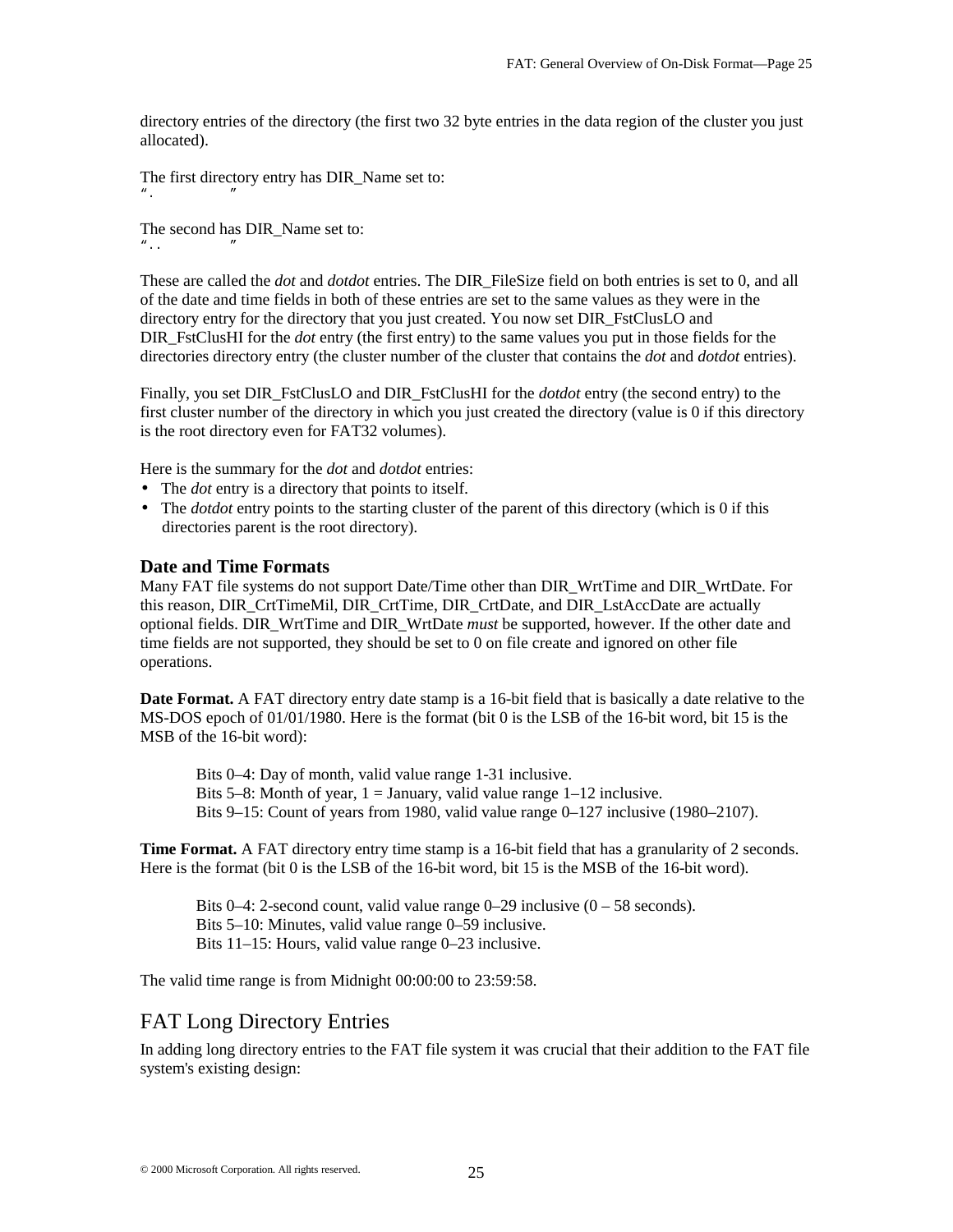<span id="page-24-0"></span>directory entries of the directory (the first two 32 byte entries in the data region of the cluster you just allocated).

The first directory entry has DIR\_Name set to:  $"$ .  $"$ 

The second has DIR Name set to:  $"$ .

These are called the *dot* and *dotdot* entries. The DIR\_FileSize field on both entries is set to 0, and all of the date and time fields in both of these entries are set to the same values as they were in the directory entry for the directory that you just created. You now set DIR\_FstClusLO and DIR\_FstClusHI for the *dot* entry (the first entry) to the same values you put in those fields for the directories directory entry (the cluster number of the cluster that contains the *dot* and *dotdot* entries).

Finally, you set DIR\_FstClusLO and DIR\_FstClusHI for the *dotdot* entry (the second entry) to the first cluster number of the directory in which you just created the directory (value is 0 if this directory is the root directory even for FAT32 volumes).

Here is the summary for the *dot* and *dotdot* entries:

- The *dot* entry is a directory that points to itself.
- The *dotdot* entry points to the starting cluster of the parent of this directory (which is 0 if this directories parent is the root directory).

#### **Date and Time Formats**

Many FAT file systems do not support Date/Time other than DIR\_WrtTime and DIR\_WrtDate. For this reason, DIR\_CrtTimeMil, DIR\_CrtTime, DIR\_CrtDate, and DIR\_LstAccDate are actually optional fields. DIR\_WrtTime and DIR\_WrtDate *must* be supported, however. If the other date and time fields are not supported, they should be set to 0 on file create and ignored on other file operations.

**Date Format.** A FAT directory entry date stamp is a 16-bit field that is basically a date relative to the MS-DOS epoch of 01/01/1980. Here is the format (bit 0 is the LSB of the 16-bit word, bit 15 is the MSB of the 16-bit word):

Bits 0–4: Day of month, valid value range 1-31 inclusive. Bits 5–8: Month of year,  $1 =$  January, valid value range  $1 - 12$  inclusive. Bits 9–15: Count of years from 1980, valid value range 0–127 inclusive (1980–2107).

**Time Format.** A FAT directory entry time stamp is a 16-bit field that has a granularity of 2 seconds. Here is the format (bit 0 is the LSB of the 16-bit word, bit 15 is the MSB of the 16-bit word).

Bits 0–4: 2-second count, valid value range 0–29 inclusive  $(0 - 58$  seconds). Bits 5–10: Minutes, valid value range 0–59 inclusive. Bits 11–15: Hours, valid value range 0–23 inclusive.

The valid time range is from Midnight 00:00:00 to 23:59:58.

## FAT Long Directory Entries

In adding long directory entries to the FAT file system it was crucial that their addition to the FAT file system's existing design: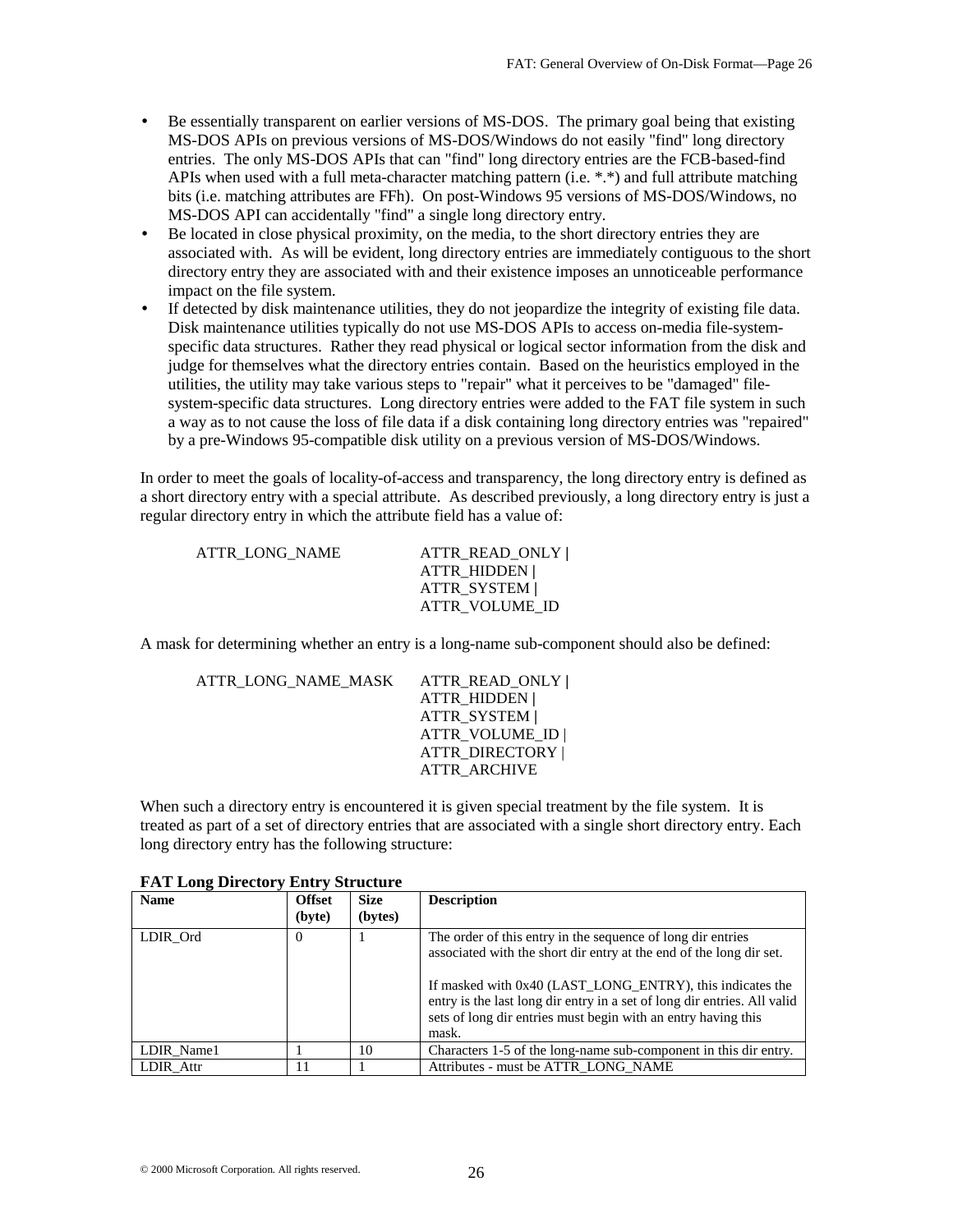- Be essentially transparent on earlier versions of MS-DOS. The primary goal being that existing MS-DOS APIs on previous versions of MS-DOS/Windows do not easily "find" long directory entries. The only MS-DOS APIs that can "find" long directory entries are the FCB-based-find APIs when used with a full meta-character matching pattern (i.e. \*.\*) and full attribute matching bits (i.e. matching attributes are FFh). On post-Windows 95 versions of MS-DOS/Windows, no MS-DOS API can accidentally "find" a single long directory entry.
- Be located in close physical proximity, on the media, to the short directory entries they are associated with. As will be evident, long directory entries are immediately contiguous to the short directory entry they are associated with and their existence imposes an unnoticeable performance impact on the file system.
- If detected by disk maintenance utilities, they do not jeopardize the integrity of existing file data. Disk maintenance utilities typically do not use MS-DOS APIs to access on-media file-systemspecific data structures. Rather they read physical or logical sector information from the disk and judge for themselves what the directory entries contain. Based on the heuristics employed in the utilities, the utility may take various steps to "repair" what it perceives to be "damaged" filesystem-specific data structures. Long directory entries were added to the FAT file system in such a way as to not cause the loss of file data if a disk containing long directory entries was "repaired" by a pre-Windows 95-compatible disk utility on a previous version of MS-DOS/Windows.

In order to meet the goals of locality-of-access and transparency, the long directory entry is defined as a short directory entry with a special attribute. As described previously, a long directory entry is just a regular directory entry in which the attribute field has a value of:

| ATTR LONG NAME | ATTR READ ONLY |
|----------------|----------------|
|                | ATTR HIDDEN    |
|                | ATTR_SYSTEM    |
|                | ATTR VOLUME ID |
|                |                |

A mask for determining whether an entry is a long-name sub-component should also be defined:

| ATTR LONG_NAME_MASK | ATTR READ ONLY        |
|---------------------|-----------------------|
|                     | ATTR HIDDEN           |
|                     | ATTR_SYSTEM           |
|                     | ATTR VOLUME ID        |
|                     | <b>ATTR DIRECTORY</b> |
|                     | <b>ATTR ARCHIVE</b>   |
|                     |                       |

When such a directory entry is encountered it is given special treatment by the file system. It is treated as part of a set of directory entries that are associated with a single short directory entry. Each long directory entry has the following structure:

| <b>Name</b> | <b>Offset</b><br>(byte) | <b>Size</b><br>(bytes) | <b>Description</b>                                                                                                                                                                                                                                                                                                                                   |
|-------------|-------------------------|------------------------|------------------------------------------------------------------------------------------------------------------------------------------------------------------------------------------------------------------------------------------------------------------------------------------------------------------------------------------------------|
| LDIR Ord    | $\Omega$                |                        | The order of this entry in the sequence of long directries<br>associated with the short dir entry at the end of the long dir set.<br>If masked with 0x40 (LAST LONG ENTRY), this indicates the<br>entry is the last long dir entry in a set of long dir entries. All valid<br>sets of long dir entries must begin with an entry having this<br>mask. |
| LDIR Name1  |                         | 10                     | Characters 1-5 of the long-name sub-component in this directry.                                                                                                                                                                                                                                                                                      |
| LDIR Attr   |                         |                        | Attributes - must be ATTR_LONG_NAME                                                                                                                                                                                                                                                                                                                  |

**FAT Long Directory Entry Structure**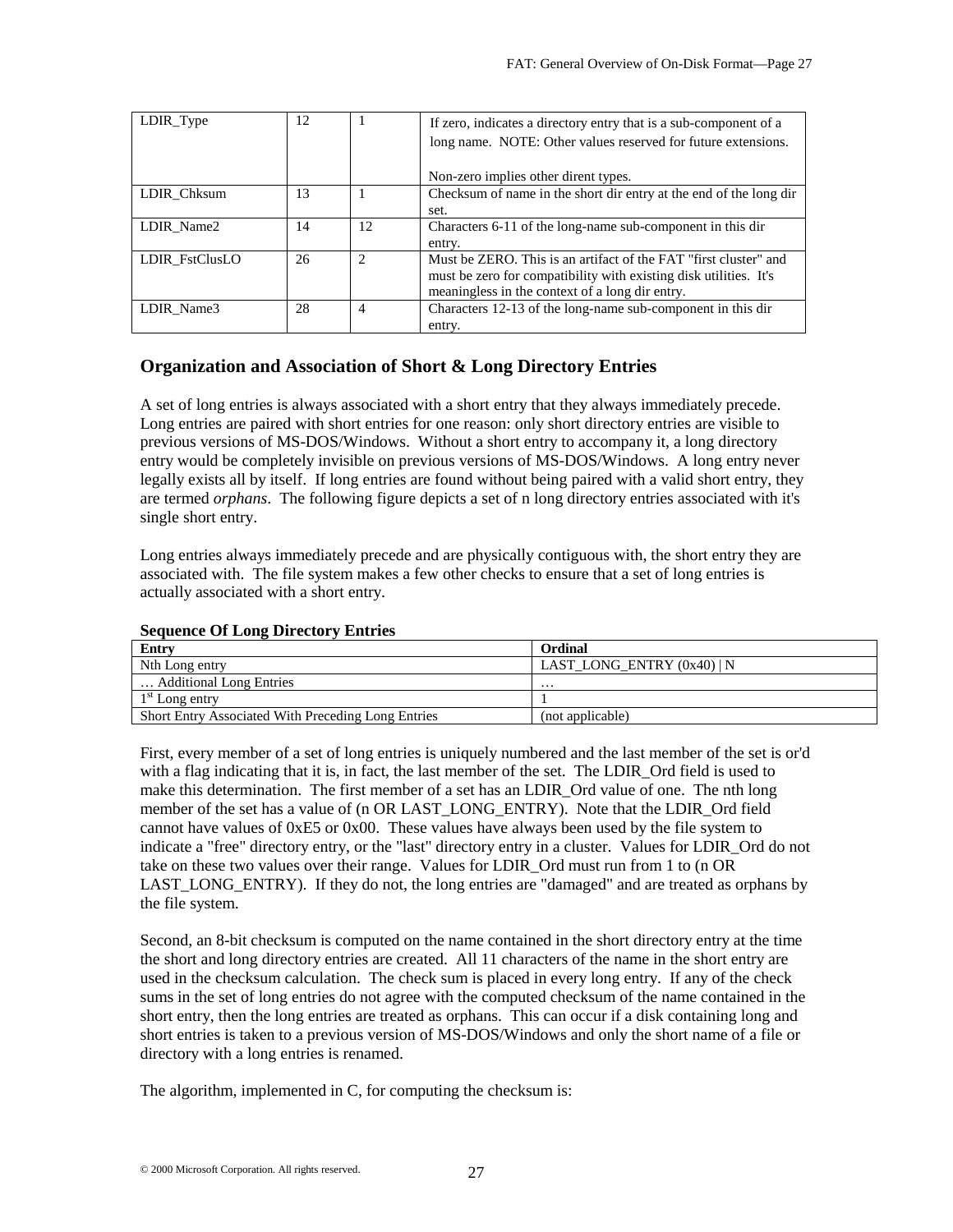| LDIR_Type      | 12 |                             | If zero, indicates a directory entry that is a sub-component of a  |  |  |  |
|----------------|----|-----------------------------|--------------------------------------------------------------------|--|--|--|
|                |    |                             | long name. NOTE: Other values reserved for future extensions.      |  |  |  |
|                |    |                             |                                                                    |  |  |  |
|                |    |                             | Non-zero implies other dirent types.                               |  |  |  |
| LDIR Chksum    | 13 |                             | Checksum of name in the short dir entry at the end of the long dir |  |  |  |
|                |    |                             | set.                                                               |  |  |  |
| LDIR Name2     | 14 | 12                          | Characters 6-11 of the long-name sub-component in this dir         |  |  |  |
|                |    |                             | entry.                                                             |  |  |  |
| LDIR_FstClusLO | 26 | $\mathcal{D}_{\mathcal{L}}$ | Must be ZERO. This is an artifact of the FAT "first cluster" and   |  |  |  |
|                |    |                             | must be zero for compatibility with existing disk utilities. It's  |  |  |  |
|                |    |                             | meaningless in the context of a long dir entry.                    |  |  |  |
| LDIR Name3     | 28 | 4                           | Characters 12-13 of the long-name sub-component in this dir        |  |  |  |
|                |    |                             | entry.                                                             |  |  |  |

## **Organization and Association of Short & Long Directory Entries**

A set of long entries is always associated with a short entry that they always immediately precede. Long entries are paired with short entries for one reason: only short directory entries are visible to previous versions of MS-DOS/Windows. Without a short entry to accompany it, a long directory entry would be completely invisible on previous versions of MS-DOS/Windows. A long entry never legally exists all by itself. If long entries are found without being paired with a valid short entry, they are termed *orphans*. The following figure depicts a set of n long directory entries associated with it's single short entry.

Long entries always immediately precede and are physically contiguous with, the short entry they are associated with. The file system makes a few other checks to ensure that a set of long entries is actually associated with a short entry.

| Entry                                                     | Ordinal                      |
|-----------------------------------------------------------|------------------------------|
| Nth Long entry                                            | LAST LONG ENTRY $(0x40)$   N |
| Additional Long Entries                                   | $\cdots$                     |
| $1st$ Long entry                                          |                              |
| <b>Short Entry Associated With Preceding Long Entries</b> | (not applicable)             |

#### **Sequence Of Long Directory Entries**

First, every member of a set of long entries is uniquely numbered and the last member of the set is or'd with a flag indicating that it is, in fact, the last member of the set. The LDIR Ord field is used to make this determination. The first member of a set has an LDIR\_Ord value of one. The nth long member of the set has a value of (n OR LAST\_LONG\_ENTRY). Note that the LDIR\_Ord field cannot have values of  $0xE5$  or  $0x00$ . These values have always been used by the file system to indicate a "free" directory entry, or the "last" directory entry in a cluster. Values for LDIR\_Ord do not take on these two values over their range. Values for LDIR\_Ord must run from 1 to (n OR LAST\_LONG\_ENTRY). If they do not, the long entries are "damaged" and are treated as orphans by the file system.

Second, an 8-bit checksum is computed on the name contained in the short directory entry at the time the short and long directory entries are created. All 11 characters of the name in the short entry are used in the checksum calculation. The check sum is placed in every long entry. If any of the check sums in the set of long entries do not agree with the computed checksum of the name contained in the short entry, then the long entries are treated as orphans. This can occur if a disk containing long and short entries is taken to a previous version of MS-DOS/Windows and only the short name of a file or directory with a long entries is renamed.

The algorithm, implemented in C, for computing the checksum is: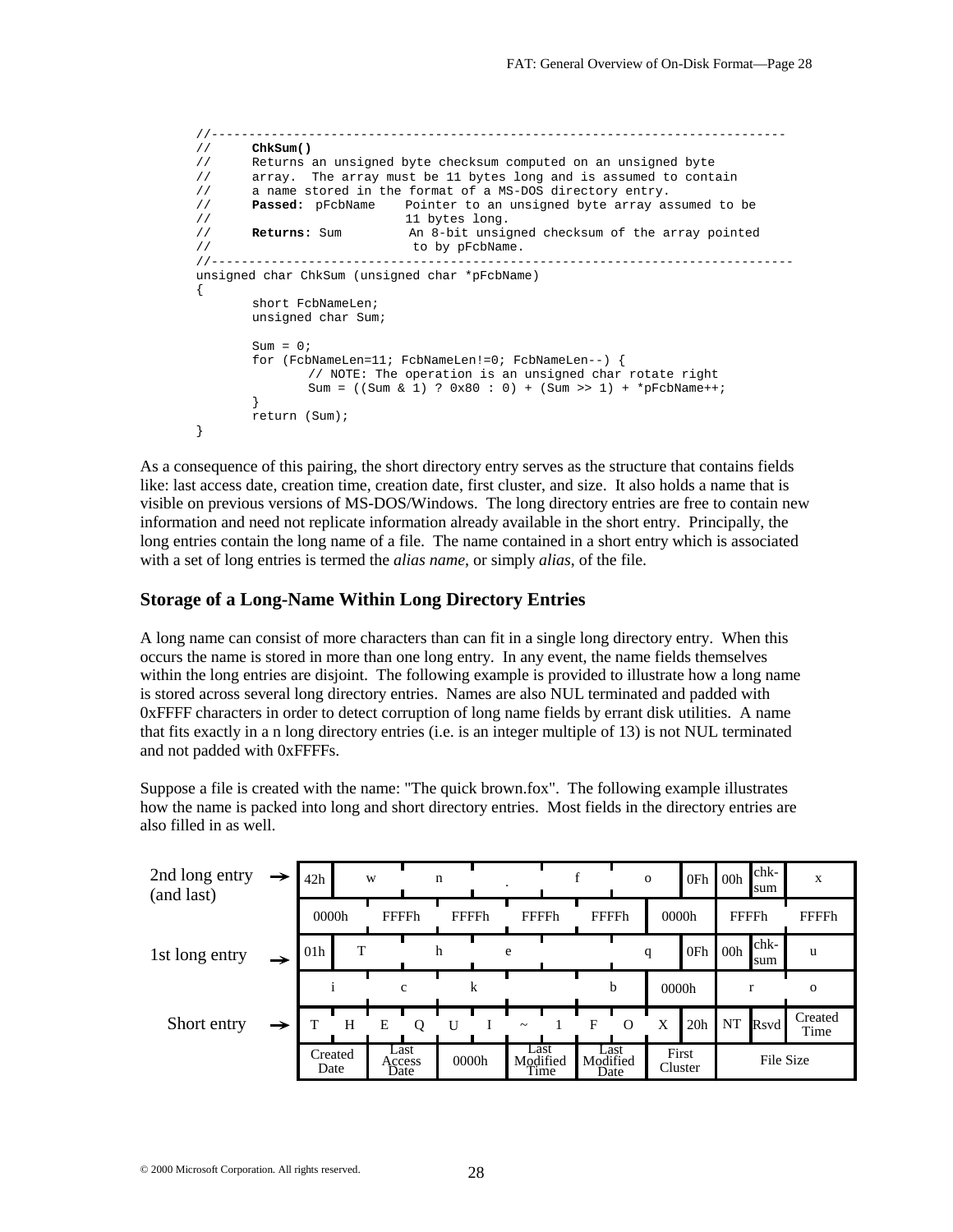```
//-----------------------------------------------------------------------------
// ChkSum()
// Returns an unsigned byte checksum computed on an unsigned byte<br>// array. The array must be 11 bytes long and is assumed to cont.
       array. The array must be 11 bytes long and is assumed to contain
// a name stored in the format of a MS-DOS directory entry.
// Passed: pFcbName Pointer to an unsigned byte array assumed to be
// 11 bytes long.
// Returns: Sum An 8-bit unsigned checksum of the array pointed
                             to by pFcbName.
//------------------------------------------------------------------------------
unsigned char ChkSum (unsigned char *pFcbName)
{
        short FcbNameLen;
       unsigned char Sum;
        Sum = 0;for (FcbNameLen=11; FcbNameLen!=0; FcbNameLen--) {
               // NOTE: The operation is an unsigned char rotate right
               Sum = ((Sum & 1) ? 0x80 : 0) + (Sum >> 1) + *pFcbName++;}
       return (Sum);
}
```
As a consequence of this pairing, the short directory entry serves as the structure that contains fields like: last access date, creation time, creation date, first cluster, and size. It also holds a name that is visible on previous versions of MS-DOS/Windows. The long directory entries are free to contain new information and need not replicate information already available in the short entry. Principally, the long entries contain the long name of a file. The name contained in a short entry which is associated with a set of long entries is termed the *alias name*, or simply *alias*, of the file.

#### **Storage of a Long-Name Within Long Directory Entries**

A long name can consist of more characters than can fit in a single long directory entry. When this occurs the name is stored in more than one long entry. In any event, the name fields themselves within the long entries are disjoint. The following example is provided to illustrate how a long name is stored across several long directory entries. Names are also NUL terminated and padded with 0xFFFF characters in order to detect corruption of long name fields by errant disk utilities. A name that fits exactly in a n long directory entries (i.e. is an integer multiple of 13) is not NUL terminated and not padded with 0xFFFFs.

Suppose a file is created with the name: "The quick brown.fox". The following example illustrates how the name is packed into long and short directory entries. Most fields in the directory entries are also filled in as well.

| 2nd long entry<br>(and last) | 42h             |   | W              |      | n     |   |                          |              |              | $\mathbf{O}$     | 0Fh             | 00h             | chk-<br>sum | X               |
|------------------------------|-----------------|---|----------------|------|-------|---|--------------------------|--------------|--------------|------------------|-----------------|-----------------|-------------|-----------------|
|                              | 0000h           |   | FFFFh          |      | FFFFh |   | FFFFh                    | <b>FFFFh</b> |              | 0000h            |                 | FFFFh           |             | FFFFh           |
| 1st long entry               | 01 <sub>h</sub> | т |                |      | h     |   | e                        |              |              | q                | 0Fh             | 00 <sub>h</sub> | chk-<br>sum | u               |
|                              |                 |   |                | c    |       | k |                          |              | b            | 0000h            |                 |                 | r           | $\Omega$        |
| Short entry                  | T               | H | E              | Q    | U     |   | $\tilde{\phantom{a}}$    | F            | $\Omega$     | X                | 20 <sub>h</sub> | NT              | <b>Rsvd</b> | Created<br>Time |
|                              | Created<br>Date |   | Access<br>Date | Last | 0000h |   | Last<br>Modified<br>Time | Modified     | Last<br>Date | First<br>Cluster |                 |                 | File Size   |                 |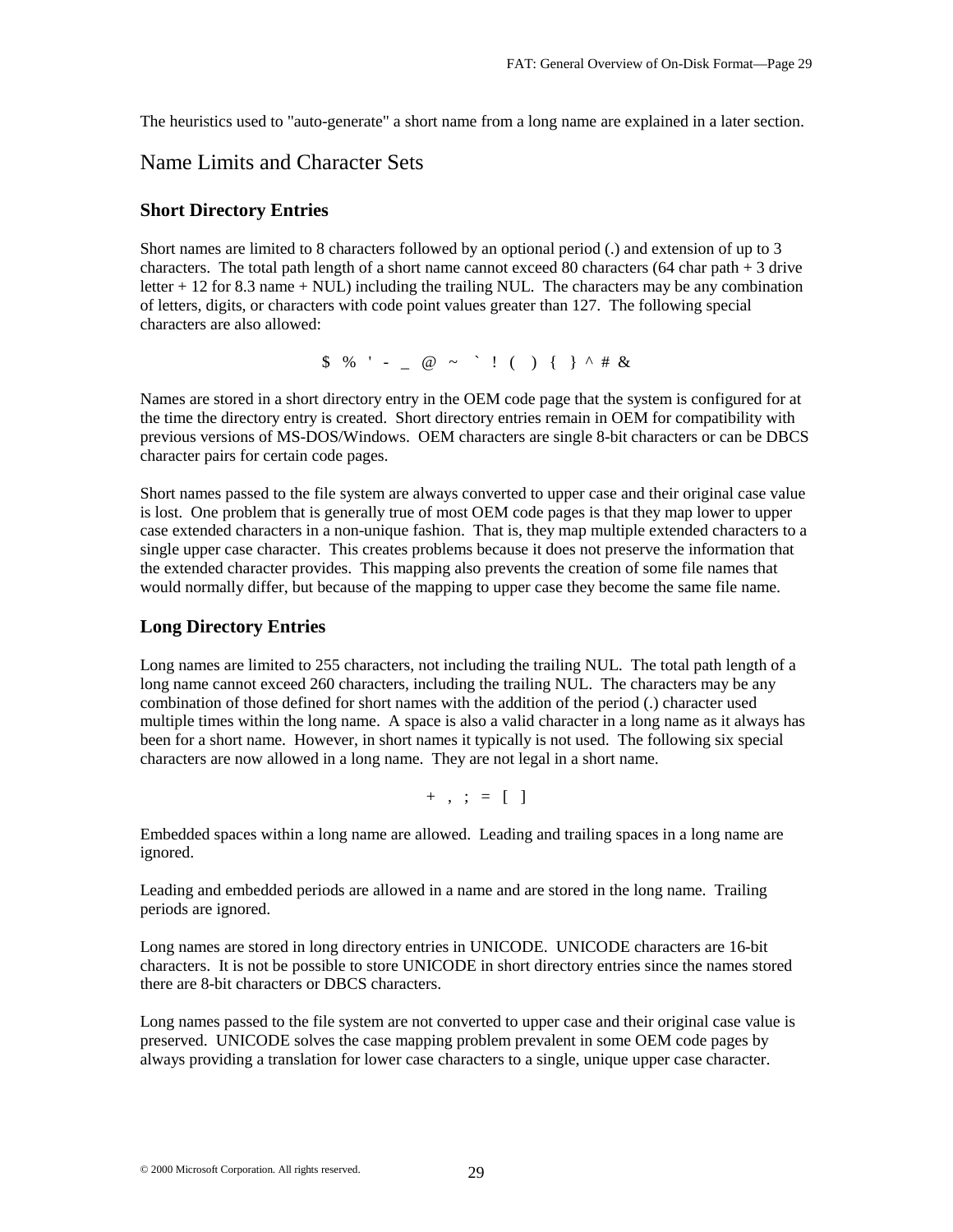<span id="page-28-0"></span>The heuristics used to "auto-generate" a short name from a long name are explained in a later section.

Name Limits and Character Sets

#### **Short Directory Entries**

Short names are limited to 8 characters followed by an optional period (.) and extension of up to 3 characters. The total path length of a short name cannot exceed 80 characters (64 char path  $+3$  drive letter  $+ 12$  for 8.3 name  $+$  NUL) including the trailing NUL. The characters may be any combination of letters, digits, or characters with code point values greater than 127. The following special characters are also allowed:

 $\frac{1}{2}$  % ' - @ ~ ` ! ( ) { } ^ # &

Names are stored in a short directory entry in the OEM code page that the system is configured for at the time the directory entry is created. Short directory entries remain in OEM for compatibility with previous versions of MS-DOS/Windows. OEM characters are single 8-bit characters or can be DBCS character pairs for certain code pages.

Short names passed to the file system are always converted to upper case and their original case value is lost. One problem that is generally true of most OEM code pages is that they map lower to upper case extended characters in a non-unique fashion. That is, they map multiple extended characters to a single upper case character. This creates problems because it does not preserve the information that the extended character provides. This mapping also prevents the creation of some file names that would normally differ, but because of the mapping to upper case they become the same file name.

#### **Long Directory Entries**

Long names are limited to 255 characters, not including the trailing NUL. The total path length of a long name cannot exceed 260 characters, including the trailing NUL. The characters may be any combination of those defined for short names with the addition of the period (.) character used multiple times within the long name. A space is also a valid character in a long name as it always has been for a short name. However, in short names it typically is not used. The following six special characters are now allowed in a long name. They are not legal in a short name.

 $+$  , ; = [ ]

Embedded spaces within a long name are allowed. Leading and trailing spaces in a long name are ignored.

Leading and embedded periods are allowed in a name and are stored in the long name. Trailing periods are ignored.

Long names are stored in long directory entries in UNICODE. UNICODE characters are 16-bit characters. It is not be possible to store UNICODE in short directory entries since the names stored there are 8-bit characters or DBCS characters.

Long names passed to the file system are not converted to upper case and their original case value is preserved. UNICODE solves the case mapping problem prevalent in some OEM code pages by always providing a translation for lower case characters to a single, unique upper case character.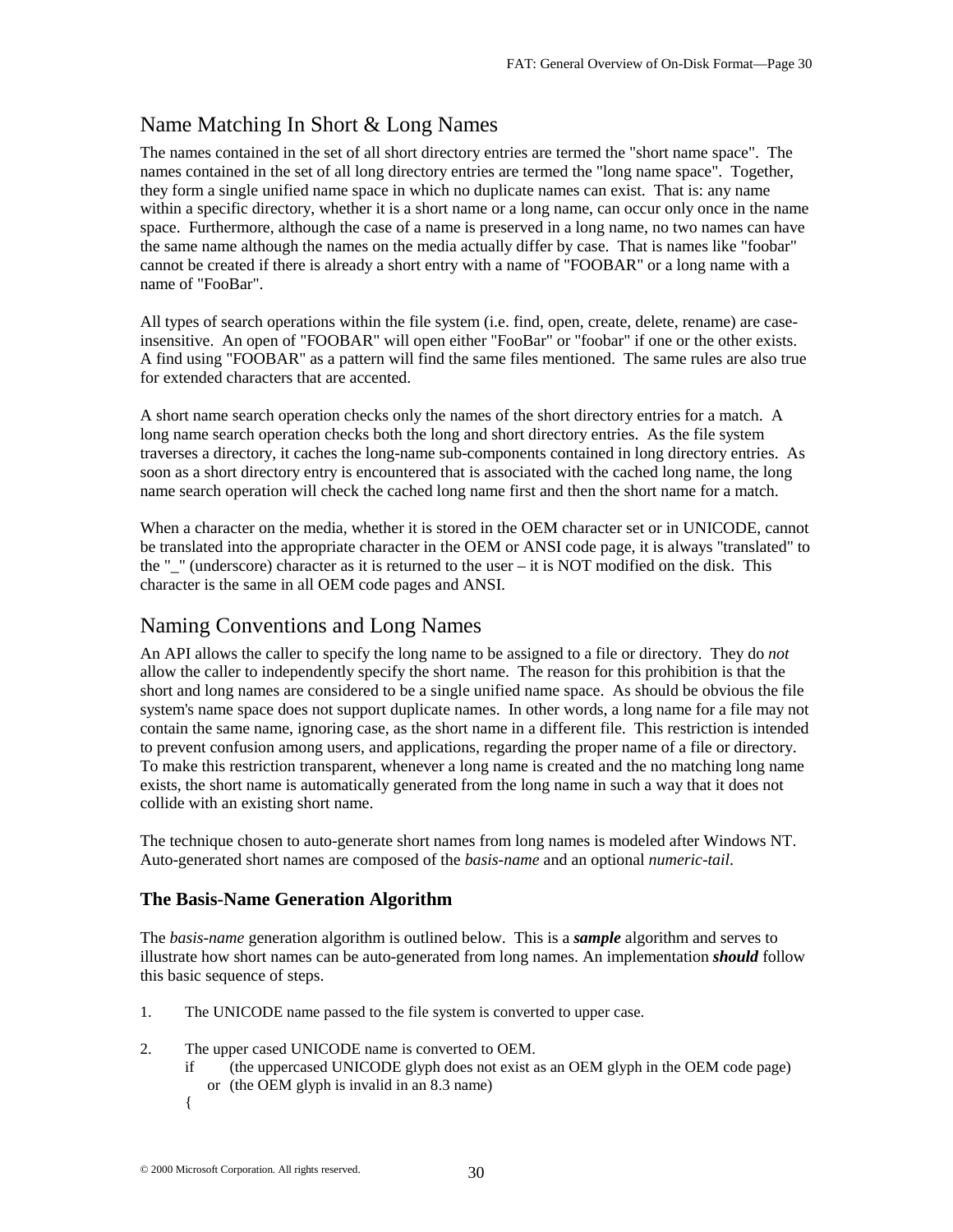## <span id="page-29-0"></span>Name Matching In Short & Long Names

The names contained in the set of all short directory entries are termed the "short name space". The names contained in the set of all long directory entries are termed the "long name space". Together, they form a single unified name space in which no duplicate names can exist. That is: any name within a specific directory, whether it is a short name or a long name, can occur only once in the name space. Furthermore, although the case of a name is preserved in a long name, no two names can have the same name although the names on the media actually differ by case. That is names like "foobar" cannot be created if there is already a short entry with a name of "FOOBAR" or a long name with a name of "FooBar".

All types of search operations within the file system (i.e. find, open, create, delete, rename) are caseinsensitive. An open of "FOOBAR" will open either "FooBar" or "foobar" if one or the other exists. A find using "FOOBAR" as a pattern will find the same files mentioned. The same rules are also true for extended characters that are accented.

A short name search operation checks only the names of the short directory entries for a match. A long name search operation checks both the long and short directory entries. As the file system traverses a directory, it caches the long-name sub-components contained in long directory entries. As soon as a short directory entry is encountered that is associated with the cached long name, the long name search operation will check the cached long name first and then the short name for a match.

When a character on the media, whether it is stored in the OEM character set or in UNICODE, cannot be translated into the appropriate character in the OEM or ANSI code page, it is always "translated" to the " $\degree$ " (underscore) character as it is returned to the user – it is NOT modified on the disk. This character is the same in all OEM code pages and ANSI.

## Naming Conventions and Long Names

An API allows the caller to specify the long name to be assigned to a file or directory. They do *not* allow the caller to independently specify the short name. The reason for this prohibition is that the short and long names are considered to be a single unified name space. As should be obvious the file system's name space does not support duplicate names. In other words, a long name for a file may not contain the same name, ignoring case, as the short name in a different file. This restriction is intended to prevent confusion among users, and applications, regarding the proper name of a file or directory. To make this restriction transparent, whenever a long name is created and the no matching long name exists, the short name is automatically generated from the long name in such a way that it does not collide with an existing short name.

The technique chosen to auto-generate short names from long names is modeled after Windows NT. Auto-generated short names are composed of the *basis-name* and an optional *numeric-tail*.

### **The Basis-Name Generation Algorithm**

The *basis-name* generation algorithm is outlined below. This is a *sample* algorithm and serves to illustrate how short names can be auto-generated from long names. An implementation *should* follow this basic sequence of steps.

- 1. The UNICODE name passed to the file system is converted to upper case.
- 2. The upper cased UNICODE name is converted to OEM.
	- if (the uppercased UNICODE glyph does not exist as an OEM glyph in the OEM code page) or (the OEM glyph is invalid in an 8.3 name)
	- {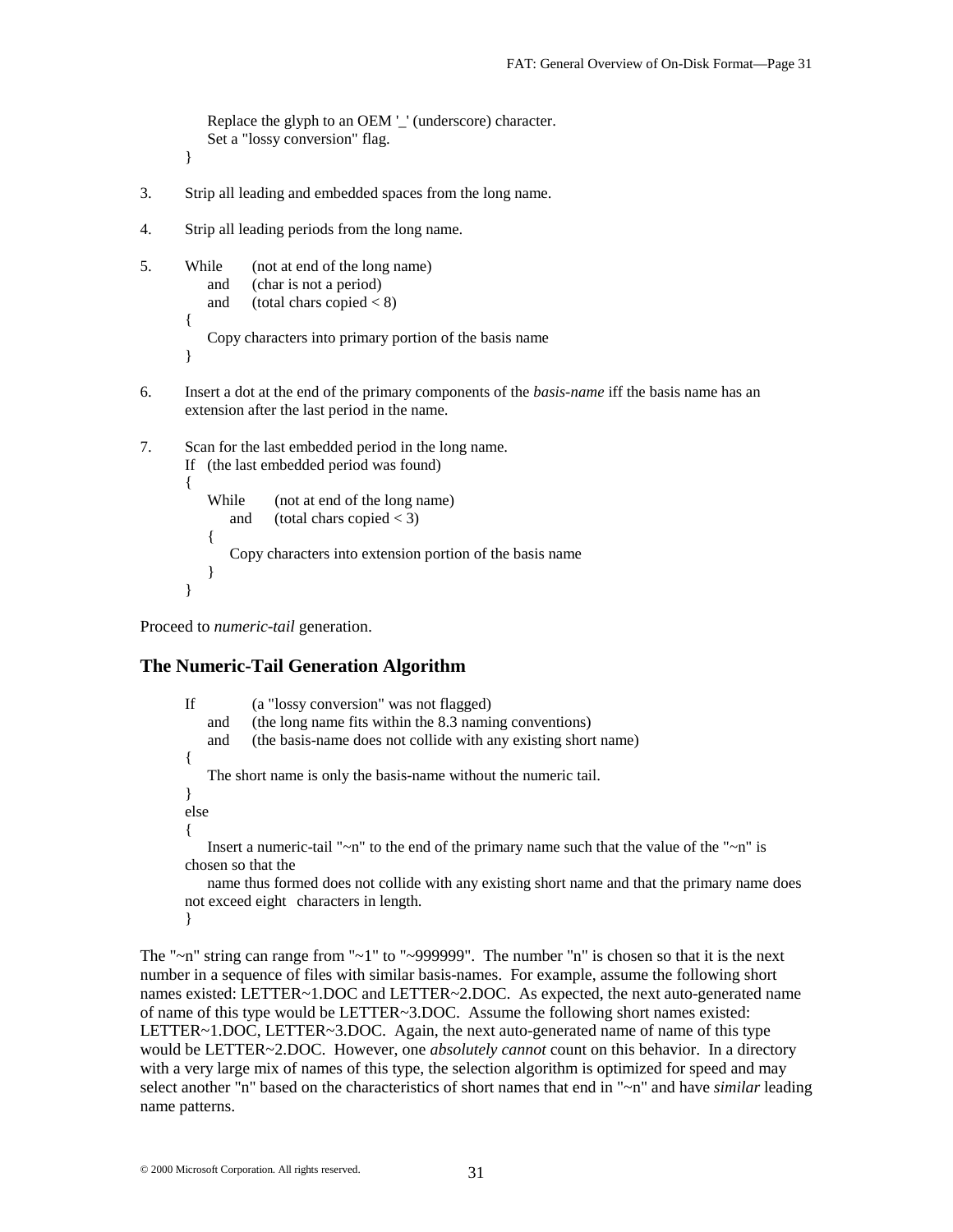```
 Replace the glyph to an OEM '_' (underscore) character. 
 Set a "lossy conversion" flag.
```
- }
- 3. Strip all leading and embedded spaces from the long name.
- 4. Strip all leading periods from the long name.
- 5. While (not at end of the long name) and (char is not a period) and (total chars copied  $< 8$ ) { Copy characters into primary portion of the basis name }
- 6. Insert a dot at the end of the primary components of the *basis-name* iff the basis name has an extension after the last period in the name.
- 7. Scan for the last embedded period in the long name.

```
If (the last embedded period was found) 
{ 
   While (not at end of the long name)
       and (total chars copied < 3)
    { 
        Copy characters into extension portion of the basis name 
    } 
}
```
Proceed to *numeric-tail* generation.

### **The Numeric-Tail Generation Algorithm**

| If   | (a "lossy conversion" was not flagged)                                                                     |
|------|------------------------------------------------------------------------------------------------------------|
| and  | (the long name fits within the 8.3 naming conventions)                                                     |
| and  | (the basis-name does not collide with any existing short name)                                             |
|      |                                                                                                            |
|      | The short name is only the basis-name without the numeric tail.                                            |
|      |                                                                                                            |
| else |                                                                                                            |
|      |                                                                                                            |
|      | Insert a numeric-tail " $\neg$ n" to the end of the primary name such that the value of the " $\neg$ n" is |
|      | chosen so that the                                                                                         |

 name thus formed does not collide with any existing short name and that the primary name does not exceed eight characters in length.

}

The " $\sim$ n" string can range from " $\sim$ 1" to " $\sim$ 999999". The number "n" is chosen so that it is the next number in a sequence of files with similar basis-names. For example, assume the following short names existed: LETTER~1.DOC and LETTER~2.DOC. As expected, the next auto-generated name of name of this type would be LETTER~3.DOC. Assume the following short names existed: LETTER~1.DOC, LETTER~3.DOC. Again, the next auto-generated name of name of this type would be LETTER~2.DOC. However, one *absolutely cannot* count on this behavior. In a directory with a very large mix of names of this type, the selection algorithm is optimized for speed and may select another "n" based on the characteristics of short names that end in "~n" and have *similar* leading name patterns.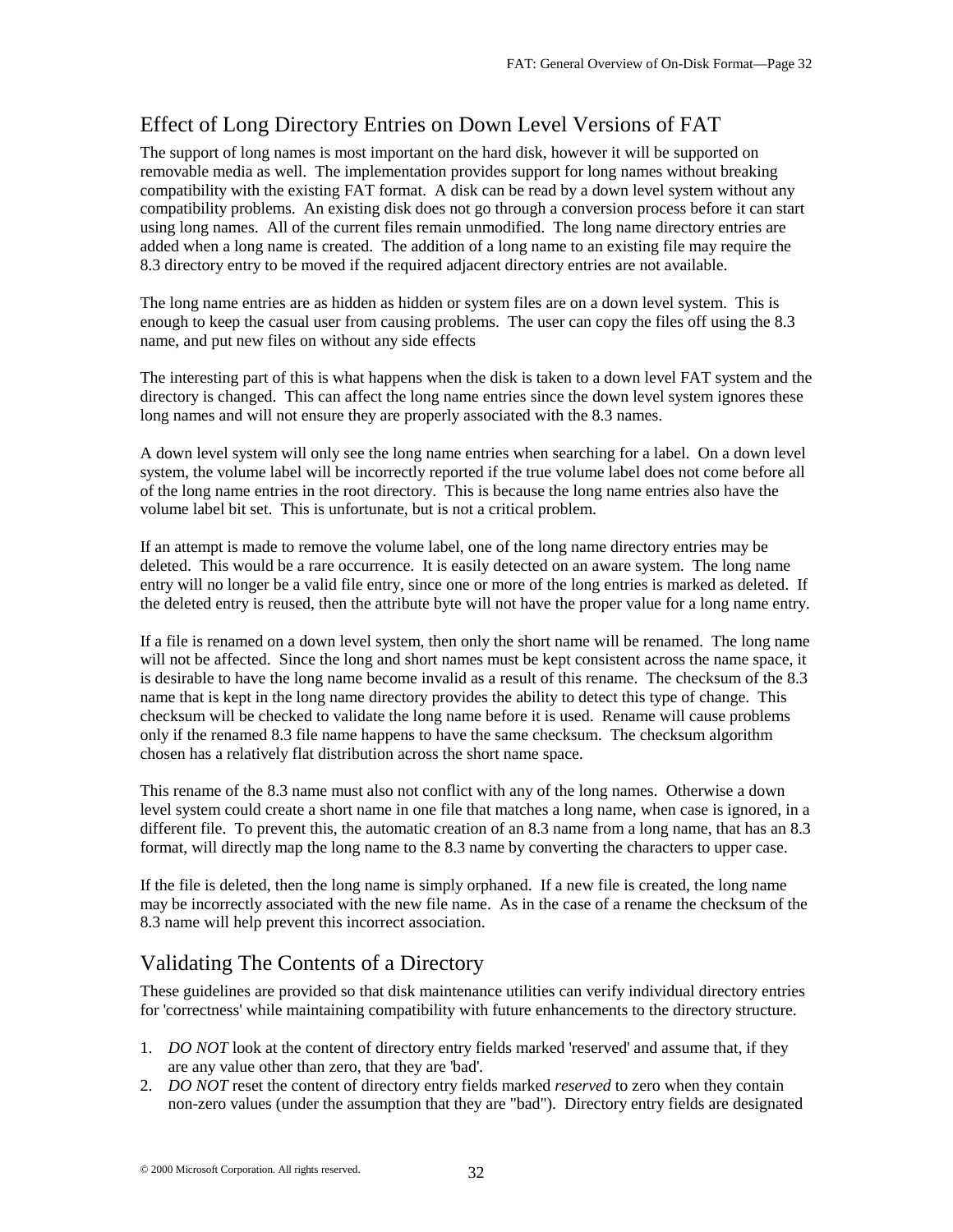## <span id="page-31-0"></span>Effect of Long Directory Entries on Down Level Versions of FAT

The support of long names is most important on the hard disk, however it will be supported on removable media as well. The implementation provides support for long names without breaking compatibility with the existing FAT format. A disk can be read by a down level system without any compatibility problems. An existing disk does not go through a conversion process before it can start using long names. All of the current files remain unmodified. The long name directory entries are added when a long name is created. The addition of a long name to an existing file may require the 8.3 directory entry to be moved if the required adjacent directory entries are not available.

The long name entries are as hidden as hidden or system files are on a down level system. This is enough to keep the casual user from causing problems. The user can copy the files off using the 8.3 name, and put new files on without any side effects

The interesting part of this is what happens when the disk is taken to a down level FAT system and the directory is changed. This can affect the long name entries since the down level system ignores these long names and will not ensure they are properly associated with the 8.3 names.

A down level system will only see the long name entries when searching for a label. On a down level system, the volume label will be incorrectly reported if the true volume label does not come before all of the long name entries in the root directory. This is because the long name entries also have the volume label bit set. This is unfortunate, but is not a critical problem.

If an attempt is made to remove the volume label, one of the long name directory entries may be deleted. This would be a rare occurrence. It is easily detected on an aware system. The long name entry will no longer be a valid file entry, since one or more of the long entries is marked as deleted. If the deleted entry is reused, then the attribute byte will not have the proper value for a long name entry.

If a file is renamed on a down level system, then only the short name will be renamed. The long name will not be affected. Since the long and short names must be kept consistent across the name space, it is desirable to have the long name become invalid as a result of this rename. The checksum of the 8.3 name that is kept in the long name directory provides the ability to detect this type of change. This checksum will be checked to validate the long name before it is used. Rename will cause problems only if the renamed 8.3 file name happens to have the same checksum. The checksum algorithm chosen has a relatively flat distribution across the short name space.

This rename of the 8.3 name must also not conflict with any of the long names. Otherwise a down level system could create a short name in one file that matches a long name, when case is ignored, in a different file. To prevent this, the automatic creation of an 8.3 name from a long name, that has an 8.3 format, will directly map the long name to the 8.3 name by converting the characters to upper case.

If the file is deleted, then the long name is simply orphaned. If a new file is created, the long name may be incorrectly associated with the new file name. As in the case of a rename the checksum of the 8.3 name will help prevent this incorrect association.

## Validating The Contents of a Directory

These guidelines are provided so that disk maintenance utilities can verify individual directory entries for 'correctness' while maintaining compatibility with future enhancements to the directory structure.

- 1. *DO NOT* look at the content of directory entry fields marked 'reserved' and assume that, if they are any value other than zero, that they are 'bad'.
- 2. *DO NOT* reset the content of directory entry fields marked *reserved* to zero when they contain non-zero values (under the assumption that they are "bad"). Directory entry fields are designated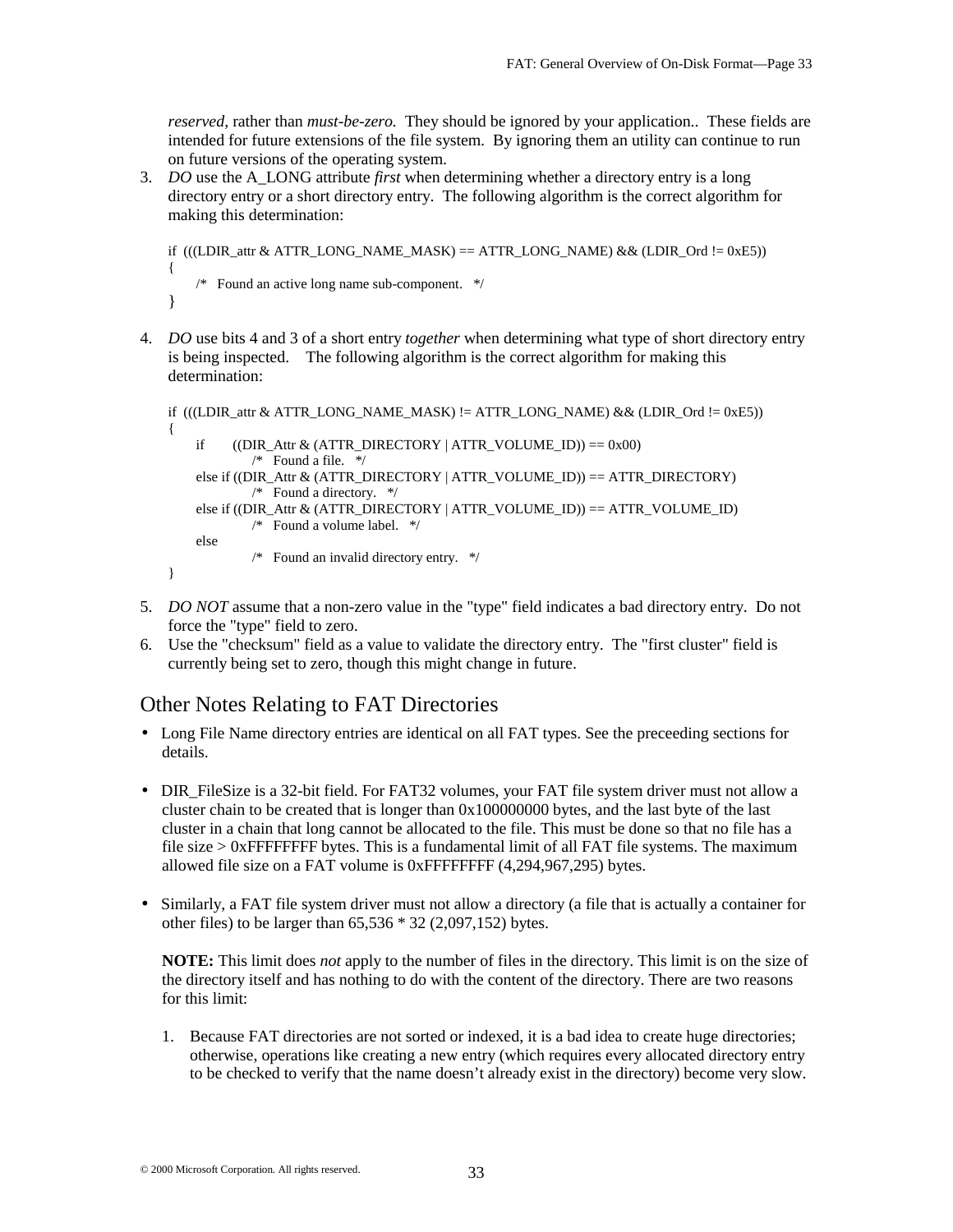<span id="page-32-0"></span>*reserved,* rather than *must-be-zero.* They should be ignored by your application.. These fields are intended for future extensions of the file system. By ignoring them an utility can continue to run on future versions of the operating system.

3. *DO* use the A\_LONG attribute *first* when determining whether a directory entry is a long directory entry or a short directory entry. The following algorithm is the correct algorithm for making this determination:

```
if (((LDIR_attr & ATTR_IONG_NAME\_MASK) == ATTR_IONG_NAME) & & (LDIR_Ord != 0xE5)){ 
    /* Found an active long name sub-component. */
}
```
4. *DO* use bits 4 and 3 of a short entry *together* when determining what type of short directory entry is being inspected. The following algorithm is the correct algorithm for making this determination:

```
if (((LDIR_attr & ATTR_IONG_NAME) != ATTR_IONG_NAME) && (LDIR_Ord != 0xE5)){ 
   if ((DIR Attr & (ATTR_DIRECTORY | ATTR_VOLUMEID)) = 0x00) /* Found a file. */ 
   else if ((DIR_Attr & (ATTR_DIRECTORY | ATTR_VOLUME_ID)) == ATTR_DIRECTORY)
            /* Found a directory. */ 
    else if ((DIR Attr & (ATTR_DIRECTORY | ATTR_VOLUME_ID)) == ATTR_VOLUME_ID)
            /* Found a volume label. */ 
     else 
            /* Found an invalid directory entry. */ 
}
```
- 5. *DO NOT* assume that a non-zero value in the "type" field indicates a bad directory entry. Do not force the "type" field to zero.
- 6. Use the "checksum" field as a value to validate the directory entry. The "first cluster" field is currently being set to zero, though this might change in future.

## Other Notes Relating to FAT Directories

- Long File Name directory entries are identical on all FAT types. See the preceeding sections for details.
- DIR\_FileSize is a 32-bit field. For FAT32 volumes, your FAT file system driver must not allow a cluster chain to be created that is longer than 0x100000000 bytes, and the last byte of the last cluster in a chain that long cannot be allocated to the file. This must be done so that no file has a file size > 0xFFFFFFFF bytes. This is a fundamental limit of all FAT file systems. The maximum allowed file size on a FAT volume is 0xFFFFFFFF (4,294,967,295) bytes.
- Similarly, a FAT file system driver must not allow a directory (a file that is actually a container for other files) to be larger than  $65,536 * 32 (2,097,152)$  bytes.

**NOTE:** This limit does *not* apply to the number of files in the directory. This limit is on the size of the directory itself and has nothing to do with the content of the directory. There are two reasons for this limit:

1. Because FAT directories are not sorted or indexed, it is a bad idea to create huge directories; otherwise, operations like creating a new entry (which requires every allocated directory entry to be checked to verify that the name doesn't already exist in the directory) become very slow.

© 2000 Microsoft Corporation. All rights reserved. 33